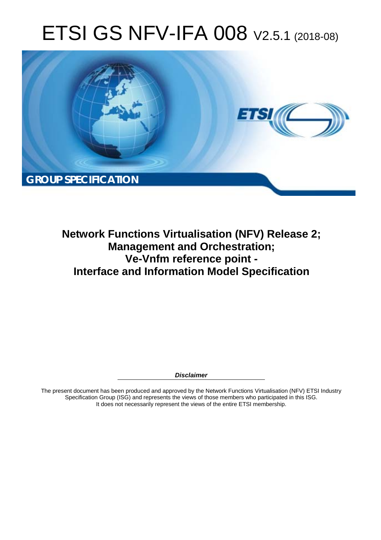# ETSI GS NFV-IFA 008 V2.5.1 (2018-08)



**Network Functions Virtualisation (NFV) Release 2; Management and Orchestration; Ve-Vnfm reference point - Interface and Information Model Specification** 

*Disclaimer* 

The present document has been produced and approved by the Network Functions Virtualisation (NFV) ETSI Industry Specification Group (ISG) and represents the views of those members who participated in this ISG. It does not necessarily represent the views of the entire ETSI membership.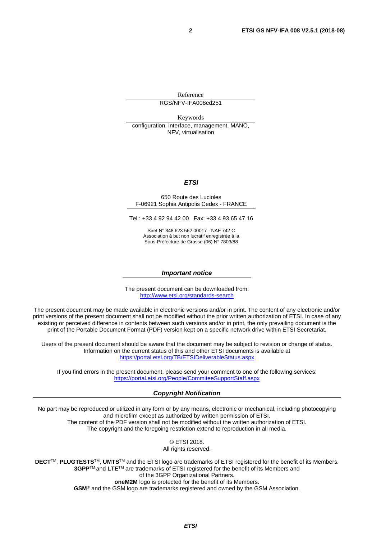Reference RGS/NFV-IFA008ed251

Keywords

configuration, interface, management, MANO, NFV, virtualisation

#### *ETSI*

#### 650 Route des Lucioles F-06921 Sophia Antipolis Cedex - FRANCE

Tel.: +33 4 92 94 42 00 Fax: +33 4 93 65 47 16

Siret N° 348 623 562 00017 - NAF 742 C Association à but non lucratif enregistrée à la Sous-Préfecture de Grasse (06) N° 7803/88

#### *Important notice*

The present document can be downloaded from: <http://www.etsi.org/standards-search>

The present document may be made available in electronic versions and/or in print. The content of any electronic and/or print versions of the present document shall not be modified without the prior written authorization of ETSI. In case of any existing or perceived difference in contents between such versions and/or in print, the only prevailing document is the print of the Portable Document Format (PDF) version kept on a specific network drive within ETSI Secretariat.

Users of the present document should be aware that the document may be subject to revision or change of status. Information on the current status of this and other ETSI documents is available at <https://portal.etsi.org/TB/ETSIDeliverableStatus.aspx>

If you find errors in the present document, please send your comment to one of the following services: <https://portal.etsi.org/People/CommiteeSupportStaff.aspx>

#### *Copyright Notification*

No part may be reproduced or utilized in any form or by any means, electronic or mechanical, including photocopying and microfilm except as authorized by written permission of ETSI. The content of the PDF version shall not be modified without the written authorization of ETSI. The copyright and the foregoing restriction extend to reproduction in all media.

> © ETSI 2018. All rights reserved.

**DECT**TM, **PLUGTESTS**TM, **UMTS**TM and the ETSI logo are trademarks of ETSI registered for the benefit of its Members. **3GPP**TM and **LTE**TM are trademarks of ETSI registered for the benefit of its Members and of the 3GPP Organizational Partners. **oneM2M** logo is protected for the benefit of its Members.

**GSM**® and the GSM logo are trademarks registered and owned by the GSM Association.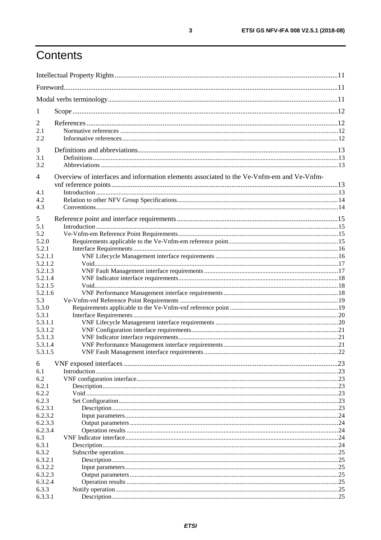# Contents

| 1                |                                                                                           |      |
|------------------|-------------------------------------------------------------------------------------------|------|
| $\overline{2}$   |                                                                                           |      |
| 2.1              |                                                                                           |      |
| 2.2              |                                                                                           |      |
|                  |                                                                                           |      |
| 3                |                                                                                           |      |
| 3.1              |                                                                                           |      |
| 3.2              |                                                                                           |      |
| $\overline{4}$   | Overview of interfaces and information elements associated to the Ve-Vnfm-em and Ve-Vnfm- |      |
|                  |                                                                                           |      |
| 4.1              |                                                                                           |      |
| 4.2              |                                                                                           |      |
| 4.3              |                                                                                           |      |
| 5                |                                                                                           |      |
| 5.1              |                                                                                           |      |
| 5.2              |                                                                                           |      |
| 5.2.0            |                                                                                           |      |
| 5.2.1            |                                                                                           |      |
| 5.2.1.1          |                                                                                           |      |
| 5.2.1.2          |                                                                                           |      |
| 5.2.1.3          |                                                                                           |      |
| 5.2.1.4          |                                                                                           |      |
| 5.2.1.5          |                                                                                           |      |
| 5.2.1.6          |                                                                                           |      |
| 5.3              |                                                                                           |      |
| 5.3.0            |                                                                                           |      |
| 5.3.1<br>5.3.1.1 |                                                                                           |      |
| 5.3.1.2          |                                                                                           |      |
| 5.3.1.3          |                                                                                           |      |
| 5.3.1.4          |                                                                                           |      |
| 5.3.1.5          |                                                                                           |      |
|                  |                                                                                           |      |
| 6                |                                                                                           | .23  |
| 6.1              |                                                                                           |      |
| 6.2              |                                                                                           |      |
| 6.2.1<br>6.2.2   |                                                                                           |      |
| 6.2.3            |                                                                                           |      |
| 6.2.3.1          |                                                                                           |      |
| 6.2.3.2          |                                                                                           |      |
| 6.2.3.3          |                                                                                           |      |
| 6.2.3.4          |                                                                                           |      |
| 6.3              |                                                                                           |      |
| 6.3.1            |                                                                                           |      |
| 6.3.2            |                                                                                           |      |
| 6.3.2.1          |                                                                                           | 25   |
| 6.3.2.2          |                                                                                           | 0.25 |
| 6.3.2.3          |                                                                                           |      |
| 6.3.2.4          |                                                                                           |      |
| 6.3.3            |                                                                                           |      |
| 6.3.3.1          |                                                                                           |      |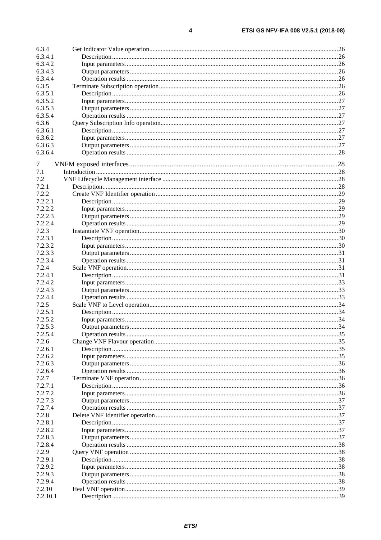$\overline{\mathbf{4}}$ 

| 6.3.4    |  |
|----------|--|
| 6.3.4.1  |  |
| 6.3.4.2  |  |
| 6.3.4.3  |  |
| 6.3.4.4  |  |
| 6.3.5    |  |
| 6.3.5.1  |  |
| 6.3.5.2  |  |
| 6.3.5.3  |  |
|          |  |
| 6.3.5.4  |  |
| 6.3.6    |  |
| 6.3.6.1  |  |
| 6.3.6.2  |  |
| 6.3.6.3  |  |
| 6.3.6.4  |  |
| 7        |  |
|          |  |
| 7.1      |  |
| 7.2      |  |
| 7.2.1    |  |
| 7.2.2    |  |
| 7.2.2.1  |  |
| 7.2.2.2  |  |
| 7.2.2.3  |  |
| 7.2.2.4  |  |
| 7.2.3    |  |
| 7.2.3.1  |  |
| 7.2.3.2  |  |
| 7.2.3.3  |  |
| 7.2.3.4  |  |
| 7.2.4    |  |
| 7.2.4.1  |  |
| 7.2.4.2  |  |
| 7.2.4.3  |  |
|          |  |
| 7.2.4.4  |  |
| 7.2.5    |  |
| 7.2.5.1  |  |
| 7.2.5.2  |  |
| 7.2.5.3  |  |
| 7.2.5.4  |  |
| 7.2.6    |  |
| 7.2.6.1  |  |
| 7.2.6.2  |  |
| 7.2.6.3  |  |
| 7.2.6.4  |  |
| 7.2.7    |  |
| 7.2.7.1  |  |
| 7.2.7.2  |  |
| 7.2.7.3  |  |
| 7.2.7.4  |  |
| 7.2.8    |  |
| 7.2.8.1  |  |
| 7.2.8.2  |  |
| 7.2.8.3  |  |
|          |  |
| 7.2.8.4  |  |
| 7.2.9    |  |
| 7.2.9.1  |  |
| 7.2.9.2  |  |
| 7.2.9.3  |  |
| 7.2.9.4  |  |
| 7.2.10   |  |
| 7.2.10.1 |  |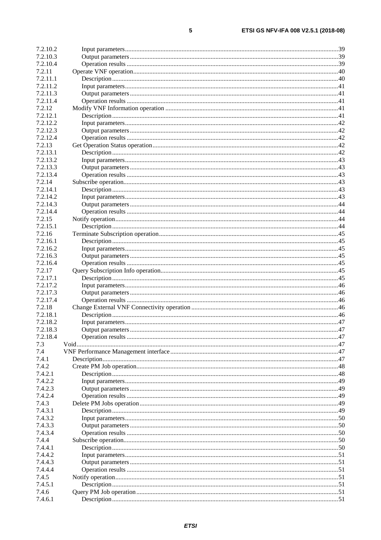| 7.2.10.2 |  |
|----------|--|
| 7.2.10.3 |  |
| 7.2.10.4 |  |
| 7.2.11   |  |
| 7.2.11.1 |  |
| 7.2.11.2 |  |
| 7.2.11.3 |  |
| 7.2.11.4 |  |
| 7.2.12   |  |
| 7.2.12.1 |  |
| 7.2.12.2 |  |
| 7.2.12.3 |  |
| 7.2.12.4 |  |
| 7.2.13   |  |
| 7.2.13.1 |  |
| 7.2.13.2 |  |
| 7.2.13.3 |  |
| 7.2.13.4 |  |
| 7.2.14   |  |
| 7.2.14.1 |  |
| 7.2.14.2 |  |
| 7.2.14.3 |  |
| 7.2.14.4 |  |
| 7.2.15   |  |
| 7.2.15.1 |  |
| 7.2.16   |  |
| 7.2.16.1 |  |
| 7.2.16.2 |  |
| 7.2.16.3 |  |
| 7.2.16.4 |  |
| 7.2.17   |  |
| 7.2.17.1 |  |
| 7.2.17.2 |  |
| 7.2.17.3 |  |
| 7.2.17.4 |  |
| 7.2.18   |  |
| 7.2.18.1 |  |
| 7.2.18.2 |  |
| 7.2.18.3 |  |
| 7.2.18.4 |  |
| 7.3      |  |
| 7.4      |  |
| 7.4.1    |  |
| 7.4.2    |  |
| 7.4.2.1  |  |
| 7.4.2.2  |  |
| 7.4.2.3  |  |
| 7.4.2.4  |  |
| 7.4.3    |  |
| 7.4.3.1  |  |
| 7.4.3.2  |  |
| 7.4.3.3  |  |
| 7.4.3.4  |  |
| 7.4.4    |  |
| 7.4.4.1  |  |
| 7.4.4.2  |  |
|          |  |
| 7.4.4.3  |  |
| 7.4.4.4  |  |
| 7.4.5    |  |
| 7.4.5.1  |  |
| 7.4.6    |  |
| 7.4.6.1  |  |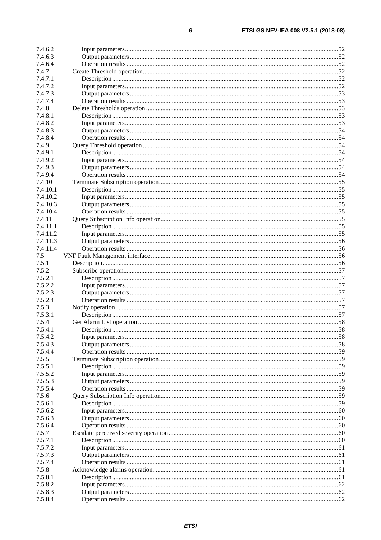| 7.4.6.2  |  |
|----------|--|
| 7.4.6.3  |  |
| 7.4.6.4  |  |
| 7.4.7    |  |
| 7.4.7.1  |  |
| 7.4.7.2  |  |
| 7.4.7.3  |  |
| 7.4.7.4  |  |
| 7.4.8    |  |
| 7.4.8.1  |  |
| 7.4.8.2  |  |
| 7.4.8.3  |  |
| 7.4.8.4  |  |
| 7.4.9    |  |
| 7.4.9.1  |  |
| 7.4.9.2  |  |
| 7.4.9.3  |  |
| 7.4.9.4  |  |
| 7.4.10   |  |
| 7.4.10.1 |  |
| 7.4.10.2 |  |
| 7.4.10.3 |  |
| 7.4.10.4 |  |
| 7.4.11   |  |
| 7.4.11.1 |  |
| 7.4.11.2 |  |
| 7.4.11.3 |  |
| 7.4.11.4 |  |
| 7.5      |  |
| 7.5.1    |  |
| 7.5.2    |  |
| 7.5.2.1  |  |
| 7.5.2.2  |  |
| 7.5.2.3  |  |
| 7.5.2.4  |  |
| 7.5.3    |  |
| 7.5.3.1  |  |
| 7.5.4    |  |
| 7.5.4.1  |  |
| 7.5.4.2  |  |
| 7.5.4.3  |  |
| 7.5.4.4  |  |
| 7.5.5    |  |
| 7.5.5.1  |  |
| 7.5.5.2  |  |
| 7.5.5.3  |  |
| 7.5.5.4  |  |
| 7.5.6    |  |
| 7.5.6.1  |  |
| 7.5.6.2  |  |
| 7.5.6.3  |  |
| 7.5.6.4  |  |
| 7.5.7    |  |
| 7.5.7.1  |  |
| 7.5.7.2  |  |
| 7.5.7.3  |  |
| 7.5.7.4  |  |
| 7.5.8    |  |
| 7.5.8.1  |  |
| 7.5.8.2  |  |
| 7.5.8.3  |  |
| 7.5.8.4  |  |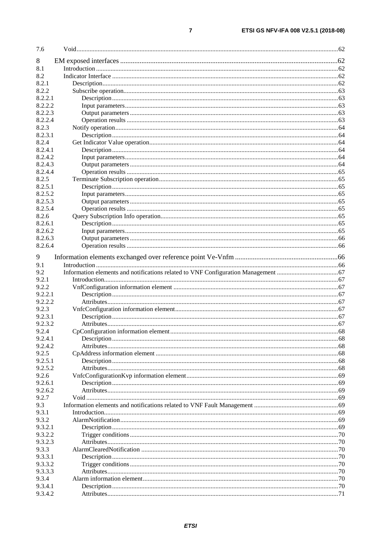| 7.6     |    |
|---------|----|
| 8       |    |
| 8.1     |    |
| 8.2     |    |
| 8.2.1   |    |
| 8.2.2   |    |
| 8.2.2.1 |    |
| 8.2.2.2 |    |
| 8.2.2.3 |    |
| 8.2.2.4 |    |
| 8.2.3   |    |
| 8.2.3.1 |    |
| 8.2.4   |    |
| 8.2.4.1 |    |
| 8.2.4.2 |    |
| 8.2.4.3 |    |
| 8.2.4.4 |    |
| 8.2.5   |    |
| 8.2.5.1 |    |
| 8.2.5.2 |    |
| 8.2.5.3 |    |
| 8.2.5.4 |    |
| 8.2.6   |    |
| 8.2.6.1 |    |
| 8.2.6.2 |    |
| 8.2.6.3 |    |
| 8.2.6.4 |    |
|         |    |
| 9       |    |
| 9.1     |    |
| 9.2     |    |
| 9.2.1   |    |
| 9.2.2   |    |
| 9.2.2.1 |    |
| 9.2.2.2 |    |
| 9.2.3   |    |
| 9.2.3.1 |    |
| 9.2.3.2 |    |
| 9.2.4   | 68 |
| 9.2.4.1 |    |
| 9.2.4.2 |    |
| 9.2.5   |    |
| 9.2.5.1 |    |
| 9.2.5.2 |    |
| 9.2.6   |    |
| 9.2.6.1 |    |
| 9.2.6.2 |    |
| 9.2.7   |    |
| 9.3     |    |
| 9.3.1   |    |
| 9.3.2   |    |
| 9.3.2.1 |    |
| 9.3.2.2 |    |
| 9.3.2.3 |    |
| 9.3.3   |    |
| 9.3.3.1 |    |
| 9.3.3.2 |    |
| 9.3.3.3 |    |
| 9.3.4   |    |
| 9.3.4.1 |    |
| 9.3.4.2 |    |
|         |    |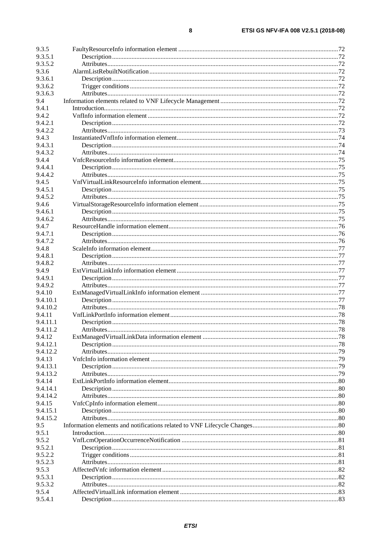| 9.3.5    |  |
|----------|--|
| 9.3.5.1  |  |
| 9.3.5.2  |  |
| 9.3.6    |  |
|          |  |
| 9.3.6.1  |  |
| 9.3.6.2  |  |
| 9.3.6.3  |  |
| 9.4      |  |
| 9.4.1    |  |
| 9.4.2    |  |
| 9.4.2.1  |  |
| 9.4.2.2  |  |
| 9.4.3    |  |
| 9.4.3.1  |  |
| 9.4.3.2  |  |
| 9.4.4    |  |
| 9.4.4.1  |  |
| 9.4.4.2  |  |
| 9.4.5    |  |
| 9.4.5.1  |  |
| 9.4.5.2  |  |
| 9.4.6    |  |
| 9.4.6.1  |  |
| 9.4.6.2  |  |
| 9.4.7    |  |
| 9.4.7.1  |  |
| 9.4.7.2  |  |
| 9.4.8    |  |
| 9.4.8.1  |  |
| 9.4.8.2  |  |
| 9.4.9    |  |
| 9.4.9.1  |  |
| 9.4.9.2  |  |
| 9.4.10   |  |
| 9.4.10.1 |  |
| 9.4.10.2 |  |
| 9.4.11   |  |
| 9.4.11.1 |  |
| 9.4.11.2 |  |
| 9.4.12   |  |
| 9.4.12.1 |  |
| 9.4.12.2 |  |
| 9.4.13   |  |
| 9.4.13.1 |  |
| 9.4.13.2 |  |
| 9.4.14   |  |
| 9.4.14.1 |  |
| 9.4.14.2 |  |
|          |  |
| 9.4.15   |  |
| 9.4.15.1 |  |
| 9.4.15.2 |  |
| 9.5      |  |
| 9.5.1    |  |
| 9.5.2    |  |
| 9.5.2.1  |  |
| 9.5.2.2  |  |
| 9.5.2.3  |  |
| 9.5.3    |  |
| 9.5.3.1  |  |
| 9.5.3.2  |  |
| 9.5.4    |  |
| 9.5.4.1  |  |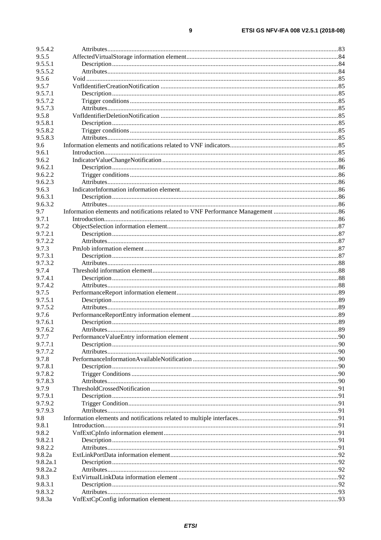| 9.5.4.2  |  |
|----------|--|
| 9.5.5    |  |
| 9.5.5.1  |  |
| 9.5.5.2  |  |
| 9.5.6    |  |
| 9.5.7    |  |
| 9.5.7.1  |  |
| 9.5.7.2  |  |
| 9.5.7.3  |  |
| 9.5.8    |  |
| 9.5.8.1  |  |
| 9.5.8.2  |  |
| 9.5.8.3  |  |
| 9.6      |  |
| 9.6.1    |  |
| 9.6.2    |  |
| 9.6.2.1  |  |
| 9.6.2.2  |  |
| 9.6.2.3  |  |
| 9.6.3    |  |
| 9.6.3.1  |  |
| 9.6.3.2  |  |
| 9.7      |  |
| 9.7.1    |  |
| 9.7.2    |  |
| 9.7.2.1  |  |
| 9.7.2.2  |  |
| 9.7.3    |  |
| 9.7.3.1  |  |
| 9.7.3.2  |  |
| 9.7.4    |  |
| 9.7.4.1  |  |
| 9.7.4.2  |  |
| 9.7.5    |  |
| 9.7.5.1  |  |
| 9.7.5.2  |  |
| 9.7.6    |  |
| 9.7.6.1  |  |
| 9.7.6.2  |  |
| 9.7.7    |  |
| 9.7.7.1  |  |
| 9.7.7.2  |  |
| 9.7.8    |  |
| 9.7.8.1  |  |
| 9.7.8.2  |  |
| 9.7.8.3  |  |
| 9.7.9    |  |
| 9.7.9.1  |  |
| 9.7.9.2  |  |
| 9.7.9.3  |  |
| 9.8      |  |
| 9.8.1    |  |
| 9.8.2    |  |
| 9.8.2.1  |  |
| 9.8.2.2  |  |
| 9.8.2a   |  |
| 9.8.2a.1 |  |
| 9.8.2a.2 |  |
| 9.8.3    |  |
| 9.8.3.1  |  |
| 9.8.3.2  |  |
| 9.8.3a   |  |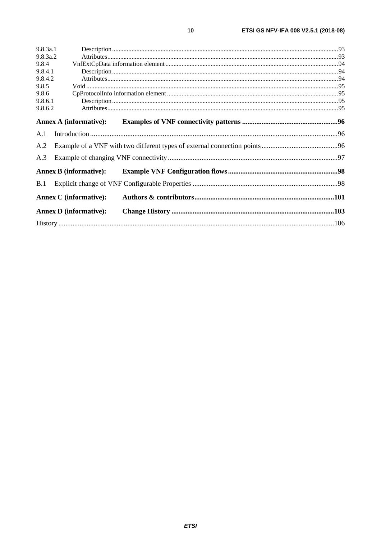| 9.8.3a.1                      |  |
|-------------------------------|--|
| 9.8.3a.2                      |  |
| 9.8.4                         |  |
| 9.8.4.1                       |  |
| 9.8.4.2                       |  |
| 9.8.5                         |  |
| 9.8.6                         |  |
| 9.8.6.1                       |  |
| 9.8.6.2                       |  |
| <b>Annex A (informative):</b> |  |
| A.1                           |  |
| A.2                           |  |
| A.3                           |  |
| <b>Annex B (informative):</b> |  |
| B.1                           |  |
| <b>Annex C</b> (informative): |  |
| <b>Annex D</b> (informative): |  |
|                               |  |
|                               |  |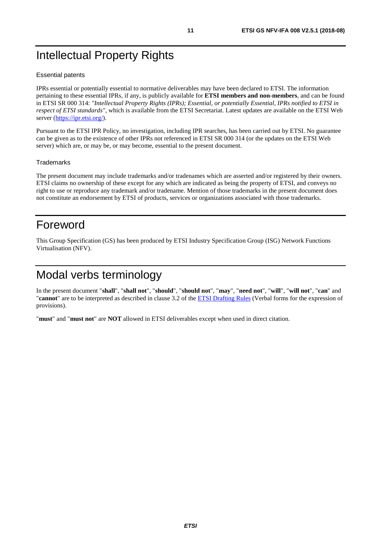# <span id="page-10-0"></span>Intellectual Property Rights

#### Essential patents

IPRs essential or potentially essential to normative deliverables may have been declared to ETSI. The information pertaining to these essential IPRs, if any, is publicly available for **ETSI members and non-members**, and can be found in ETSI SR 000 314: *"Intellectual Property Rights (IPRs); Essential, or potentially Essential, IPRs notified to ETSI in respect of ETSI standards"*, which is available from the ETSI Secretariat. Latest updates are available on the ETSI Web server (<https://ipr.etsi.org/>).

Pursuant to the ETSI IPR Policy, no investigation, including IPR searches, has been carried out by ETSI. No guarantee can be given as to the existence of other IPRs not referenced in ETSI SR 000 314 (or the updates on the ETSI Web server) which are, or may be, or may become, essential to the present document.

#### **Trademarks**

The present document may include trademarks and/or tradenames which are asserted and/or registered by their owners. ETSI claims no ownership of these except for any which are indicated as being the property of ETSI, and conveys no right to use or reproduce any trademark and/or tradename. Mention of those trademarks in the present document does not constitute an endorsement by ETSI of products, services or organizations associated with those trademarks.

# Foreword

This Group Specification (GS) has been produced by ETSI Industry Specification Group (ISG) Network Functions Virtualisation (NFV).

# Modal verbs terminology

In the present document "**shall**", "**shall not**", "**should**", "**should not**", "**may**", "**need not**", "**will**", "**will not**", "**can**" and "**cannot**" are to be interpreted as described in clause 3.2 of the [ETSI Drafting Rules](https://portal.etsi.org/Services/editHelp!/Howtostart/ETSIDraftingRules.aspx) (Verbal forms for the expression of provisions).

"**must**" and "**must not**" are **NOT** allowed in ETSI deliverables except when used in direct citation.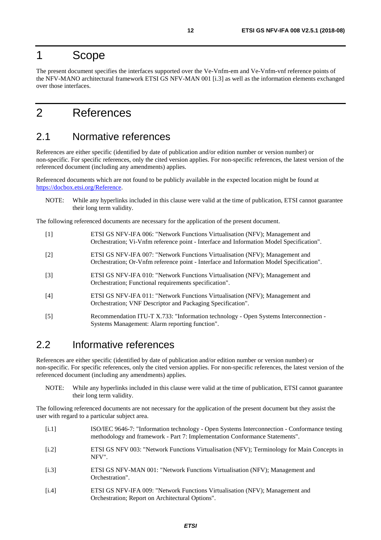# <span id="page-11-0"></span>1 Scope

The present document specifies the interfaces supported over the Ve-Vnfm-em and Ve-Vnfm-vnf reference points of the NFV-MANO architectural framework ETSI GS NFV-MAN 001 [i.3] as well as the information elements exchanged over those interfaces.

# 2 References

# 2.1 Normative references

References are either specific (identified by date of publication and/or edition number or version number) or non-specific. For specific references, only the cited version applies. For non-specific references, the latest version of the referenced document (including any amendments) applies.

Referenced documents which are not found to be publicly available in the expected location might be found at [https://docbox.etsi.org/Reference](https://docbox.etsi.org/Reference/).

NOTE: While any hyperlinks included in this clause were valid at the time of publication, ETSI cannot guarantee their long term validity.

The following referenced documents are necessary for the application of the present document.

| $[1]$ | ETSI GS NFV-IFA 006: "Network Functions Virtualisation (NFV); Management and<br>Orchestration; Vi-Vnfm reference point - Interface and Information Model Specification". |
|-------|--------------------------------------------------------------------------------------------------------------------------------------------------------------------------|
| $[2]$ | ETSI GS NFV-IFA 007: "Network Functions Virtualisation (NFV); Management and<br>Orchestration; Or-Vnfm reference point - Interface and Information Model Specification". |
| $[3]$ | ETSI GS NFV-IFA 010: "Network Functions Virtualisation (NFV); Management and<br>Orchestration; Functional requirements specification".                                   |
| [4]   | ETSI GS NFV-IFA 011: "Network Functions Virtualisation (NFV); Management and<br>Orchestration; VNF Descriptor and Packaging Specification".                              |
| [5]   | Recommendation ITU-T X.733: "Information technology - Open Systems Interconnection -<br>Systems Management: Alarm reporting function".                                   |

# 2.2 Informative references

References are either specific (identified by date of publication and/or edition number or version number) or non-specific. For specific references, only the cited version applies. For non-specific references, the latest version of the referenced document (including any amendments) applies.

NOTE: While any hyperlinks included in this clause were valid at the time of publication, ETSI cannot guarantee their long term validity.

The following referenced documents are not necessary for the application of the present document but they assist the user with regard to a particular subject area.

- [i.1] ISO/IEC 9646-7: "Information technology Open Systems Interconnection Conformance testing methodology and framework - Part 7: Implementation Conformance Statements".
- [i.2] ETSI GS NFV 003: "Network Functions Virtualisation (NFV); Terminology for Main Concepts in NFV".
- [i.3] ETSI GS NFV-MAN 001: "Network Functions Virtualisation (NFV); Management and Orchestration".
- [i.4] ETSI GS NFV-IFA 009: "Network Functions Virtualisation (NFV); Management and Orchestration; Report on Architectural Options".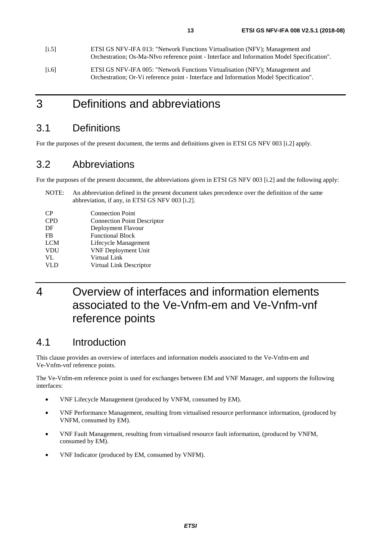<span id="page-12-0"></span>

| [i.5] | ETSI GS NFV-IFA 013: "Network Functions Virtualisation (NFV); Management and<br>Orchestration; Os-Ma-Nfvo reference point - Interface and Information Model Specification". |
|-------|-----------------------------------------------------------------------------------------------------------------------------------------------------------------------------|
| [i.6] | ETSI GS NFV-IFA 005: "Network Functions Virtualisation (NFV); Management and<br>Orchestration; Or-Vi reference point - Interface and Information Model Specification".      |

# 3 Definitions and abbreviations

# 3.1 Definitions

For the purposes of the present document, the terms and definitions given in ETSI GS NFV 003 [\[i.2](#page-11-0)] apply.

# 3.2 Abbreviations

For the purposes of the present document, the abbreviations given in ETSI GS NFV 003 [\[i.2\]](#page-11-0) and the following apply:

NOTE: An abbreviation defined in the present document takes precedence over the definition of the same abbreviation, if any, in ETSI GS NFV 003 [[i.2](#page-11-0)].

| <b>CP</b>  | <b>Connection Point</b>            |
|------------|------------------------------------|
| <b>CPD</b> | <b>Connection Point Descriptor</b> |
| DF         | Deployment Flavour                 |
| <b>FB</b>  | <b>Functional Block</b>            |
| <b>LCM</b> | Lifecycle Management               |
| <b>VDU</b> | <b>VNF Deployment Unit</b>         |
| VL         | Virtual Link                       |
| VL D       | Virtual Link Descriptor            |

# 4 Overview of interfaces and information elements associated to the Ve-Vnfm-em and Ve-Vnfm-vnf reference points

# 4.1 Introduction

This clause provides an overview of interfaces and information models associated to the Ve-Vnfm-em and Ve-Vnfm-vnf reference points.

The Ve-Vnfm-em reference point is used for exchanges between EM and VNF Manager, and supports the following interfaces:

- VNF Lifecycle Management (produced by VNFM, consumed by EM).
- VNF Performance Management, resulting from virtualised resource performance information, (produced by VNFM, consumed by EM).
- VNF Fault Management, resulting from virtualised resource fault information, (produced by VNFM, consumed by EM).
- VNF Indicator (produced by EM, consumed by VNFM).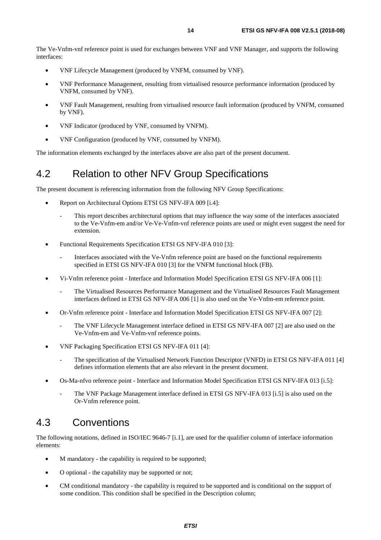<span id="page-13-0"></span>The Ve-Vnfm-vnf reference point is used for exchanges between VNF and VNF Manager, and supports the following interfaces:

- VNF Lifecycle Management (produced by VNFM, consumed by VNF).
- VNF Performance Management, resulting from virtualised resource performance information (produced by VNFM, consumed by VNF).
- VNF Fault Management, resulting from virtualised resource fault information (produced by VNFM, consumed by VNF).
- VNF Indicator (produced by VNF, consumed by VNFM).
- VNF Configuration (produced by VNF, consumed by VNFM).

The information elements exchanged by the interfaces above are also part of the present document.

# 4.2 Relation to other NFV Group Specifications

The present document is referencing information from the following NFV Group Specifications:

- Report on Architectural Options ETSI GS NFV-IFA 009 [\[i.4\]](#page-11-0):
	- This report describes architectural options that may influence the way some of the interfaces associated to the Ve-Vnfm-em and/or Ve-Ve-Vnfm-vnf reference points are used or might even suggest the need for extension.
- Functional Requirements Specification ETSI GS NFV-IFA 010 [[3\]](#page-11-0):
	- Interfaces associated with the Ve-Vnfm reference point are based on the functional requirements specified in ETSI GS NFV-IFA 010 [[3\]](#page-11-0) for the VNFM functional block (FB).
- Vi-Vnfm reference point Interface and Information Model Specification ETSI GS NFV-IFA 006 [\[1\]](#page-11-0):
	- The Virtualised Resources Performance Management and the Virtualised Resources Fault Management interfaces defined in ETSI GS NFV-IFA 006 [[1\]](#page-11-0) is also used on the Ve-Vnfm-em reference point.
- Or-Vnfm reference point Interface and Information Model Specification ETSI GS NFV-IFA 007 [\[2](#page-11-0)]:
	- The VNF Lifecycle Management interface defined in ETSI GS NFV-IFA 007 [\[2](#page-11-0)] are also used on the Ve-Vnfm-em and Ve-Vnfm-vnf reference points.
- VNF Packaging Specification ETSI GS NFV-IFA 011 [\[4](#page-11-0)]:
	- The specification of the Virtualised Network Function Descriptor (VNFD) in ETSI GS NFV-IFA 011 [[4\]](#page-11-0) defines information elements that are also relevant in the present document.
- Os-Ma-nfvo reference point Interface and Information Model Specification ETSI GS NFV-IFA 013 [[i.5](#page-12-0)]:
	- The VNF Package Management interface defined in ETSI GS NFV-IFA 013 [\[i.5](#page-12-0)] is also used on the Or-Vnfm reference point.

# 4.3 Conventions

The following notations, defined in ISO/IEC 9646-7 [\[i.1\]](#page-11-0), are used for the qualifier column of interface information elements:

- M mandatory the capability is required to be supported;
- O optional the capability may be supported or not;
- CM conditional mandatory the capability is required to be supported and is conditional on the support of some condition. This condition shall be specified in the Description column;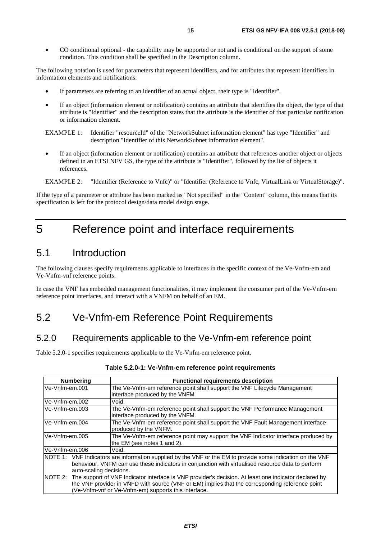<span id="page-14-0"></span>• CO conditional optional - the capability may be supported or not and is conditional on the support of some condition. This condition shall be specified in the Description column.

The following notation is used for parameters that represent identifiers, and for attributes that represent identifiers in information elements and notifications:

- If parameters are referring to an identifier of an actual object, their type is "Identifier".
- If an object (information element or notification) contains an attribute that identifies the object, the type of that attribute is "Identifier" and the description states that the attribute is the identifier of that particular notification or information element.

EXAMPLE 1: Identifier "resourceId" of the "NetworkSubnet information element" has type "Identifier" and description "Identifier of this NetworkSubnet information element".

• If an object (information element or notification) contains an attribute that references another object or objects defined in an ETSI NFV GS, the type of the attribute is "Identifier", followed by the list of objects it references.

EXAMPLE 2: "Identifier (Reference to Vnfc)" or "Identifier (Reference to Vnfc, VirtualLink or VirtualStorage)".

If the type of a parameter or attribute has been marked as "Not specified" in the "Content" column, this means that its specification is left for the protocol design/data model design stage.

# 5 Reference point and interface requirements

# 5.1 Introduction

The following clauses specify requirements applicable to interfaces in the specific context of the Ve-Vnfm-em and Ve-Vnfm-vnf reference points.

In case the VNF has embedded management functionalities, it may implement the consumer part of the Ve-Vnfm-em reference point interfaces, and interact with a VNFM on behalf of an EM.

# 5.2 Ve-Vnfm-em Reference Point Requirements

### 5.2.0 Requirements applicable to the Ve-Vnfm-em reference point

Table 5.2.0-1 specifies requirements applicable to the Ve-Vnfm-em reference point.

| <b>Numbering</b>        | <b>Functional requirements description</b>                                                                    |
|-------------------------|---------------------------------------------------------------------------------------------------------------|
| Ve-Vnfm-em.001          | The Ve-Vnfm-em reference point shall support the VNF Lifecycle Management                                     |
|                         | interface produced by the VNFM.                                                                               |
| lVe-Vnfm-em.002         | Void.                                                                                                         |
| lVe-Vnfm-em.003         | The Ve-Vnfm-em reference point shall support the VNF Performance Management                                   |
|                         | interface produced by the VNFM.                                                                               |
| Ve-Vnfm-em.004          | The Ve-Vnfm-em reference point shall support the VNF Fault Management interface                               |
|                         | produced by the VNFM.                                                                                         |
| Ve-Vnfm-em.005          | The Ve-Vnfm-em reference point may support the VNF Indicator interface produced by                            |
|                         | the EM (see notes 1 and 2).                                                                                   |
| Ve-Vnfm-em.006          | Void.                                                                                                         |
|                         | NOTE 1: VNF Indicators are information supplied by the VNF or the EM to provide some indication on the VNF    |
|                         | behaviour. VNFM can use these indicators in conjunction with virtualised resource data to perform             |
| auto-scaling decisions. |                                                                                                               |
|                         | NOTE 2: The support of VNF Indicator interface is VNF provider's decision. At least one indicator declared by |
|                         | the VNF provider in VNFD with source (VNF or EM) implies that the corresponding reference point               |
|                         | (Ve-Vnfm-vnf or Ve-Vnfm-em) supports this interface.                                                          |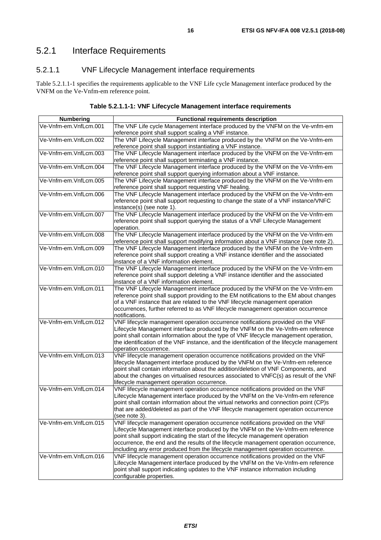# <span id="page-15-0"></span>5.2.1 Interface Requirements

### 5.2.1.1 VNF Lifecycle Management interface requirements

Table 5.2.1.1-1 specifies the requirements applicable to the VNF Life cycle Management interface produced by the VNFM on the Ve-Vnfm-em reference point.

| Table 5.2.1.1-1: VNF Lifecycle Management interface requirements |  |
|------------------------------------------------------------------|--|
|------------------------------------------------------------------|--|

| <b>Numbering</b>      | <b>Functional requirements description</b>                                                                                                                                                                                                                                                                                                                                                                                        |
|-----------------------|-----------------------------------------------------------------------------------------------------------------------------------------------------------------------------------------------------------------------------------------------------------------------------------------------------------------------------------------------------------------------------------------------------------------------------------|
| Ve-Vnfm-em.VnfLcm.001 | The VNF Life cycle Management interface produced by the VNFM on the Ve-vnfm-em<br>reference point shall support scaling a VNF instance.                                                                                                                                                                                                                                                                                           |
| Ve-Vnfm-em.VnfLcm.002 | The VNF Lifecycle Management interface produced by the VNFM on the Ve-Vnfm-em<br>reference point shall support instantiating a VNF instance.                                                                                                                                                                                                                                                                                      |
| Ve-Vnfm-em.VnfLcm.003 | The VNF Lifecycle Management interface produced by the VNFM on the Ve-Vnfm-em<br>reference point shall support terminating a VNF instance.                                                                                                                                                                                                                                                                                        |
| Ve-Vnfm-em.VnfLcm.004 | The VNF Lifecycle Management interface produced by the VNFM on the Ve-Vnfm-em<br>reference point shall support querying information about a VNF instance.                                                                                                                                                                                                                                                                         |
| Ve-Vnfm-em.VnfLcm.005 | The VNF Lifecycle Management interface produced by the VNFM on the Ve-Vnfm-em<br>reference point shall support requesting VNF healing.                                                                                                                                                                                                                                                                                            |
| Ve-Vnfm-em.VnfLcm.006 | The VNF Lifecycle Management interface produced by the VNFM on the Ve-Vnfm-em<br>reference point shall support requesting to change the state of a VNF instance/VNFC<br>instance(s) (see note 1).                                                                                                                                                                                                                                 |
| Ve-Vnfm-em.VnfLcm.007 | The VNF Lifecycle Management interface produced by the VNFM on the Ve-Vnfm-em<br>reference point shall support querying the status of a VNF Lifecycle Management<br>operation.                                                                                                                                                                                                                                                    |
| Ve-Vnfm-em.VnfLcm.008 | The VNF Lifecycle Management interface produced by the VNFM on the Ve-Vnfm-em<br>reference point shall support modifying information about a VNF instance (see note 2).                                                                                                                                                                                                                                                           |
| Ve-Vnfm-em.VnfLcm.009 | The VNF Lifecycle Management interface produced by the VNFM on the Ve-Vnfm-em<br>reference point shall support creating a VNF instance identifier and the associated<br>instance of a VNF information element.                                                                                                                                                                                                                    |
| Ve-Vnfm-em.VnfLcm.010 | The VNF Lifecycle Management interface produced by the VNFM on the Ve-Vnfm-em<br>reference point shall support deleting a VNF instance identifier and the associated<br>instance of a VNF information element.                                                                                                                                                                                                                    |
| Ve-Vnfm-em.VnfLcm.011 | The VNF Lifecycle Management interface produced by the VNFM on the Ve-Vnfm-em<br>reference point shall support providing to the EM notifications to the EM about changes<br>of a VNF instance that are related to the VNF lifecycle management operation<br>occurrences, further referred to as VNF lifecycle management operation occurrence<br>notifications.                                                                   |
| Ve-Vnfm-em.VnfLcm.012 | VNF lifecycle management operation occurrence notifications provided on the VNF<br>Lifecycle Management interface produced by the VNFM on the Ve-Vnfm-em reference<br>point shall contain information about the type of VNF lifecycle management operation,<br>the identification of the VNF instance, and the identification of the lifecycle management<br>operation occurrence.                                                |
| Ve-Vnfm-em.VnfLcm.013 | VNF lifecycle management operation occurrence notifications provided on the VNF<br>lifecycle Management interface produced by the VNFM on the Ve-Vnfm-em reference<br>point shall contain information about the addition/deletion of VNF Components, and<br>about the changes on virtualised resources associated to VNFC(s) as result of the VNF<br>lifecycle management operation occurrence.                                   |
| Ve-Vnfm-em.VnfLcm.014 | VNF lifecycle management operation occurrence notifications provided on the VNF<br>Lifecycle Management interface produced by the VNFM on the Ve-Vnfm-em reference<br>point shall contain information about the virtual networks and connection point (CP)s<br>that are added/deleted as part of the VNF lifecycle management operation occurrence<br>(see note 3).                                                               |
| Ve-Vnfm-em.VnfLcm.015 | VNF lifecycle management operation occurrence notifications provided on the VNF<br>Lifecycle Management interface produced by the VNFM on the Ve-Vnfm-em reference<br>point shall support indicating the start of the lifecycle management operation<br>occurrence, the end and the results of the lifecycle management operation occurrence,<br>including any error produced from the lifecycle management operation occurrence. |
| Ve-Vnfm-em.VnfLcm.016 | VNF lifecycle management operation occurrence notifications provided on the VNF<br>Lifecycle Management interface produced by the VNFM on the Ve-Vnfm-em reference<br>point shall support indicating updates to the VNF instance information including<br>configurable properties.                                                                                                                                                |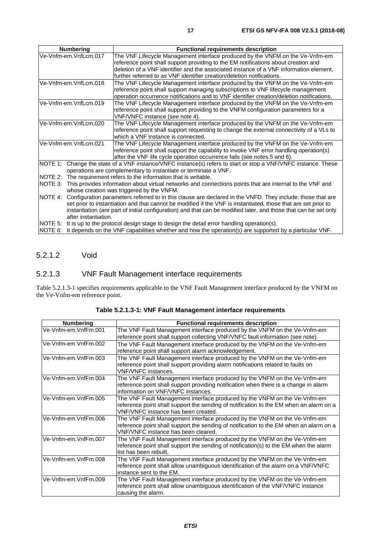<span id="page-16-0"></span>

|         | <b>Numbering</b>                                                                                                   | <b>Functional requirements description</b>                                                             |
|---------|--------------------------------------------------------------------------------------------------------------------|--------------------------------------------------------------------------------------------------------|
|         | Ve-Vnfm-em.VnfLcm.017                                                                                              | The VNF Lifecycle Management interface produced by the VNFM on the Ve-Vnfm-em                          |
|         |                                                                                                                    | reference point shall support providing to the EM notifications about creation and                     |
|         |                                                                                                                    | deletion of a VNF identifier and the associated instance of a VNF information element,                 |
|         |                                                                                                                    | further referred to as VNF identifier creation/deletion notifications.                                 |
|         | Ve-Vnfm-em.VnfLcm.018                                                                                              | The VNF Lifecycle Management interface produced by the VNFM on the Ve-Vnfm-em                          |
|         |                                                                                                                    | reference point shall support managing subscriptions to VNF lifecycle management                       |
|         |                                                                                                                    | operation occurrence notifications and to VNF identifier creation/deletion notifications.              |
|         | Ve-Vnfm-em.VnfLcm.019                                                                                              | The VNF Lifecycle Management interface produced by the VNFM on the Ve-Vnfm-em                          |
|         |                                                                                                                    | reference point shall support providing to the VNFM configuration parameters for a                     |
|         |                                                                                                                    | VNF/VNFC instance (see note 4).                                                                        |
|         | Ve-Vnfm-em.VnfLcm.020                                                                                              | The VNF Lifecycle Management interface produced by the VNFM on the Ve-Vnfm-em                          |
|         |                                                                                                                    | reference point shall support requesting to change the external connectivity of a VLs to               |
|         |                                                                                                                    | which a VNF instance is connected.                                                                     |
|         | Ve-Vnfm-em.VnfLcm.021                                                                                              | The VNF Lifecycle Management interface produced by the VNFM on the Ve-Vnfm-em                          |
|         |                                                                                                                    | reference point shall support the capability to invoke VNF error handling operation(s)                 |
|         |                                                                                                                    | after the VNF life cycle operation occurrence fails (see notes 5 and 6).                               |
| NOTE 1: |                                                                                                                    | Change the state of a VNF instance/VNFC instance(s) refers to start or stop a VNF/VNFC instance. These |
|         |                                                                                                                    | operations are complementary to instantiate or terminate a VNF.                                        |
| NOTE 2: |                                                                                                                    | The requirement refers to the information that is writable.                                            |
| NOTE 3: | This provides information about virtual networks and connections points that are internal to the VNF and           |                                                                                                        |
|         |                                                                                                                    | whose creation was triggered by the VNFM.                                                              |
|         | NOTE 4: Configuration parameters referred to in this clause are declared in the VNFD. They include: those that are |                                                                                                        |
|         | set prior to instantiation and that cannot be modified if the VNF is instantiated, those that are set prior to     |                                                                                                        |
|         | instantiation (are part of initial configuration) and that can be modified later, and those that can be set only   |                                                                                                        |
|         | after instantiation.                                                                                               |                                                                                                        |
| NOTE 5: |                                                                                                                    | It is up to the protocol design stage to design the detail error handling operation(s).                |
| NOTE 6: |                                                                                                                    | It depends on the VNF capabilities whether and how the operation(s) are supported by a particular VNF. |

### 5.2.1.2 Void

### 5.2.1.3 VNF Fault Management interface requirements

Table 5.2.1.3-1 specifies requirements applicable to the VNF Fault Management interface produced by the VNFM on the Ve-Vnfm-em reference point.

| <b>Numbering</b>     | <b>Functional requirements description</b>                                                                                                                                                                 |
|----------------------|------------------------------------------------------------------------------------------------------------------------------------------------------------------------------------------------------------|
| Ve-Vnfm-em.VnfFm.001 | The VNF Fault Management interface produced by the VNFM on the Ve-Vnfm-em<br>reference point shall support collecting VNF/VNFC fault information (see note).                                               |
| Ve-Vnfm-em.VnfFm.002 | The VNF Fault Management interface produced by the VNFM on the Ve-Vnfm-em<br>reference point shall support alarm acknowledgement.                                                                          |
| Ve-Vnfm-em.VnfFm.003 | The VNF Fault Management interface produced by the VNFM on the Ve-Vnfm-em<br>reference point shall support providing alarm notifications related to faults on<br><b>VNF/VNFC</b> instances.                |
| Ve-Vnfm-em.VnfFm.004 | The VNF Fault Management interface produced by the VNFM on the Ve-Vnfm-em<br>reference point shall support providing notification when there is a change in alarm<br>information on VNF/VNFC instances.    |
| Ve-Vnfm-em.VnfFm.005 | The VNF Fault Management interface produced by the VNFM on the Ve-Vnfm-em<br>reference point shall support the sending of notification to the EM when an alarm on a<br>VNF/VNFC instance has been created. |
| Ve-Vnfm-em.VnfFm.006 | The VNF Fault Management interface produced by the VNFM on the Ve-Vnfm-em<br>reference point shall support the sending of notification to the EM when an alarm on a<br>VNF/VNFC instance has been cleared. |
| Ve-Vnfm-em.VnfFm.007 | The VNF Fault Management interface produced by the VNFM on the Ve-Vnfm-em<br>reference point shall support the sending of notification(s) to the EM when the alarm<br>list has been rebuilt.               |
| Ve-Vnfm-em.VnfFm.008 | The VNF Fault Management interface produced by the VNFM on the Ve-Vnfm-em<br>reference point shall allow unambiguous identification of the alarm on a VNF/VNFC<br>instance sent to the EM.                 |
| Ve-Vnfm-em.VnfFm.009 | The VNF Fault Management interface produced by the VNFM on the Ve-Vnfm-em<br>reference point shall allow unambiguous identification of the VNF/VNFC instance<br>causing the alarm.                         |

**Table 5.2.1.3-1: VNF Fault Management interface requirements**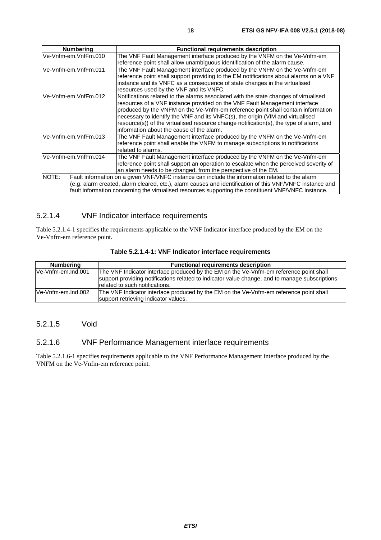<span id="page-17-0"></span>

| <b>Numbering</b>     | <b>Functional requirements description</b>                                                                                                                                                                                                                                                                                                                                                                                                                                       |
|----------------------|----------------------------------------------------------------------------------------------------------------------------------------------------------------------------------------------------------------------------------------------------------------------------------------------------------------------------------------------------------------------------------------------------------------------------------------------------------------------------------|
| Ve-Vnfm-em.VnfFm.010 | The VNF Fault Management interface produced by the VNFM on the Ve-Vnfm-em                                                                                                                                                                                                                                                                                                                                                                                                        |
| Ve-Vnfm-em.VnfFm.011 | reference point shall allow unambiguous identification of the alarm cause.<br>The VNF Fault Management interface produced by the VNFM on the Ve-Vnfm-em                                                                                                                                                                                                                                                                                                                          |
|                      | reference point shall support providing to the EM notifications about alarms on a VNF<br>instance and its VNFC as a consequence of state changes in the virtualised<br>resources used by the VNF and its VNFC.                                                                                                                                                                                                                                                                   |
| Ve-Vnfm-em.VnfFm.012 | Notifications related to the alarms associated with the state changes of virtualised<br>resources of a VNF instance provided on the VNF Fault Management interface<br>produced by the VNFM on the Ve-Vnfm-em reference point shall contain information<br>necessary to identify the VNF and its VNFC(s), the origin (VIM and virtualised<br>resource(s)) of the virtualised resource change notification(s), the type of alarm, and<br>information about the cause of the alarm. |
| Ve-Vnfm-em.VnfFm.013 | The VNF Fault Management interface produced by the VNFM on the Ve-Vnfm-em<br>reference point shall enable the VNFM to manage subscriptions to notifications<br>related to alarms.                                                                                                                                                                                                                                                                                                |
| Ve-Vnfm-em.VnfFm.014 | The VNF Fault Management interface produced by the VNFM on the Ve-Vnfm-em<br>reference point shall support an operation to escalate when the perceived severity of<br>an alarm needs to be changed, from the perspective of the EM.                                                                                                                                                                                                                                              |
| NOTE:                | Fault information on a given VNF/VNFC instance can include the information related to the alarm<br>(e.g. alarm created, alarm cleared, etc.), alarm causes and identification of this VNF/VNFC instance and<br>fault information concerning the virtualised resources supporting the constituent VNF/VNFC instance.                                                                                                                                                              |

### 5.2.1.4 VNF Indicator interface requirements

Table 5.2.1.4-1 specifies the requirements applicable to the VNF Indicator interface produced by the EM on the Ve-Vnfm-em reference point.

| <b>Numbering</b>   | <b>Functional requirements description</b>                                                                                                                                                                                 |
|--------------------|----------------------------------------------------------------------------------------------------------------------------------------------------------------------------------------------------------------------------|
| Ve-Vnfm-em.Ind.001 | The VNF Indicator interface produced by the EM on the Ve-Vnfm-em reference point shall<br>support providing notifications related to indicator value change, and to manage subscriptions<br>related to such notifications. |
| Ve-Vnfm-em.Ind.002 | The VNF Indicator interface produced by the EM on the Ve-Vnfm-em reference point shall<br>support retrieving indicator values.                                                                                             |

**Table 5.2.1.4-1: VNF Indicator interface requirements** 

#### 5.2.1.5 Void

#### 5.2.1.6 VNF Performance Management interface requirements

Table 5.2.1.6-1 specifies requirements applicable to the VNF Performance Management interface produced by the VNFM on the Ve-Vnfm-em reference point.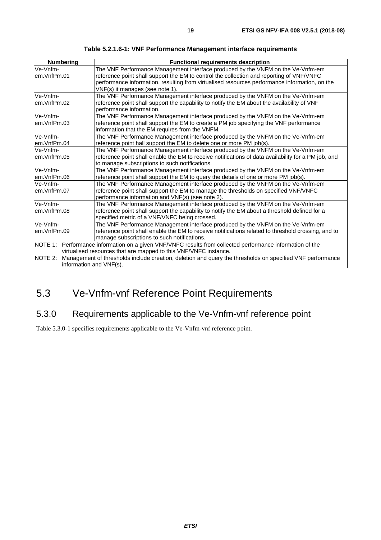<span id="page-18-0"></span>

| <b>Numbering</b>                                                                                                   | <b>Functional requirements description</b>                                                                |  |
|--------------------------------------------------------------------------------------------------------------------|-----------------------------------------------------------------------------------------------------------|--|
| Ve-Vnfm-                                                                                                           | The VNF Performance Management interface produced by the VNFM on the Ve-Vnfm-em                           |  |
| em.VnfPm.01                                                                                                        | reference point shall support the EM to control the collection and reporting of VNF/VNFC                  |  |
|                                                                                                                    | performance information, resulting from virtualised resources performance information, on the             |  |
|                                                                                                                    | VNF(s) it manages (see note 1).                                                                           |  |
| Ve-Vnfm-                                                                                                           | The VNF Performance Management interface produced by the VNFM on the Ve-Vnfm-em                           |  |
| em.VnfPm.02                                                                                                        | reference point shall support the capability to notify the EM about the availability of VNF               |  |
|                                                                                                                    | performance information.                                                                                  |  |
| Ve-Vnfm-                                                                                                           | The VNF Performance Management interface produced by the VNFM on the Ve-Vnfm-em                           |  |
| em.VnfPm.03                                                                                                        | reference point shall support the EM to create a PM job specifying the VNF performance                    |  |
|                                                                                                                    | information that the EM requires from the VNFM.                                                           |  |
| Ve-Vnfm-                                                                                                           | The VNF Performance Management interface produced by the VNFM on the Ve-Vnfm-em                           |  |
| em.VnfPm.04                                                                                                        | reference point hall support the EM to delete one or more PM job(s).                                      |  |
| Ve-Vnfm-                                                                                                           | The VNF Performance Management interface produced by the VNFM on the Ve-Vnfm-em                           |  |
| reference point shall enable the EM to receive notifications of data availability for a PM job, and<br>em.VnfPm.05 |                                                                                                           |  |
|                                                                                                                    | to manage subscriptions to such notifications.                                                            |  |
| Ve-Vnfm-                                                                                                           | The VNF Performance Management interface produced by the VNFM on the Ve-Vnfm-em                           |  |
| em.VnfPm.06                                                                                                        | reference point shall support the EM to query the details of one or more PM job(s).                       |  |
| Ve-Vnfm-                                                                                                           | The VNF Performance Management interface produced by the VNFM on the Ve-Vnfm-em                           |  |
| em.VnfPm.07<br>reference point shall support the EM to manage the thresholds on specified VNF/VNFC                 |                                                                                                           |  |
|                                                                                                                    | performance information and VNF(s) (see note 2).                                                          |  |
| Ve-Vnfm-                                                                                                           | The VNF Performance Management interface produced by the VNFM on the Ve-Vnfm-em                           |  |
| em.VnfPm.08                                                                                                        | reference point shall support the capability to notify the EM about a threshold defined for a             |  |
|                                                                                                                    | specified metric of a VNF/VNFC being crossed.                                                             |  |
| Ve-Vnfm-                                                                                                           | The VNF Performance Management interface produced by the VNFM on the Ve-Vnfm-em                           |  |
| em.VnfPm.09                                                                                                        | reference point shall enable the EM to receive notifications related to threshold crossing, and to        |  |
|                                                                                                                    | manage subscriptions to such notifications.                                                               |  |
|                                                                                                                    | NOTE 1: Performance information on a given VNF/VNFC results from collected performance information of the |  |
|                                                                                                                    | virtualised resources that are mapped to this VNF/VNFC instance.                                          |  |
| NOTE 2:                                                                                                            | Management of thresholds include creation, deletion and query the thresholds on specified VNF performance |  |
| information and VNF(s).                                                                                            |                                                                                                           |  |

**Table 5.2.1.6-1: VNF Performance Management interface requirements** 

# 5.3 Ve-Vnfm-vnf Reference Point Requirements

# 5.3.0 Requirements applicable to the Ve-Vnfm-vnf reference point

Table 5.3.0-1 specifies requirements applicable to the Ve-Vnfm-vnf reference point.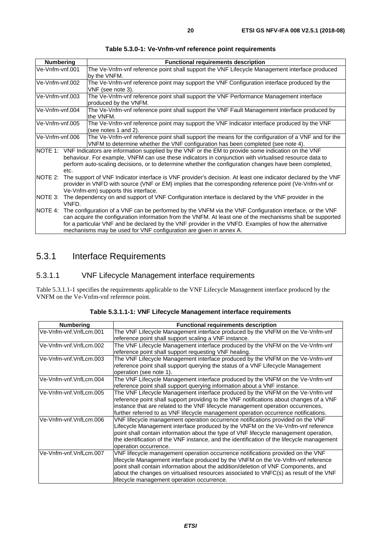<span id="page-19-0"></span>

| <b>Numbering</b> | <b>Functional requirements description</b>                                                                                                                                                                                                                                                                                                                                                           |  |
|------------------|------------------------------------------------------------------------------------------------------------------------------------------------------------------------------------------------------------------------------------------------------------------------------------------------------------------------------------------------------------------------------------------------------|--|
| Ve-Vnfm-vnf.001  | The Ve-Vnfm-vnf reference point shall support the VNF Lifecycle Management interface produced<br>by the VNFM.                                                                                                                                                                                                                                                                                        |  |
| Ve-Vnfm-vnf.002  | The Ve-Vnfm-vnf reference point may support the VNF Configuration interface produced by the<br>VNF (see note 3).                                                                                                                                                                                                                                                                                     |  |
| Ve-Vnfm-vnf.003  | The Ve-Vnfm-vnf reference point shall support the VNF Performance Management interface<br>produced by the VNFM.                                                                                                                                                                                                                                                                                      |  |
| Ve-Vnfm-vnf.004  | The Ve-Vnfm-vnf reference point shall support the VNF Fault Management interface produced by<br>the VNFM.                                                                                                                                                                                                                                                                                            |  |
| Ve-Vnfm-vnf.005  | The Ve-Vnfm-vnf reference point may support the VNF Indicator interface produced by the VNF<br>(see notes 1 and 2).                                                                                                                                                                                                                                                                                  |  |
| Ve-Vnfm-vnf.006  | The Ve-Vnfm-vnf reference point shall support the means for the configuration of a VNF and for the<br>VNFM to determine whether the VNF configuration has been completed (see note 4).                                                                                                                                                                                                               |  |
| etc.             | NOTE 1: VNF Indicators are information supplied by the VNF or the EM to provide some indication on the VNF<br>behaviour. For example, VNFM can use these indicators in conjunction with virtualised resource data to<br>perform auto-scaling decisions, or to determine whether the configuration changes have been completed,                                                                       |  |
| NOTE 2:          | The support of VNF Indicator interface is VNF provider's decision. At least one indicator declared by the VNF<br>provider in VNFD with source (VNF or EM) implies that the corresponding reference point (Ve-Vnfm-vnf or<br>Ve-Vnfm-em) supports this interface.                                                                                                                                     |  |
| NOTE 3:<br>VNFD. | The dependency on and support of VNF Configuration interface is declared by the VNF provider in the                                                                                                                                                                                                                                                                                                  |  |
| NOTE 4:          | The configuration of a VNF can be performed by the VNFM via the VNF Configuration interface, or the VNF<br>can acquire the configuration information from the VNFM. At least one of the mechanisms shall be supported<br>for a particular VNF and be declared by the VNF provider in the VNFD. Examples of how the alternative<br>mechanisms may be used for VNF configuration are given in annex A. |  |

#### **Table 5.3.0-1: Ve-Vnfm-vnf reference point requirements**

# 5.3.1 Interface Requirements

#### 5.3.1.1 VNF Lifecycle Management interface requirements

Table 5.3.1.1-1 specifies the requirements applicable to the VNF Lifecycle Management interface produced by the VNFM on the Ve-Vnfm-vnf reference point.

| <b>Numbering</b>       | <b>Functional requirements description</b>                                                 |
|------------------------|--------------------------------------------------------------------------------------------|
| Ve-Vnfm-vnf.VnfLcm.001 | The VNF Lifecycle Management interface produced by the VNFM on the Ve-Vnfm-vnf             |
|                        | reference point shall support scaling a VNF instance.                                      |
| Ve-Vnfm-vnf.VnfLcm.002 | The VNF Lifecycle Management interface produced by the VNFM on the Ve-Vnfm-vnf             |
|                        | reference point shall support requesting VNF healing.                                      |
| Ve-Vnfm-vnf.VnfLcm.003 | The VNF Lifecycle Management interface produced by the VNFM on the Ve-Vnfm-vnf             |
|                        | reference point shall support querying the status of a VNF Lifecycle Management            |
|                        | operation (see note 1).                                                                    |
| Ve-Vnfm-vnf.VnfLcm.004 | The VNF Lifecycle Management interface produced by the VNFM on the Ve-Vnfm-vnf             |
|                        | reference point shall support querying information about a VNF instance.                   |
| Ve-Vnfm-vnf.VnfLcm.005 | The VNF Lifecycle Management interface produced by the VNFM on the Ve-Vnfm-vnf             |
|                        | reference point shall support providing to the VNF notifications about changes of a VNF    |
|                        | instance that are related to the VNF lifecycle management operation occurrences,           |
|                        | further referred to as VNF lifecycle management operation occurrence notifications.        |
| Ve-Vnfm-vnf.VnfLcm.006 | VNF lifecycle management operation occurrence notifications provided on the VNF            |
|                        | Lifecycle Management interface produced by the VNFM on the Ve-Vnfm-vnf reference           |
|                        | point shall contain information about the type of VNF lifecycle management operation,      |
|                        | the identification of the VNF instance, and the identification of the lifecycle management |
|                        | operation occurrence.                                                                      |
| Ve-Vnfm-vnf.VnfLcm.007 | VNF lifecycle management operation occurrence notifications provided on the VNF            |
|                        | lifecycle Management interface produced by the VNFM on the Ve-Vnfm-vnf reference           |
|                        | point shall contain information about the addition/deletion of VNF Components, and         |
|                        | about the changes on virtualised resources associated to VNFC(s) as result of the VNF      |
|                        | lifecycle management operation occurrence.                                                 |

**Table 5.3.1.1-1: VNF Lifecycle Management interface requirements**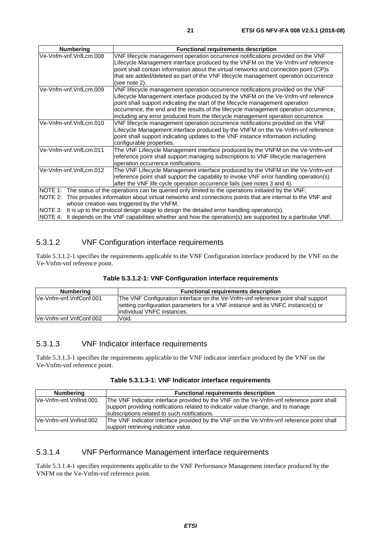<span id="page-20-0"></span>

| <b>Numbering</b>       | <b>Functional requirements description</b>                                                               |
|------------------------|----------------------------------------------------------------------------------------------------------|
| Ve-Vnfm-vnf.VnfLcm.008 | VNF lifecycle management operation occurrence notifications provided on the VNF                          |
|                        | Lifecycle Management interface produced by the VNFM on the Ve-Vnfm-vnf reference                         |
|                        | point shall contain information about the virtual networks and connection point (CP)s                    |
|                        | that are added/deleted as part of the VNF lifecycle management operation occurrence                      |
|                        | (see note 2).                                                                                            |
| Ve-Vnfm-vnf.VnfLcm.009 | VNF lifecycle management operation occurrence notifications provided on the VNF                          |
|                        | Lifecycle Management interface produced by the VNFM on the Ve-Vnfm-vnf reference                         |
|                        | point shall support indicating the start of the lifecycle management operation                           |
|                        | occurrence, the end and the results of the lifecycle management operation occurrence,                    |
|                        | including any error produced from the lifecycle management operation occurrence.                         |
| Ve-Vnfm-vnf.VnfLcm.010 | VNF lifecycle management operation occurrence notifications provided on the VNF                          |
|                        | Lifecycle Management interface produced by the VNFM on the Ve-Vnfm-vnf reference                         |
|                        | point shall support indicating updates to the VNF instance information including                         |
|                        | configurable properties.                                                                                 |
| Ve-Vnfm-vnf.VnfLcm.011 | The VNF Lifecycle Management interface produced by the VNFM on the Ve-Vnfm-vnf                           |
|                        | reference point shall support managing subscriptions to VNF lifecycle management                         |
|                        | operation occurrence notifications.                                                                      |
| Ve-Vnfm-vnf.VnfLcm.012 | The VNF Lifecycle Management interface produced by the VNFM on the Ve-Vnfm-vnf                           |
|                        | reference point shall support the capability to invoke VNF error handling operation(s)                   |
|                        | after the VNF life cycle operation occurrence fails (see notes 3 and 4).                                 |
|                        | NOTE 1: The status of the operations can be queried only limited to the operations initiated by the VNF. |
| NOTE 2:                | This provides information about virtual networks and connections points that are internal to the VNF and |
|                        | whose creation was triggered by the VNFM.                                                                |
| NOTE 3:                | It is up to the protocol design stage to design the detailed error handling operation(s).                |
| NOTE 4:                | It depends on the VNF capabilities whether and how the operation(s) are supported by a particular VNF.   |

### 5.3.1.2 VNF Configuration interface requirements

Table 5.3.1.2-1 specifies the requirements applicable to the VNF Configuration interface produced by the VNF on the Ve-Vnfm-vnf reference point.

| Table 5.3.1.2-1: VNF Configuration interface requirements |  |
|-----------------------------------------------------------|--|
|-----------------------------------------------------------|--|

| Numbering               | <b>Functional requirements description</b>                                                                                                                                                         |  |  |
|-------------------------|----------------------------------------------------------------------------------------------------------------------------------------------------------------------------------------------------|--|--|
| Ve-Vnfm-vnf.VnfConf.001 | The VNF Configuration interface on the Ve-Vnfm-vnf reference point shall support<br>setting configuration parameters for a VNF instance and its VNFC instance(s) or<br>lindividual VNFC instances. |  |  |
| Ve-Vnfm-vnf.VnfConf.002 | Void.                                                                                                                                                                                              |  |  |

### 5.3.1.3 VNF Indicator interface requirements

Table 5.3.1.3-1 specifies the requirements applicable to the VNF indicator interface produced by the VNF on the Ve-Vnfm-vnf reference point.

| Numbering              | <b>Functional requirements description</b>                                                                                                                                                                                   |
|------------------------|------------------------------------------------------------------------------------------------------------------------------------------------------------------------------------------------------------------------------|
| Ve-Vnfm-vnf.Vnflnd.001 | The VNF Indicator interface provided by the VNF on the Ve-Vnfm-vnf reference point shall<br>support providing notifications related to indicator value change, and to manage<br>subscriptions related to such notifications. |
| Ve-Vnfm-vnf.Vnflnd.002 | The VNF Indicator interface provided by the VNF on the Ve-Vnfm-vnf reference point shall<br>support retrieving indicator value.                                                                                              |

#### 5.3.1.4 VNF Performance Management interface requirements

Table 5.3.1.4-1 specifies requirements applicable to the VNF Performance Management interface produced by the VNFM on the Ve-Vnfm-vnf reference point.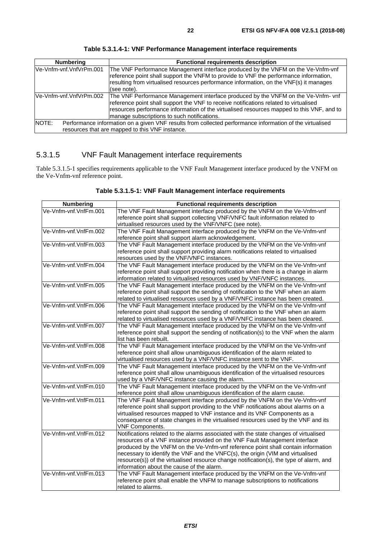<span id="page-21-0"></span>

| <b>Numbering</b>         | <b>Functional requirements description</b>                                                                                                                                                                                                                                                                             |
|--------------------------|------------------------------------------------------------------------------------------------------------------------------------------------------------------------------------------------------------------------------------------------------------------------------------------------------------------------|
| lVe-Vnfm-vnf.VnfVrPm.001 | The VNF Performance Management interface produced by the VNFM on the Ve-Vnfm-vnf<br>reference point shall support the VNFM to provide to VNF the performance information,<br>resulting from virtualised resources performance information, on the VNF(s) it manages<br>(see note).                                     |
| Ve-Vnfm-vnf.VnfVrPm.002  | The VNF Performance Management interface produced by the VNFM on the Ve-Vnfm- vnf<br>reference point shall support the VNF to receive notifications related to virtualised<br>resources performance information of the virtualised resources mapped to this VNF, and to<br>manage subscriptions to such notifications. |
| NOTE:                    | Performance information on a given VNF results from collected performance information of the virtualised<br>resources that are mapped to this VNF instance.                                                                                                                                                            |

**Table 5.3.1.4-1: VNF Performance Management interface requirements** 

# 5.3.1.5 VNF Fault Management interface requirements

Table 5.3.1.5-1 specifies requirements applicable to the VNF Fault Management interface produced by the VNFM on the Ve-Vnfm-vnf reference point.

| Table 5.3.1.5-1: VNF Fault Management interface requirements |  |
|--------------------------------------------------------------|--|
|--------------------------------------------------------------|--|

| <b>Numbering</b>      | <b>Functional requirements description</b>                                              |
|-----------------------|-----------------------------------------------------------------------------------------|
| Ve-Vnfm-vnf.VnfFm.001 | The VNF Fault Management interface produced by the VNFM on the Ve-Vnfm-vnf              |
|                       | reference point shall support collecting VNF/VNFC fault information related to          |
|                       | virtualised resources used by the VNF/VNFC (see note).                                  |
| Ve-Vnfm-vnf.VnfFm.002 | The VNF Fault Management interface produced by the VNFM on the Ve-Vnfm-vnf              |
|                       | reference point shall support alarm acknowledgement.                                    |
| Ve-Vnfm-vnf.VnfFm.003 | The VNF Fault Management interface produced by the VNFM on the Ve-Vnfm-vnf              |
|                       | reference point shall support providing alarm notifications related to virtualised      |
|                       | resources used by the VNF/VNFC instances.                                               |
| Ve-Vnfm-vnf.VnfFm.004 | The VNF Fault Management interface produced by the VNFM on the Ve-Vnfm-vnf              |
|                       | reference point shall support providing notification when there is a change in alarm    |
|                       | information related to virtualised resources used by VNF/VNFC instances.                |
| Ve-Vnfm-vnf.VnfFm.005 | The VNF Fault Management interface produced by the VNFM on the Ve-Vnfm-vnf              |
|                       | reference point shall support the sending of notification to the VNF when an alarm      |
|                       | related to virtualised resources used by a VNF/VNFC instance has been created.          |
| Ve-Vnfm-vnf.VnfFm.006 | The VNF Fault Management interface produced by the VNFM on the Ve-Vnfm-vnf              |
|                       | reference point shall support the sending of notification to the VNF when an alarm      |
|                       | related to virtualised resources used by a VNF/VNFC instance has been cleared.          |
| Ve-Vnfm-vnf.VnfFm.007 | The VNF Fault Management interface produced by the VNFM on the Ve-Vnfm-vnf              |
|                       | reference point shall support the sending of notification(s) to the VNF when the alarm  |
|                       | list has been rebuilt.                                                                  |
| Ve-Vnfm-vnf.VnfFm.008 | The VNF Fault Management interface produced by the VNFM on the Ve-Vnfm-vnf              |
|                       | reference point shall allow unambiguous identification of the alarm related to          |
|                       | virtualised resources used by a VNF/VNFC instance sent to the VNF.                      |
| Ve-Vnfm-vnf.VnfFm.009 | The VNF Fault Management interface produced by the VNFM on the Ve-Vnfm-vnf              |
|                       | reference point shall allow unambiguous identification of the virtualised resources     |
|                       | used by a VNF/VNFC instance causing the alarm.                                          |
| Ve-Vnfm-vnf.VnfFm.010 | The VNF Fault Management interface produced by the VNFM on the Ve-Vnfm-vnf              |
|                       | reference point shall allow unambiguous identification of the alarm cause.              |
| Ve-Vnfm-vnf.VnfFm.011 | The VNF Fault Management interface produced by the VNFM on the Ve-Vnfm-vnf              |
|                       | reference point shall support providing to the VNF notifications about alarms on a      |
|                       | virtualised resources mapped to VNF instance and its VNF Components as a                |
|                       | consequence of state changes in the virtualised resources used by the VNF and its       |
|                       | <b>VNF Components.</b>                                                                  |
| Ve-Vnfm-vnf.VnfFm.012 | Notifications related to the alarms associated with the state changes of virtualised    |
|                       | resources of a VNF instance provided on the VNF Fault Management interface              |
|                       | produced by the VNFM on the Ve-Vnfm-vnf reference point shall contain information       |
|                       | necessary to identify the VNF and the VNFC(s), the origin (VIM and virtualised          |
|                       | resource(s)) of the virtualised resource change notification(s), the type of alarm, and |
|                       | information about the cause of the alarm.                                               |
| Ve-Vnfm-vnf.VnfFm.013 | The VNF Fault Management interface produced by the VNFM on the Ve-Vnfm-vnf              |
|                       | reference point shall enable the VNFM to manage subscriptions to notifications          |
|                       | related to alarms.                                                                      |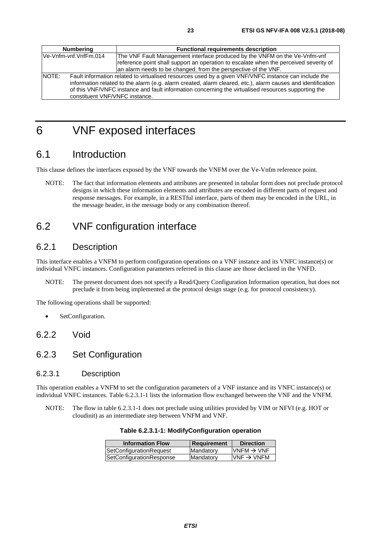# <span id="page-22-0"></span>6 VNF exposed interfaces

# 6.1 Introduction

This clause defines the interfaces exposed by the VNF towards the VNFM over the Ve-Vnfm reference point.

NOTE: The fact that information elements and attributes are presented in tabular form does not preclude protocol designs in which these information elements and attributes are encoded in different parts of request and response messages. For example, in a RESTful interface, parts of them may be encoded in the URL, in the message header, in the message body or any combination thereof.

# 6.2 VNF configuration interface

# 6.2.1 Description

This interface enables a VNFM to perform configuration operations on a VNF instance and its VNFC instance(s) or individual VNFC instances. Configuration parameters referred in this clause are those declared in the VNFD.

NOTE: The present document does not specify a Read/Query Configuration Information operation, but does not preclude it from being implemented at the protocol design stage (e.g. for protocol consistency).

The following operations shall be supported:

SetConfiguration.

#### 6.2.2 Void

### 6.2.3 Set Configuration

#### 6.2.3.1 Description

This operation enables a VNFM to set the configuration parameters of a VNF instance and its VNFC instance(s) or individual VNFC instances. Table 6.2.3.1-1 lists the information flow exchanged between the VNF and the VNFM.

NOTE: The flow in table 6.2.3.1-1 does not preclude using utilities provided by VIM or NFVI (e.g. HOT or cloudinit) as an intermediate step between VNFM and VNF.

**Table 6.2.3.1-1: ModifyConfiguration operation** 

| <b>Information Flow</b>  | Requirement | <b>Direction</b>        |
|--------------------------|-------------|-------------------------|
| SetConfigurationRequest  | Mandatory   | $VNFM \rightarrow VNF$  |
| SetConfigurationResponse | Mandatory   | $IVNF \rightarrow VNFM$ |
|                          |             |                         |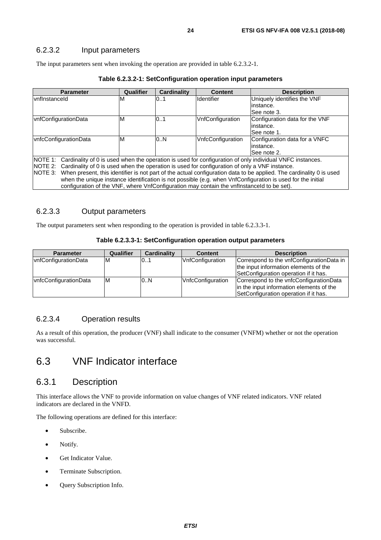#### <span id="page-23-0"></span>6.2.3.2 Input parameters

The input parameters sent when invoking the operation are provided in table 6.2.3.2-1.

| <b>Parameter</b>                                                                                                               | Qualifier                                                                                                | <b>Cardinality</b> | <b>Content</b>    | <b>Description</b>             |  |
|--------------------------------------------------------------------------------------------------------------------------------|----------------------------------------------------------------------------------------------------------|--------------------|-------------------|--------------------------------|--|
| vnflnstanceld                                                                                                                  | M                                                                                                        | 01                 | <b>Identifier</b> | Uniquely identifies the VNF    |  |
|                                                                                                                                |                                                                                                          |                    |                   | linstance.                     |  |
|                                                                                                                                |                                                                                                          |                    |                   | See note 3.                    |  |
| vnfConfigurationData                                                                                                           | M                                                                                                        | 0.1                | VnfConfiguration  | Configuration data for the VNF |  |
|                                                                                                                                |                                                                                                          |                    |                   | linstance.                     |  |
|                                                                                                                                |                                                                                                          |                    |                   | See note 1.                    |  |
| vnfcConfigurationData                                                                                                          | м                                                                                                        | 0N                 | VnfcConfiguration | Configuration data for a VNFC  |  |
|                                                                                                                                |                                                                                                          |                    |                   | linstance.                     |  |
|                                                                                                                                |                                                                                                          |                    |                   | See note 2.                    |  |
| NOTE 1:                                                                                                                        | Cardinality of 0 is used when the operation is used for configuration of only individual VNFC instances. |                    |                   |                                |  |
| Cardinality of 0 is used when the operation is used for configuration of only a VNF instance.<br>NOTE 2:                       |                                                                                                          |                    |                   |                                |  |
| When present, this identifier is not part of the actual configuration data to be applied. The cardinality 0 is used<br>NOTE 3: |                                                                                                          |                    |                   |                                |  |
| when the unique instance identification is not possible (e.g. when VnfConfiguration is used for the initial                    |                                                                                                          |                    |                   |                                |  |
| configuration of the VNF, where VnfConfiguration may contain the vnfInstanceId to be set).                                     |                                                                                                          |                    |                   |                                |  |

#### **Table 6.2.3.2-1: SetConfiguration operation input parameters**

#### 6.2.3.3 Output parameters

The output parameters sent when responding to the operation is provided in table 6.2.3.3-1.

#### **Table 6.2.3.3-1: SetConfiguration operation output parameters**

| <b>Parameter</b>      | Qualifier | <b>Cardinality</b> | <b>Content</b>          | <b>Description</b>                                                                                                           |
|-----------------------|-----------|--------------------|-------------------------|------------------------------------------------------------------------------------------------------------------------------|
| vnfConfigurationData  | ıм        | 101                | <b>VnfConfiguration</b> | Correspond to the vnfConfigurationData in<br>the input information elements of the<br>SetConfiguration operation if it has.  |
| vnfcConfigurationData | ΙM        | 0.N                | VnfcConfiguration       | Correspond to the vnfcConfigurationData<br>in the input information elements of the<br>SetConfiguration operation if it has. |

#### 6.2.3.4 Operation results

As a result of this operation, the producer (VNF) shall indicate to the consumer (VNFM) whether or not the operation was successful.

# 6.3 VNF Indicator interface

#### 6.3.1 Description

This interface allows the VNF to provide information on value changes of VNF related indicators. VNF related indicators are declared in the VNFD.

The following operations are defined for this interface:

- Subscribe.
- Notify.
- Get Indicator Value.
- Terminate Subscription.
- Query Subscription Info.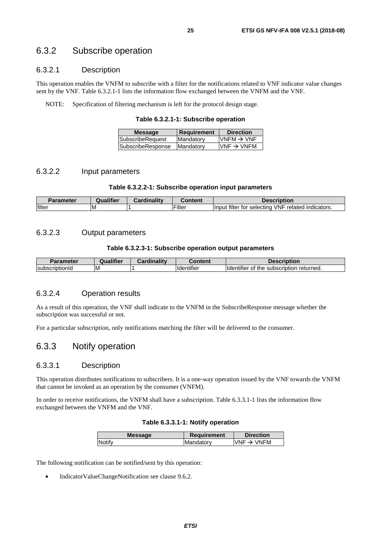### <span id="page-24-0"></span>6.3.2 Subscribe operation

#### 6.3.2.1 Description

This operation enables the VNFM to subscribe with a filter for the notifications related to VNF indicator value changes sent by the VNF. Table 6.3.2.1-1 lists the information flow exchanged between the VNFM and the VNF.

NOTE: Specification of filtering mechanism is left for the protocol design stage.

**Table 6.3.2.1-1: Subscribe operation** 

| <b>Message</b>          | <b>Requirement</b> | <b>Direction</b>       |
|-------------------------|--------------------|------------------------|
| <b>SubscribeRequest</b> | Mandatory          | VNFM $\rightarrow$ VNF |
| SubscribeResponse       | Mandatory          | $VNF \rightarrow VNFM$ |
|                         |                    |                        |

#### 6.3.2.2 Input parameters

#### **Table 6.3.2.2-1: Subscribe operation input parameters**

| <b>Parameter</b> | <b>Qualifier</b> | Cardinality | $-$ ontont | escription                                                                    |
|------------------|------------------|-------------|------------|-------------------------------------------------------------------------------|
| filter           | ιM               |             | Filter     | filter for<br>VNF<br>related<br>' indicators.<br><b>Ilnput</b><br>' selectina |

#### 6.3.2.3 Output parameters

#### **Table 6.3.2.3-1: Subscribe operation output parameters**

| <b>Parameter</b> | Qualifier | Cardinality | <b>Content</b>                | <b>Description</b>                                           |
|------------------|-----------|-------------|-------------------------------|--------------------------------------------------------------|
| IsubscriptionId  | ΙM        |             | $\cdots$<br><b>Identifier</b> | returned.<br>subscription<br><b>Ildentifier</b><br>the<br>0t |

#### 6.3.2.4 Operation results

As a result of this operation, the VNF shall indicate to the VNFM in the SubscribeResponse message whether the subscription was successful or not.

For a particular subscription, only notifications matching the filter will be delivered to the consumer.

#### 6.3.3 Notify operation

#### 6.3.3.1 Description

This operation distributes notifications to subscribers. It is a one-way operation issued by the VNF towards the VNFM that cannot be invoked as an operation by the consumer (VNFM).

In order to receive notifications, the VNFM shall have a subscription. Table 6.3.3.1-1 lists the information flow exchanged between the VNFM and the VNF.

|  | Table 6.3.3.1-1: Notify operation |
|--|-----------------------------------|
|--|-----------------------------------|

| <b>Message</b> | <b>Requirement</b> | <b>Direction</b>       |
|----------------|--------------------|------------------------|
| <b>Notify</b>  | Mandatory          | VNF $\rightarrow$ VNFM |
|                |                    |                        |

The following notification can be notified/sent by this operation:

• IndicatorValueChangeNotification see clause 9.6.2.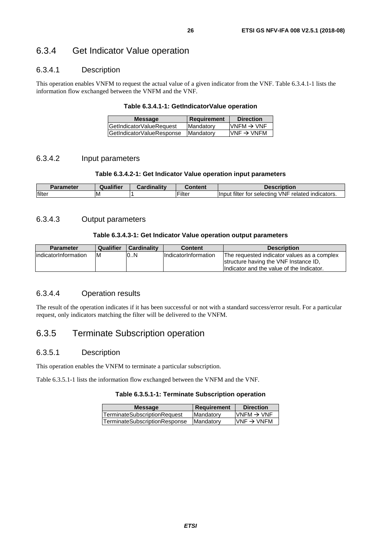### <span id="page-25-0"></span>6.3.4 Get Indicator Value operation

#### 6.3.4.1 Description

This operation enables VNFM to request the actual value of a given indicator from the VNF. Table 6.3.4.1-1 lists the information flow exchanged between the VNFM and the VNF.

#### **Table 6.3.4.1-1: GetIndicatorValue operation**

| <b>Message</b>            | Requirement      | <b>Direction</b>        |
|---------------------------|------------------|-------------------------|
| GetIndicatorValueRequest  | Mandatory        | $IVNFM \rightarrow VNF$ |
| GetIndicatorValueResponse | <b>Mandatory</b> | $VNF \rightarrow VNFM$  |

#### 6.3.4.2 Input parameters

#### **Table 6.3.4.2-1: Get Indicator Value operation input parameters**

| <b></b> . | <br>Qualifier | $\frac{1}{2}$ in $\frac{1}{2}$ in $\frac{1}{2}$<br><b>THE</b> | :ontent                   | <b>Pescription</b>                                                                                  |
|-----------|---------------|---------------------------------------------------------------|---------------------------|-----------------------------------------------------------------------------------------------------|
| filter    | ΙM            |                                                               | $- \cdot \cdot$<br>∙ılteı | <b>VNF</b><br>.<br>$\cdots$<br>related<br>indicators.<br>selecting<br><b>Input</b><br>tor<br>filter |

#### 6.3.4.3 Output parameters

#### **Table 6.3.4.3-1: Get Indicator Value operation output parameters**

| <b>Parameter</b>      | <b>Qualifier</b> | Cardinality | <b>Content</b>       | <b>Description</b>                          |
|-----------------------|------------------|-------------|----------------------|---------------------------------------------|
| lindicatorInformation | ΙM               | 10N         | IndicatorInformation | The requested indicator values as a complex |
|                       |                  |             |                      | structure having the VNF Instance ID,       |
|                       |                  |             |                      | Indicator and the value of the Indicator.   |

#### 6.3.4.4 Operation results

The result of the operation indicates if it has been successful or not with a standard success/error result. For a particular request, only indicators matching the filter will be delivered to the VNFM.

# 6.3.5 Terminate Subscription operation

#### 6.3.5.1 Description

This operation enables the VNFM to terminate a particular subscription.

Table 6.3.5.1-1 lists the information flow exchanged between the VNFM and the VNF.

#### **Table 6.3.5.1-1: Terminate Subscription operation**

| <b>Message</b>                | <b>Requirement</b> | <b>Direction</b>        |
|-------------------------------|--------------------|-------------------------|
| TerminateSubscriptionRequest  | Mandatory          | $IVNFM \rightarrow VNF$ |
| TerminateSubscriptionResponse | Mandatory          | IVNF $\rightarrow$ VNFM |
|                               |                    |                         |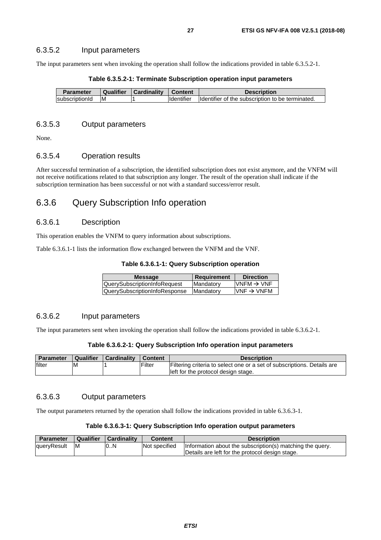#### <span id="page-26-0"></span>6.3.5.2 Input parameters

The input parameters sent when invoking the operation shall follow the indications provided in table 6.3.5.2-1.

| <b>Parameter</b> | Qualifier | <b>Cardinality</b> | <b>Content</b>    | <b>Description</b>                               |
|------------------|-----------|--------------------|-------------------|--------------------------------------------------|
| IsubscriptionId  | ΙM        |                    | <b>Identifier</b> | Identifier of the subscription to be terminated. |

#### **Table 6.3.5.2-1: Terminate Subscription operation input parameters**

#### 6.3.5.3 Output parameters

None.

#### 6.3.5.4 Operation results

After successful termination of a subscription, the identified subscription does not exist anymore, and the VNFM will not receive notifications related to that subscription any longer. The result of the operation shall indicate if the subscription termination has been successful or not with a standard success/error result.

### 6.3.6 Query Subscription Info operation

#### 6.3.6.1 Description

This operation enables the VNFM to query information about subscriptions.

Table 6.3.6.1-1 lists the information flow exchanged between the VNFM and the VNF.

| <b>Message</b>                      | <b>Requirement</b> | <b>Direction</b>        |
|-------------------------------------|--------------------|-------------------------|
| <b>QuerySubscriptionInfoRequest</b> | Mandatory          | $IVNFM \rightarrow VNF$ |
| QuerySubscriptionInfoResponse       | <b>IMandatory</b>  | $VNF \rightarrow VNFM$  |
|                                     |                    |                         |

#### 6.3.6.2 Input parameters

The input parameters sent when invoking the operation shall follow the indications provided in table 6.3.6.2-1.

#### **Table 6.3.6.2-1: Query Subscription Info operation input parameters**

| <b>Parameter</b> | Qualifier | <b>Cardinality</b> | <b>Content</b> | <b>Description</b>                                                      |
|------------------|-----------|--------------------|----------------|-------------------------------------------------------------------------|
| filter           | M         |                    | Filter         | Filtering criteria to select one or a set of subscriptions. Details are |
|                  |           |                    |                | left for the protocol design stage.                                     |

#### 6.3.6.3 Output parameters

The output parameters returned by the operation shall follow the indications provided in table 6.3.6.3-1.

#### **Table 6.3.6.3-1: Query Subscription Info operation output parameters**

| <b>Parameter</b> | <b>Qualifier</b> | <b>Cardinality</b> | <b>Content</b> | <b>Description</b>                                        |
|------------------|------------------|--------------------|----------------|-----------------------------------------------------------|
| queryResult      | ΙM               | 0.N                | Not specified  | Information about the subscription(s) matching the query. |
|                  |                  |                    |                | Details are left for the protocol design stage.           |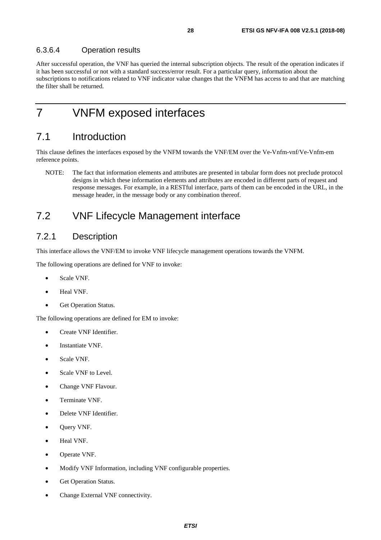<span id="page-27-0"></span>After successful operation, the VNF has queried the internal subscription objects. The result of the operation indicates if it has been successful or not with a standard success/error result. For a particular query, information about the subscriptions to notifications related to VNF indicator value changes that the VNFM has access to and that are matching the filter shall be returned.

# 7 VNFM exposed interfaces

# 7.1 Introduction

This clause defines the interfaces exposed by the VNFM towards the VNF/EM over the Ve-Vnfm-vnf/Ve-Vnfm-em reference points.

NOTE: The fact that information elements and attributes are presented in tabular form does not preclude protocol designs in which these information elements and attributes are encoded in different parts of request and response messages. For example, in a RESTful interface, parts of them can be encoded in the URL, in the message header, in the message body or any combination thereof.

# 7.2 VNF Lifecycle Management interface

# 7.2.1 Description

This interface allows the VNF/EM to invoke VNF lifecycle management operations towards the VNFM.

The following operations are defined for VNF to invoke:

- Scale VNF.
- Heal VNF.
- Get Operation Status.

The following operations are defined for EM to invoke:

- Create VNF Identifier.
- Instantiate VNF.
- Scale VNF.
- Scale VNF to Level.
- Change VNF Flavour.
- Terminate VNF.
- Delete VNF Identifier.
- Query VNF.
- Heal VNF.
- Operate VNF.
- Modify VNF Information, including VNF configurable properties.
- Get Operation Status.
- Change External VNF connectivity.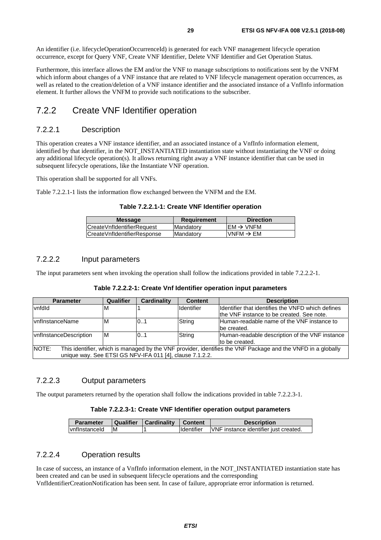<span id="page-28-0"></span>An identifier (i.e. lifecycleOperationOccurrenceId) is generated for each VNF management lifecycle operation occurrence, except for Query VNF, Create VNF Identifier, Delete VNF Identifier and Get Operation Status.

Furthermore, this interface allows the EM and/or the VNF to manage subscriptions to notifications sent by the VNFM which inform about changes of a VNF instance that are related to VNF lifecycle management operation occurrences, as well as related to the creation/deletion of a VNF instance identifier and the associated instance of a VnfInfo information element. It further allows the VNFM to provide such notifications to the subscriber.

### 7.2.2 Create VNF Identifier operation

#### 7.2.2.1 Description

This operation creates a VNF instance identifier, and an associated instance of a VnfInfo information element, identified by that identifier, in the NOT\_INSTANTIATED instantiation state without instantiating the VNF or doing any additional lifecycle operation(s). It allows returning right away a VNF instance identifier that can be used in subsequent lifecycle operations, like the Instantiate VNF operation.

This operation shall be supported for all VNFs.

Table 7.2.2.1-1 lists the information flow exchanged between the VNFM and the EM.

| Table 7.2.2.1-1: Create VNF Identifier operation |  |  |  |  |
|--------------------------------------------------|--|--|--|--|
|--------------------------------------------------|--|--|--|--|

| <b>Message</b>              | <b>Requirement</b> | <b>Direction</b>         |
|-----------------------------|--------------------|--------------------------|
| CreateVnfldentifierRequest  | <b>Mandatory</b>   | IEM $\rightarrow$ VNFM   |
| CreateVnfldentifierResponse | Mandatory          | $N$ NFM $\rightarrow$ EM |
|                             |                    |                          |

#### 7.2.2.2 Input parameters

The input parameters sent when invoking the operation shall follow the indications provided in table 7.2.2.2-1.

| Table 7.2.2.2-1: Create Vnf Identifier operation input parameters |  |
|-------------------------------------------------------------------|--|
|-------------------------------------------------------------------|--|

| <b>Parameter</b>                                                                                                      | Qualifier | <b>Cardinality</b> | <b>Content</b> | <b>Description</b>                                |  |
|-----------------------------------------------------------------------------------------------------------------------|-----------|--------------------|----------------|---------------------------------------------------|--|
| vnfdld                                                                                                                | M         |                    | Identifier     | Identifier that identifies the VNFD which defines |  |
|                                                                                                                       |           |                    |                | the VNF instance to be created. See note.         |  |
| <b>IvnfInstanceName</b>                                                                                               | M         | 01                 | String         | Human-readable name of the VNF instance to        |  |
|                                                                                                                       |           |                    |                | lbe created.                                      |  |
| vnflnstanceDescription                                                                                                | M         | 0.1                | String         | Human-readable description of the VNF instance    |  |
|                                                                                                                       |           |                    |                | to be created.                                    |  |
| NOTE:<br>This identifier, which is managed by the VNF provider, identifies the VNF Package and the VNFD in a globally |           |                    |                |                                                   |  |
| unique way. See ETSI GS NFV-IFA 011 [4], clause 7.1.2.2.                                                              |           |                    |                |                                                   |  |

#### 7.2.2.3 Output parameters

The output parameters returned by the operation shall follow the indications provided in table 7.2.2.3-1.

#### **Table 7.2.2.3-1: Create VNF Identifier operation output parameters**

| <b>Parameter</b>     | Qualifier | Cardinality | <b>Content</b> | <b>Description</b>                    |
|----------------------|-----------|-------------|----------------|---------------------------------------|
| <b>vnflnstanceld</b> | -M        |             | Identifier     | VNF instance identifier just created. |

#### 7.2.2.4 Operation results

In case of success, an instance of a VnfInfo information element, in the NOT\_INSTANTIATED instantiation state has been created and can be used in subsequent lifecycle operations and the corresponding VnfIdentifierCreationNotification has been sent. In case of failure, appropriate error information is returned.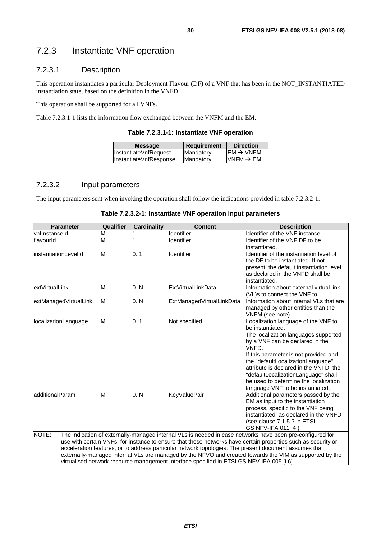# <span id="page-29-0"></span>7.2.3 Instantiate VNF operation

#### 7.2.3.1 Description

This operation instantiates a particular Deployment Flavour (DF) of a VNF that has been in the NOT\_INSTANTIATED instantiation state, based on the definition in the VNFD.

This operation shall be supported for all VNFs.

Table 7.2.3.1-1 lists the information flow exchanged between the VNFM and the EM.

**Table 7.2.3.1-1: Instantiate VNF operation** 

| <b>Message</b>         | Requirement | <b>Direction</b>       |
|------------------------|-------------|------------------------|
| InstantiateVnfRequest  | Mandatory   | $EM \rightarrow VNFM$  |
| InstantiateVnfResponse | Mandatory   | $IVNFM \rightarrow EM$ |
|                        |             |                        |

#### 7.2.3.2 Input parameters

The input parameters sent when invoking the operation shall follow the indications provided in table 7.2.3.2-1.

| <b>Parameter</b>       | Qualifier | <b>Cardinality</b> | <b>Content</b>                                                                            | <b>Description</b>                                                                                                                                                                                                                                                                                                                                                                                                                             |
|------------------------|-----------|--------------------|-------------------------------------------------------------------------------------------|------------------------------------------------------------------------------------------------------------------------------------------------------------------------------------------------------------------------------------------------------------------------------------------------------------------------------------------------------------------------------------------------------------------------------------------------|
| vnflnstanceld          | M         |                    | Identifier                                                                                | Identifier of the VNF instance.                                                                                                                                                                                                                                                                                                                                                                                                                |
| flavourld              | M         |                    | Identifier                                                                                | Identifier of the VNF DF to be<br>instantiated.                                                                                                                                                                                                                                                                                                                                                                                                |
| instantiationLevelId   | M         | 0.1                | Identifier                                                                                | Identifier of the instantiation level of<br>the DF to be instantiated. If not<br>present, the default instantiation level<br>as declared in the VNFD shall be<br>instantiated.                                                                                                                                                                                                                                                                 |
| lextVirtualLink        | M         | 0.N                | ExtVirtualLinkData                                                                        | Information about external virtual link<br>(VL)s to connect the VNF to.                                                                                                                                                                                                                                                                                                                                                                        |
| extManagedVirtualLink  | M         | 0.N                | ExtManagedVirtualLinkData                                                                 | Information about internal VLs that are<br>managed by other entities than the<br>VNFM (see note).                                                                                                                                                                                                                                                                                                                                              |
| localizationLanguage   | M         | 0.1                | Not specified                                                                             | Localization language of the VNF to<br>be instantiated.<br>The localization languages supported<br>by a VNF can be declared in the<br>VNFD.<br>If this parameter is not provided and<br>the "defaultLocalizationLanguage"<br>attribute is declared in the VNFD, the<br>"defaultLocalizationLanguage" shall<br>be used to determine the localization<br>language VNF to be instantiated.                                                        |
| <b>additionalParam</b> | M         | 0.N                | <b>KeyValuePair</b>                                                                       | Additional parameters passed by the<br>EM as input to the instantiation<br>process, specific to the VNF being<br>instantiated, as declared in the VNFD<br>(see clause 7.1.5.3 in ETSI<br>GS NFV-IFA 011 [4]).                                                                                                                                                                                                                                  |
| NOTE:                  |           |                    | virtualised network resource management interface specified in ETSI GS NFV-IFA 005 [i.6]. | The indication of externally-managed internal VLs is needed in case networks have been pre-configured for<br>use with certain VNFs, for instance to ensure that these networks have certain properties such as security or<br>acceleration features, or to address particular network topologies. The present document assumes that<br>externally-managed internal VLs are managed by the NFVO and created towards the VIM as supported by the |

| Table 7.2.3.2-1: Instantiate VNF operation input parameters |  |  |
|-------------------------------------------------------------|--|--|
|-------------------------------------------------------------|--|--|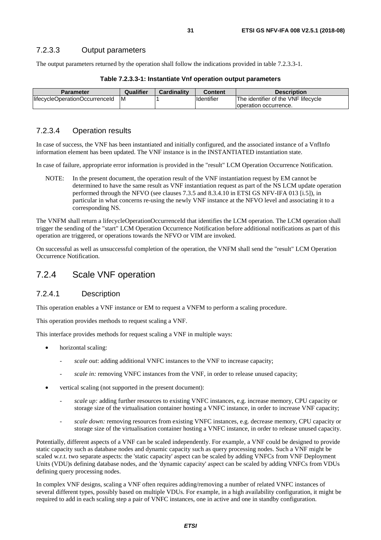<span id="page-30-0"></span>The output parameters returned by the operation shall follow the indications provided in table 7.2.3.3-1.

| <b>Parameter</b>               | Qualifier | Cardinality | <b>Content</b> | <b>Description</b>                  |
|--------------------------------|-----------|-------------|----------------|-------------------------------------|
| lifecycleOperationOccurrenceId |           |             | Identifier     | The identifier of the VNF lifecycle |
|                                |           |             |                | loperation occurrence.              |

#### **Table 7.2.3.3-1: Instantiate Vnf operation output parameters**

#### 7.2.3.4 Operation results

In case of success, the VNF has been instantiated and initially configured, and the associated instance of a VnfInfo information element has been updated. The VNF instance is in the INSTANTIATED instantiation state.

In case of failure, appropriate error information is provided in the "result" LCM Operation Occurrence Notification.

NOTE: In the present document, the operation result of the VNF instantiation request by EM cannot be determined to have the same result as VNF instantiation request as part of the NS LCM update operation performed through the NFVO (see clauses 7.3.5 and 8.3.4.10 in ETSI GS NFV-IFA 013 [[i.5](#page-12-0)]), in particular in what concerns re-using the newly VNF instance at the NFVO level and associating it to a corresponding NS.

The VNFM shall return a lifecycleOperationOccurrenceId that identifies the LCM operation. The LCM operation shall trigger the sending of the "start" LCM Operation Occurrence Notification before additional notifications as part of this operation are triggered, or operations towards the NFVO or VIM are invoked.

On successful as well as unsuccessful completion of the operation, the VNFM shall send the "result" LCM Operation Occurrence Notification.

### 7.2.4 Scale VNF operation

#### 7.2.4.1 Description

This operation enables a VNF instance or EM to request a VNFM to perform a scaling procedure.

This operation provides methods to request scaling a VNF.

This interface provides methods for request scaling a VNF in multiple ways:

- horizontal scaling:
	- scale out: adding additional VNFC instances to the VNF to increase capacity;
	- scale in: removing VNFC instances from the VNF, in order to release unused capacity;
- vertical scaling (not supported in the present document):
	- *scale up:* adding further resources to existing VNFC instances, e.g. increase memory, CPU capacity or storage size of the virtualisation container hosting a VNFC instance, in order to increase VNF capacity;
	- *scale down:* removing resources from existing VNFC instances, e.g. decrease memory, CPU capacity or storage size of the virtualisation container hosting a VNFC instance, in order to release unused capacity.

Potentially, different aspects of a VNF can be scaled independently. For example, a VNF could be designed to provide static capacity such as database nodes and dynamic capacity such as query processing nodes. Such a VNF might be scaled w.r.t. two separate aspects: the 'static capacity' aspect can be scaled by adding VNFCs from VNF Deployment Units (VDU)s defining database nodes, and the 'dynamic capacity' aspect can be scaled by adding VNFCs from VDUs defining query processing nodes.

In complex VNF designs, scaling a VNF often requires adding/removing a number of related VNFC instances of several different types, possibly based on multiple VDUs. For example, in a high availability configuration, it might be required to add in each scaling step a pair of VNFC instances, one in active and one in standby configuration.

*ETSI*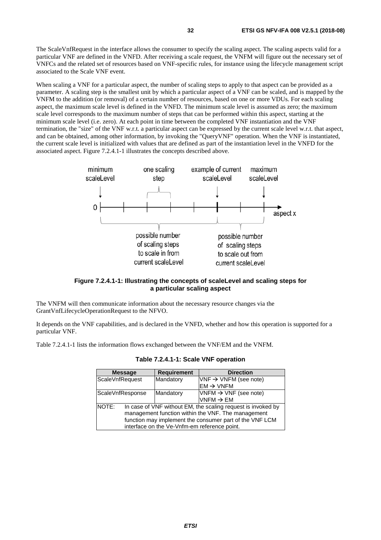The ScaleVnfRequest in the interface allows the consumer to specify the scaling aspect. The scaling aspects valid for a particular VNF are defined in the VNFD. After receiving a scale request, the VNFM will figure out the necessary set of VNFCs and the related set of resources based on VNF-specific rules, for instance using the lifecycle management script associated to the Scale VNF event.

When scaling a VNF for a particular aspect, the number of scaling steps to apply to that aspect can be provided as a parameter. A scaling step is the smallest unit by which a particular aspect of a VNF can be scaled, and is mapped by the VNFM to the addition (or removal) of a certain number of resources, based on one or more VDUs. For each scaling aspect, the maximum scale level is defined in the VNFD. The minimum scale level is assumed as zero; the maximum scale level corresponds to the maximum number of steps that can be performed within this aspect, starting at the minimum scale level (i.e. zero). At each point in time between the completed VNF instantiation and the VNF termination, the "size" of the VNF w.r.t. a particular aspect can be expressed by the current scale level w.r.t. that aspect, and can be obtained, among other information, by invoking the "QueryVNF" operation. When the VNF is instantiated, the current scale level is initialized with values that are defined as part of the instantiation level in the VNFD for the associated aspect. Figure 7.2.4.1-1 illustrates the concepts described above.



#### **Figure 7.2.4.1-1: Illustrating the concepts of scaleLevel and scaling steps for a particular scaling aspect**

The VNFM will then communicate information about the necessary resource changes via the GrantVnfLifecycleOperationRequest to the NFVO.

It depends on the VNF capabilities, and is declared in the VNFD, whether and how this operation is supported for a particular VNF.

Table 7.2.4.1-1 lists the information flows exchanged between the VNF/EM and the VNFM.

| <b>Message</b>   |                                                              | <b>Requirement</b> | <b>Direction</b>                  |  |  |
|------------------|--------------------------------------------------------------|--------------------|-----------------------------------|--|--|
| ScaleVnfRequest  |                                                              | Mandatory          | $VNF \rightarrow VNFM$ (see note) |  |  |
|                  |                                                              |                    | $EM \rightarrow VNFM$             |  |  |
| ScaleVnfResponse |                                                              | Mandatory          | $VNFM \rightarrow VNF$ (see note) |  |  |
|                  |                                                              |                    | $VNFM \rightarrow EM$             |  |  |
| <b>INOTE:</b>    | In case of VNF without EM, the scaling request is invoked by |                    |                                   |  |  |
|                  | management function within the VNF. The management           |                    |                                   |  |  |
|                  | function may implement the consumer part of the VNF LCM      |                    |                                   |  |  |
|                  | interface on the Ve-Vnfm-em reference point.                 |                    |                                   |  |  |

**Table 7.2.4.1-1: Scale VNF operation**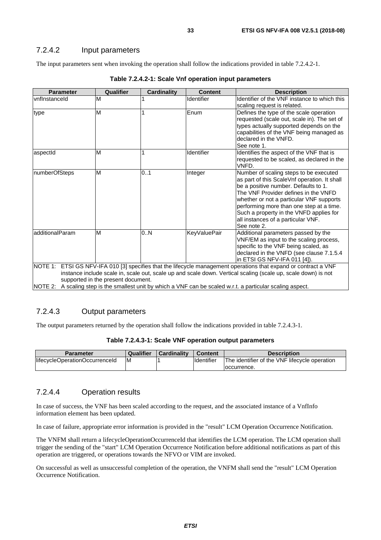#### <span id="page-32-0"></span>7.2.4.2 Input parameters

The input parameters sent when invoking the operation shall follow the indications provided in table 7.2.4.2-1.

| <b>Parameter</b> | Qualifier                          | <b>Cardinality</b> | <b>Content</b>      | <b>Description</b>                                                                                            |
|------------------|------------------------------------|--------------------|---------------------|---------------------------------------------------------------------------------------------------------------|
| vnflnstanceld    | M                                  |                    | Identifier          | Identifier of the VNF instance to which this                                                                  |
|                  |                                    |                    |                     | scaling request is related.                                                                                   |
|                  | M                                  |                    | Enum                | Defines the type of the scale operation                                                                       |
| type             |                                    |                    |                     | requested (scale out, scale in). The set of                                                                   |
|                  |                                    |                    |                     | types actually supported depends on the                                                                       |
|                  |                                    |                    |                     | capabilities of the VNF being managed as                                                                      |
|                  |                                    |                    |                     | declared in the VNFD.                                                                                         |
|                  |                                    |                    |                     | See note 1.                                                                                                   |
| aspectId         | M                                  | 1                  | Identifier          | Identifies the aspect of the VNF that is                                                                      |
|                  |                                    |                    |                     | requested to be scaled, as declared in the                                                                    |
|                  |                                    |                    |                     | VNFD.                                                                                                         |
| numberOfSteps    | M                                  | 0.1                | Integer             | Number of scaling steps to be executed                                                                        |
|                  |                                    |                    |                     | as part of this ScaleVnf operation. It shall                                                                  |
|                  |                                    |                    |                     | be a positive number. Defaults to 1.                                                                          |
|                  |                                    |                    |                     | The VNF Provider defines in the VNFD                                                                          |
|                  |                                    |                    |                     | whether or not a particular VNF supports                                                                      |
|                  |                                    |                    |                     | performing more than one step at a time.                                                                      |
|                  |                                    |                    |                     | Such a property in the VNFD applies for                                                                       |
|                  |                                    |                    |                     | all instances of a particular VNF.                                                                            |
|                  |                                    |                    |                     | See note 2.                                                                                                   |
| additionalParam  | M                                  | 0.N                | <b>KeyValuePair</b> | Additional parameters passed by the                                                                           |
|                  |                                    |                    |                     | VNF/EM as input to the scaling process,                                                                       |
|                  |                                    |                    |                     | specific to the VNF being scaled, as                                                                          |
|                  |                                    |                    |                     | declared in the VNFD (see clause 7.1.5.4                                                                      |
|                  |                                    |                    |                     | in ETSI GS NFV-IFA 011 [4]).                                                                                  |
| <b>NOTE 1:</b>   |                                    |                    |                     | ETSI GS NFV-IFA 010 [3] specifies that the lifecycle management operations that expand or contract a VNF      |
|                  |                                    |                    |                     | instance include scale in, scale out, scale up and scale down. Vertical scaling (scale up, scale down) is not |
|                  | supported in the present document. |                    |                     |                                                                                                               |

**Table 7.2.4.2-1: Scale Vnf operation input parameters**

NOTE 2: A scaling step is the smallest unit by which a VNF can be scaled w.r.t. a particular scaling aspect.

#### 7.2.4.3 Output parameters

The output parameters returned by the operation shall follow the indications provided in table 7.2.4.3-1.

|  |  | Table 7.2.4.3-1: Scale VNF operation output parameters |
|--|--|--------------------------------------------------------|
|--|--|--------------------------------------------------------|

| <b>Parameter</b>               | Qualifier | Cardinality | <b>Content</b>    | <b>Description</b>                            |
|--------------------------------|-----------|-------------|-------------------|-----------------------------------------------|
| lifecycleOperationOccurrenceId | ΙM        |             | <b>Identifier</b> | The identifier of the VNF lifecycle operation |
|                                |           |             |                   | loccurrence.                                  |

#### 7.2.4.4 Operation results

In case of success, the VNF has been scaled according to the request, and the associated instance of a VnfInfo information element has been updated.

In case of failure, appropriate error information is provided in the "result" LCM Operation Occurrence Notification.

The VNFM shall return a lifecycleOperationOccurrenceId that identifies the LCM operation. The LCM operation shall trigger the sending of the "start" LCM Operation Occurrence Notification before additional notifications as part of this operation are triggered, or operations towards the NFVO or VIM are invoked.

On successful as well as unsuccessful completion of the operation, the VNFM shall send the "result" LCM Operation Occurrence Notification.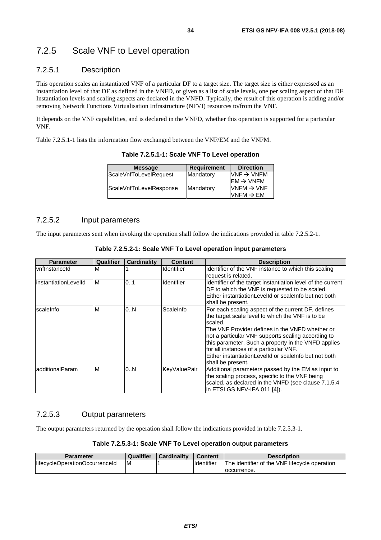#### <span id="page-33-0"></span>7.2.5.1 Description

This operation scales an instantiated VNF of a particular DF to a target size. The target size is either expressed as an instantiation level of that DF as defined in the VNFD, or given as a list of scale levels, one per scaling aspect of that DF. Instantiation levels and scaling aspects are declared in the VNFD. Typically, the result of this operation is adding and/or removing Network Functions Virtualisation Infrastructure (NFVI) resources to/from the VNF.

It depends on the VNF capabilities, and is declared in the VNFD, whether this operation is supported for a particular VNF.

Table 7.2.5.1-1 lists the information flow exchanged between the VNF/EM and the VNFM.

| <b>Message</b>          | <b>Requirement</b> | <b>Direction</b>       |
|-------------------------|--------------------|------------------------|
| ScaleVnfToLevelRequest  | Mandatory          | $VNF \rightarrow VNFM$ |
|                         |                    | $EM \rightarrow VNFM$  |
| ScaleVnfToLevelResponse | Mandatory          | $VNFM \rightarrow VNF$ |
|                         |                    | VNFM $\rightarrow$ EM  |

**Table 7.2.5.1-1: Scale VNF To Level operation** 

#### 7.2.5.2 Input parameters

The input parameters sent when invoking the operation shall follow the indications provided in table 7.2.5.2-1.

| Table 7.2.5.2-1: Scale VNF To Level operation input parameters |
|----------------------------------------------------------------|
|----------------------------------------------------------------|

| <b>Parameter</b>      | Qualifier | <b>Cardinality</b> | <b>Content</b>      | <b>Description</b>                                                                                                                                                                                                                                                                                                                                                                                        |
|-----------------------|-----------|--------------------|---------------------|-----------------------------------------------------------------------------------------------------------------------------------------------------------------------------------------------------------------------------------------------------------------------------------------------------------------------------------------------------------------------------------------------------------|
| vnflnstanceld         | M         |                    | <b>Identifier</b>   | Identifier of the VNF instance to which this scaling<br>request is related.                                                                                                                                                                                                                                                                                                                               |
| linstantiationLevelId | ΙM        | 01                 | <b>Identifier</b>   | Identifier of the target instantiation level of the current<br>DF to which the VNF is requested to be scaled.<br>Either instantiation Levelld or scale nfo but not both<br>shall be present.                                                                                                                                                                                                              |
| scaleInfo             | M         | 0N                 | ScaleInfo           | For each scaling aspect of the current DF, defines<br>the target scale level to which the VNF is to be<br>scaled.<br>The VNF Provider defines in the VNFD whether or<br>not a particular VNF supports scaling according to<br>this parameter. Such a property in the VNFD applies<br>for all instances of a particular VNF.<br>Either instantiationLevelId or scaleInfo but not both<br>shall be present. |
| ladditionalParam      | M         | 0N                 | <b>KeyValuePair</b> | Additional parameters passed by the EM as input to<br>the scaling process, specific to the VNF being<br>scaled, as declared in the VNFD (see clause 7.1.5.4)<br>in ETSI GS NFV-IFA 011 [4]).                                                                                                                                                                                                              |

#### 7.2.5.3 Output parameters

The output parameters returned by the operation shall follow the indications provided in table 7.2.5.3-1.

| Table 7.2.5.3-1: Scale VNF To Level operation output parameters |  |  |
|-----------------------------------------------------------------|--|--|
|-----------------------------------------------------------------|--|--|

| Parameter                      | Qualifier | <b>Cardinality</b> | <b>Content</b>    | <b>Description</b>                            |
|--------------------------------|-----------|--------------------|-------------------|-----------------------------------------------|
| lifecycleOperationOccurrenceId | M         |                    | <b>Identifier</b> | The identifier of the VNF lifecycle operation |
|                                |           |                    |                   | loccurrence.                                  |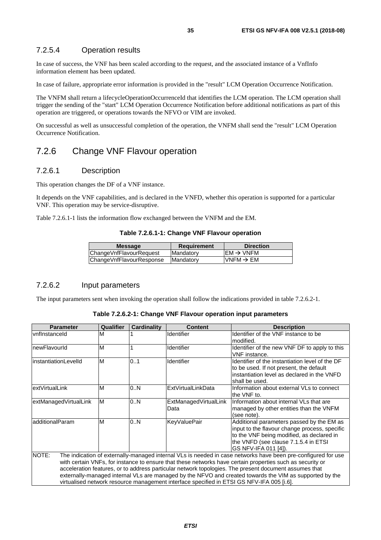#### <span id="page-34-0"></span>7.2.5.4 Operation results

In case of success, the VNF has been scaled according to the request, and the associated instance of a VnfInfo information element has been updated.

In case of failure, appropriate error information is provided in the "result" LCM Operation Occurrence Notification.

The VNFM shall return a lifecycleOperationOccurrenceId that identifies the LCM operation. The LCM operation shall trigger the sending of the "start" LCM Operation Occurrence Notification before additional notifications as part of this operation are triggered, or operations towards the NFVO or VIM are invoked.

On successful as well as unsuccessful completion of the operation, the VNFM shall send the "result" LCM Operation Occurrence Notification.

### 7.2.6 Change VNF Flavour operation

#### 7.2.6.1 Description

This operation changes the DF of a VNF instance.

It depends on the VNF capabilities, and is declared in the VNFD, whether this operation is supported for a particular VNF. This operation may be service-disruptive.

Table 7.2.6.1-1 lists the information flow exchanged between the VNFM and the EM.

#### **Table 7.2.6.1-1: Change VNF Flavour operation**

| <b>Message</b>           | <b>Requirement</b> | <b>Direction</b>       |
|--------------------------|--------------------|------------------------|
| ChangeVnfFlavourRequest  | Mandatory          | $IEM \rightarrow VNFM$ |
| ChangeVnfFlavourResponse | lMandatorv         | $VNFM \rightarrow EM$  |
|                          |                    |                        |

#### 7.2.6.2 Input parameters

The input parameters sent when invoking the operation shall follow the indications provided in table 7.2.6.2-1.

| Table 7.2.6.2-1: Change VNF Flavour operation input parameters |  |  |  |
|----------------------------------------------------------------|--|--|--|
|----------------------------------------------------------------|--|--|--|

| <b>Parameter</b>                                                                                                                                                                                                                                                                                                                                                                                                                                                                                                                                     | Qualifier | <b>Cardinality</b> | <b>Content</b>                | <b>Description</b>                                                                                                                                                                                       |
|------------------------------------------------------------------------------------------------------------------------------------------------------------------------------------------------------------------------------------------------------------------------------------------------------------------------------------------------------------------------------------------------------------------------------------------------------------------------------------------------------------------------------------------------------|-----------|--------------------|-------------------------------|----------------------------------------------------------------------------------------------------------------------------------------------------------------------------------------------------------|
| vnflnstanceld                                                                                                                                                                                                                                                                                                                                                                                                                                                                                                                                        | M         |                    | Identifier                    | Identifier of the VNF instance to be<br>modified.                                                                                                                                                        |
| newFlavourId                                                                                                                                                                                                                                                                                                                                                                                                                                                                                                                                         | M         |                    | Identifier                    | Identifier of the new VNF DF to apply to this<br>VNF instance.                                                                                                                                           |
| linstantiationLevelId                                                                                                                                                                                                                                                                                                                                                                                                                                                                                                                                | M         | 0.1                | Identifier                    | Identifier of the instantiation level of the DF<br>to be used. If not present, the default<br>linstantiation level as declared in the VNFD<br>shall be used.                                             |
| extVirtualLink                                                                                                                                                                                                                                                                                                                                                                                                                                                                                                                                       | M         | 0.N                | <b>ExtVirtualLinkData</b>     | Information about external VLs to connect<br>the VNF to.                                                                                                                                                 |
| extManagedVirtualLink                                                                                                                                                                                                                                                                                                                                                                                                                                                                                                                                | M         | 0.N                | ExtManagedVirtualLink<br>Data | Information about internal VLs that are<br>managed by other entities than the VNFM<br>(see note).                                                                                                        |
| additionalParam                                                                                                                                                                                                                                                                                                                                                                                                                                                                                                                                      | M         | 0.N                | <b>KeyValuePair</b>           | Additional parameters passed by the EM as<br>input to the flavour change process, specific<br>to the VNF being modified, as declared in<br>the VNFD (see clause 7.1.5.4 in ETSI<br>IGS NFV-IFA 011 [4]). |
| NOTE:<br>The indication of externally-managed internal VLs is needed in case networks have been pre-configured for use<br>with certain VNFs, for instance to ensure that these networks have certain properties such as security or<br>acceleration features, or to address particular network topologies. The present document assumes that<br>externally-managed internal VLs are managed by the NFVO and created towards the VIM as supported by the<br>virtualised network resource management interface specified in ETSI GS NFV-IFA 005 [i.6]. |           |                    |                               |                                                                                                                                                                                                          |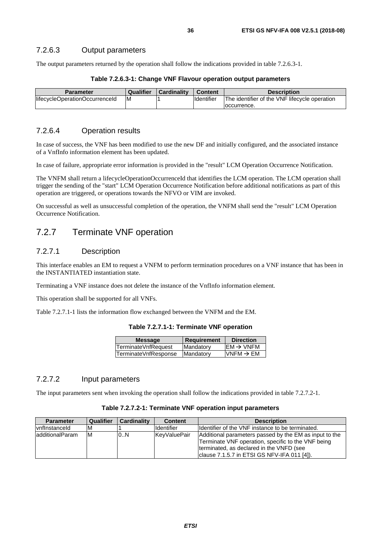<span id="page-35-0"></span>The output parameters returned by the operation shall follow the indications provided in table 7.2.6.3-1.

#### **Table 7.2.6.3-1: Change VNF Flavour operation output parameters**

| Parameter                      | <b>Qualifier</b> | <b>Cardinality</b> | <b>Content</b> | <b>Description</b>                            |
|--------------------------------|------------------|--------------------|----------------|-----------------------------------------------|
| lifecycleOperationOccurrenceId | ΙM               |                    | Identifier     | The identifier of the VNF lifecycle operation |
|                                |                  |                    |                | loccurrence.                                  |

#### 7.2.6.4 Operation results

In case of success, the VNF has been modified to use the new DF and initially configured, and the associated instance of a VnfInfo information element has been updated.

In case of failure, appropriate error information is provided in the "result" LCM Operation Occurrence Notification.

The VNFM shall return a lifecycleOperationOccurrenceId that identifies the LCM operation. The LCM operation shall trigger the sending of the "start" LCM Operation Occurrence Notification before additional notifications as part of this operation are triggered, or operations towards the NFVO or VIM are invoked.

On successful as well as unsuccessful completion of the operation, the VNFM shall send the "result" LCM Operation Occurrence Notification.

# 7.2.7 Terminate VNF operation

#### 7.2.7.1 Description

This interface enables an EM to request a VNFM to perform termination procedures on a VNF instance that has been in the INSTANTIATED instantiation state.

Terminating a VNF instance does not delete the instance of the VnfInfo information element.

This operation shall be supported for all VNFs.

Table 7.2.7.1-1 lists the information flow exchanged between the VNFM and the EM.

|  | Table 7.2.7.1-1: Terminate VNF operation |  |
|--|------------------------------------------|--|
|--|------------------------------------------|--|

| <b>Message</b>       | Requirement | <b>Direction</b>       |
|----------------------|-------------|------------------------|
| TerminateVnfRequest  | Mandatory   | $EM \rightarrow VNFM$  |
| TerminateVnfResponse | Mandatory   | $IVNFM \rightarrow EM$ |

#### 7.2.7.2 Input parameters

The input parameters sent when invoking the operation shall follow the indications provided in table 7.2.7.2-1.

#### **Table 7.2.7.2-1: Terminate VNF operation input parameters**

| <b>Parameter</b> | Qualifier | <b>Cardinality</b> | <b>Content</b>    | <b>Description</b>                                                                                                                                                                                      |
|------------------|-----------|--------------------|-------------------|---------------------------------------------------------------------------------------------------------------------------------------------------------------------------------------------------------|
| vnflnstanceld    | M         |                    | <b>Identifier</b> | Ildentifier of the VNF instance to be terminated.                                                                                                                                                       |
| ladditionalParam | ΙM        | 0.N                | KeyValuePair      | Additional parameters passed by the EM as input to the<br>Terminate VNF operation, specific to the VNF being<br>terminated, as declared in the VNFD (see<br>clause 7.1.5.7 in ETSI GS NFV-IFA 011 [4]). |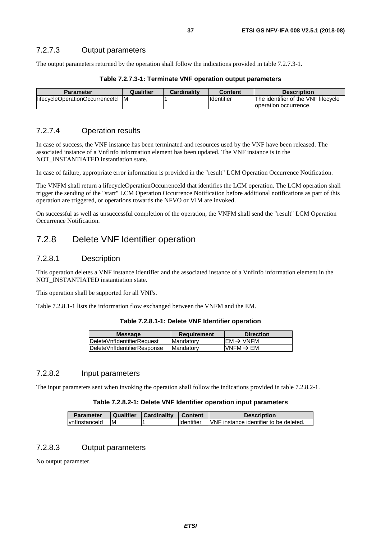The output parameters returned by the operation shall follow the indications provided in table 7.2.7.3-1.

| <b>Parameter</b>               | Qualifier | <b>Cardinality</b> | Content           | <b>Description</b>                  |
|--------------------------------|-----------|--------------------|-------------------|-------------------------------------|
| lifecycleOperationOccurrenceId | IM.       |                    | <b>Identifier</b> | The identifier of the VNF lifecycle |
|                                |           |                    |                   | Toperation occurrence.              |

#### **Table 7.2.7.3-1: Terminate VNF operation output parameters**

### 7.2.7.4 Operation results

In case of success, the VNF instance has been terminated and resources used by the VNF have been released. The associated instance of a VnfInfo information element has been updated. The VNF instance is in the NOT\_INSTANTIATED instantiation state.

In case of failure, appropriate error information is provided in the "result" LCM Operation Occurrence Notification.

The VNFM shall return a lifecycleOperationOccurrenceId that identifies the LCM operation. The LCM operation shall trigger the sending of the "start" LCM Operation Occurrence Notification before additional notifications as part of this operation are triggered, or operations towards the NFVO or VIM are invoked.

On successful as well as unsuccessful completion of the operation, the VNFM shall send the "result" LCM Operation Occurrence Notification.

# 7.2.8 Delete VNF Identifier operation

### 7.2.8.1 Description

This operation deletes a VNF instance identifier and the associated instance of a VnfInfo information element in the NOT\_INSTANTIATED instantiation state.

This operation shall be supported for all VNFs.

Table 7.2.8.1-1 lists the information flow exchanged between the VNFM and the EM.

#### **Table 7.2.8.1-1: Delete VNF Identifier operation**

| $\mathsf{IEM} \rightarrow \mathsf{VNFM}$ |
|------------------------------------------|
| $\textsf{IVNFM}\rightarrow \textsf{EM}$  |
|                                          |

### 7.2.8.2 Input parameters

The input parameters sent when invoking the operation shall follow the indications provided in table 7.2.8.2-1.

#### **Table 7.2.8.2-1: Delete VNF Identifier operation input parameters**

| <b>Parameter</b> |    | Qualifier   Cardinality   Content |                     | <b>Description</b>                      |
|------------------|----|-----------------------------------|---------------------|-----------------------------------------|
| vnflnstanceld    | ΙM |                                   | <b>I</b> Identifier | IVNF instance identifier to be deleted. |

### 7.2.8.3 Output parameters

No output parameter.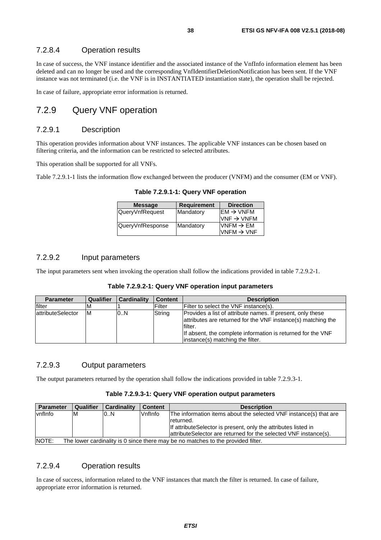### 7.2.8.4 Operation results

In case of success, the VNF instance identifier and the associated instance of the VnfInfo information element has been deleted and can no longer be used and the corresponding VnfIdentifierDeletionNotification has been sent. If the VNF instance was not terminated (i.e. the VNF is in INSTANTIATED instantiation state), the operation shall be rejected.

In case of failure, appropriate error information is returned.

# 7.2.9 Query VNF operation

### 7.2.9.1 Description

This operation provides information about VNF instances. The applicable VNF instances can be chosen based on filtering criteria, and the information can be restricted to selected attributes.

This operation shall be supported for all VNFs.

Table 7.2.9.1-1 lists the information flow exchanged between the producer (VNFM) and the consumer (EM or VNF).

| <b>Message</b>   | <b>Requirement</b> | <b>Direction</b>                         |
|------------------|--------------------|------------------------------------------|
| QueryVnfRequest  | Mandatory          | $\mathsf{IEM} \rightarrow \mathsf{VNFM}$ |
|                  |                    | VNF $\rightarrow$ VNFM                   |
| QueryVnfResponse | Mandatory          | $VNFM \rightarrow EM$                    |
|                  |                    | VNFM $\rightarrow$ VNF                   |
|                  |                    |                                          |

**Table 7.2.9.1-1: Query VNF operation** 

### 7.2.9.2 Input parameters

The input parameters sent when invoking the operation shall follow the indications provided in table 7.2.9.2-1.

| Table 7.2.9.2-1: Query VNF operation input parameters |  |  |
|-------------------------------------------------------|--|--|
|-------------------------------------------------------|--|--|

| <b>Parameter</b>   | Qualifier | <b>Cardinality</b> | <b>Content</b> | <b>Description</b>                                                                                                                                                                                                                       |
|--------------------|-----------|--------------------|----------------|------------------------------------------------------------------------------------------------------------------------------------------------------------------------------------------------------------------------------------------|
| filter             | ΙM        |                    | Filter         | Filter to select the VNF instance(s).                                                                                                                                                                                                    |
| lattributeSelector | ΙM        | 0.N                | String         | Provides a list of attribute names. If present, only these<br>attributes are returned for the VNF instance(s) matching the<br>filter.<br>If absent, the complete information is returned for the VNF<br>instance(s) matching the filter. |

### 7.2.9.3 Output parameters

The output parameters returned by the operation shall follow the indications provided in table 7.2.9.3-1.

#### **Table 7.2.9.3-1: Query VNF operation output parameters**

| <b>Parameter</b> | Qualifier                                                                        | <b>Cardinality</b> | <b>Content</b> | <b>Description</b>                                                |  |
|------------------|----------------------------------------------------------------------------------|--------------------|----------------|-------------------------------------------------------------------|--|
| vnflnfo          | ΙM                                                                               | 0.N                | Vnflnfo        | The information items about the selected VNF instance(s) that are |  |
|                  |                                                                                  |                    |                | returned.                                                         |  |
|                  |                                                                                  |                    |                | If attribute Selector is present, only the attributes listed in   |  |
|                  |                                                                                  |                    |                | attribute Selector are returned for the selected VNF instance(s). |  |
| NOTE:            | The lower cardinality is 0 since there may be no matches to the provided filter. |                    |                |                                                                   |  |

### 7.2.9.4 Operation results

In case of success, information related to the VNF instances that match the filter is returned. In case of failure, appropriate error information is returned.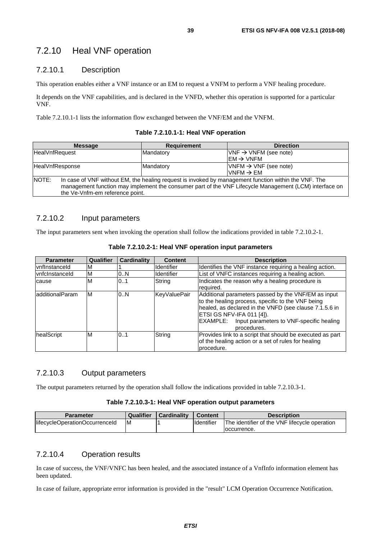# 7.2.10 Heal VNF operation

### 7.2.10.1 Description

This operation enables either a VNF instance or an EM to request a VNFM to perform a VNF healing procedure.

It depends on the VNF capabilities, and is declared in the VNFD, whether this operation is supported for a particular VNF.

Table 7.2.10.1-1 lists the information flow exchanged between the VNF/EM and the VNFM.

#### **Table 7.2.10.1-1: Heal VNF operation**

| <b>Message</b>  | <b>Requirement</b>                                                                                                                                                                                                                                | <b>Direction</b>                         |  |  |
|-----------------|---------------------------------------------------------------------------------------------------------------------------------------------------------------------------------------------------------------------------------------------------|------------------------------------------|--|--|
| HealVnfRequest  | Mandatory                                                                                                                                                                                                                                         | $VNF \rightarrow VNFM$ (see note)        |  |  |
|                 |                                                                                                                                                                                                                                                   | $\mathsf{IEM} \rightarrow \mathsf{VNFM}$ |  |  |
| HealVnfResponse | Mandatory                                                                                                                                                                                                                                         | $VNFM \rightarrow VNF$ (see note)        |  |  |
|                 |                                                                                                                                                                                                                                                   | $\textsf{IVNFM}\rightarrow \textsf{EM}$  |  |  |
| NOTE:           | In case of VNF without EM, the healing request is invoked by management function within the VNF. The<br>management function may implement the consumer part of the VNF Lifecycle Management (LCM) interface on<br>the Ve-Vnfm-em reference point. |                                          |  |  |

### 7.2.10.2 Input parameters

The input parameters sent when invoking the operation shall follow the indications provided in table 7.2.10.2-1.

| <b>Parameter</b> | Qualifier | <b>Cardinality</b> | <b>Content</b>     | <b>Description</b>                                                                                                                                                                                                                                                     |
|------------------|-----------|--------------------|--------------------|------------------------------------------------------------------------------------------------------------------------------------------------------------------------------------------------------------------------------------------------------------------------|
| vnflnstanceld    | M         |                    | <b>Ildentifier</b> | Identifies the VNF instance requiring a healing action.                                                                                                                                                                                                                |
| vnfclnstanceld   | ΙM        | 0N                 | Identifier         | List of VNFC instances requiring a healing action.                                                                                                                                                                                                                     |
| cause            | ΙM        | 0.1                | String             | Indicates the reason why a healing procedure is<br>required.                                                                                                                                                                                                           |
| ladditionalParam | IМ        | 0.N                | KeyValuePair       | Additional parameters passed by the VNF/EM as input<br>to the healing process, specific to the VNF being<br>healed, as declared in the VNFD (see clause 7.1.5.6 in<br>ETSI GS NFV-IFA 011 [4]).<br>Input parameters to VNF-specific healing<br>EXAMPLE:<br>procedures. |
| healScript       | ΙM        | 0.1                | String             | Provides link to a script that should be executed as part<br>of the healing action or a set of rules for healing<br>procedure.                                                                                                                                         |

**Table 7.2.10.2-1: Heal VNF operation input parameters** 

## 7.2.10.3 Output parameters

The output parameters returned by the operation shall follow the indications provided in table 7.2.10.3-1.

#### **Table 7.2.10.3-1: Heal VNF operation output parameters**

| Parameter                      | Qualifier | <b>Cardinality</b> | <b>Content</b>     | <b>Description</b>                            |
|--------------------------------|-----------|--------------------|--------------------|-----------------------------------------------|
| lifecycleOperationOccurrenceId | M         |                    | <b>I</b> dentifier | The identifier of the VNF lifecycle operation |
|                                |           |                    |                    | loccurrence.                                  |

### 7.2.10.4 Operation results

In case of success, the VNF/VNFC has been healed, and the associated instance of a VnfInfo information element has been updated.

In case of failure, appropriate error information is provided in the "result" LCM Operation Occurrence Notification.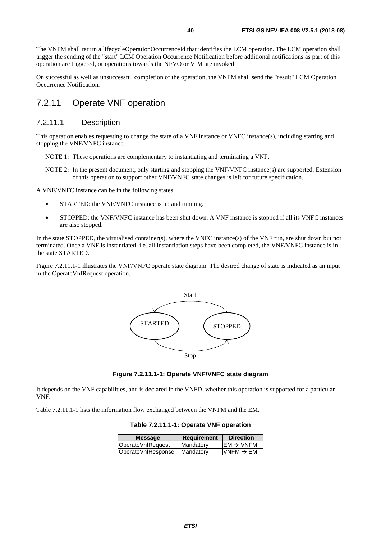The VNFM shall return a lifecycleOperationOccurrenceId that identifies the LCM operation. The LCM operation shall trigger the sending of the "start" LCM Operation Occurrence Notification before additional notifications as part of this operation are triggered, or operations towards the NFVO or VIM are invoked.

On successful as well as unsuccessful completion of the operation, the VNFM shall send the "result" LCM Operation Occurrence Notification.

# 7.2.11 Operate VNF operation

### 7.2.11.1 Description

This operation enables requesting to change the state of a VNF instance or VNFC instance(s), including starting and stopping the VNF/VNFC instance.

- NOTE 1: These operations are complementary to instantiating and terminating a VNF.
- NOTE 2: In the present document, only starting and stopping the VNF/VNFC instance(s) are supported. Extension of this operation to support other VNF/VNFC state changes is left for future specification.

A VNF/VNFC instance can be in the following states:

- STARTED: the VNF/VNFC instance is up and running.
- STOPPED: the VNF/VNFC instance has been shut down. A VNF instance is stopped if all its VNFC instances are also stopped.

In the state STOPPED, the virtualised container(s), where the VNFC instance(s) of the VNF run, are shut down but not terminated. Once a VNF is instantiated, i.e. all instantiation steps have been completed, the VNF/VNFC instance is in the state STARTED.

Figure 7.2.11.1-1 illustrates the VNF/VNFC operate state diagram. The desired change of state is indicated as an input in the OperateVnfRequest operation.





It depends on the VNF capabilities, and is declared in the VNFD, whether this operation is supported for a particular VNF.

Table 7.2.11.1-1 lists the information flow exchanged between the VNFM and the EM.

**Table 7.2.11.1-1: Operate VNF operation** 

| <b>Message</b>     | Requirement       | <b>Direction</b>      |
|--------------------|-------------------|-----------------------|
| OperateVnfRequest  | Mandatory         | $EM \rightarrow VNFM$ |
| OperateVnfResponse | <b>IMandatory</b> | VNFM $\rightarrow$ EM |
|                    |                   |                       |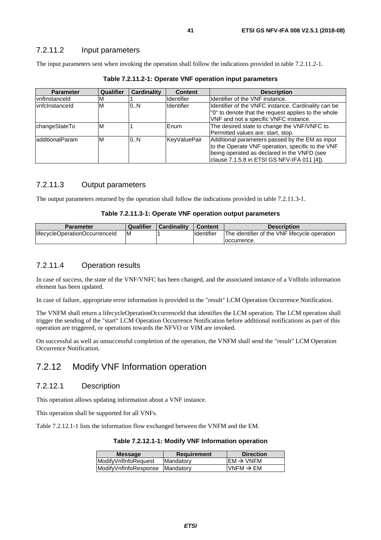### 7.2.11.2 Input parameters

The input parameters sent when invoking the operation shall follow the indications provided in table 7.2.11.2-1.

| <b>Parameter</b>      | Qualifier | Cardinality | <b>Content</b> | <b>Description</b>                                                                                                                                                                                 |
|-----------------------|-----------|-------------|----------------|----------------------------------------------------------------------------------------------------------------------------------------------------------------------------------------------------|
| <b>vnflnstanceld</b>  | M         |             | Identifier     | Identifier of the VNF instance.                                                                                                                                                                    |
| <b>vnfclnstanceld</b> | M         | 0.N         | Identifier     | Identifier of the VNFC instance. Cardinality can be<br>"0" to denote that the request applies to the whole<br>VNF and not a specific VNFC instance.                                                |
| changeStateTo         | M         |             | <b>IEnum</b>   | The desired state to change the VNF/VNFC to.<br>Permitted values are: start, stop.                                                                                                                 |
| ladditionalParam      | IM        | 0.N         | KeyValuePair   | Additional parameters passed by the EM as input<br>to the Operate VNF operation, specific to the VNF<br>being operated as declared in the VNFD (see<br>clause 7.1.5.8 in ETSI GS NFV-IFA 011 [4]). |

**Table 7.2.11.2-1: Operate VNF operation input parameters** 

### 7.2.11.3 Output parameters

The output parameters returned by the operation shall follow the indications provided in table 7.2.11.3-1.

#### **Table 7.2.11.3-1: Operate VNF operation output parameters**

| Parameter                      | <b>Qualifier</b> | <b>Cardinality</b> | <b>Content</b> | <b>Description</b>                            |
|--------------------------------|------------------|--------------------|----------------|-----------------------------------------------|
| lifecycleOperationOccurrenceId | ıΜ               |                    | Identifier     | The identifier of the VNF lifecycle operation |
|                                |                  |                    |                | loccurrence.                                  |

### 7.2.11.4 Operation results

In case of success, the state of the VNF/VNFC has been changed, and the associated instance of a VnfInfo information element has been updated.

In case of failure, appropriate error information is provided in the "result" LCM Operation Occurrence Notification.

The VNFM shall return a lifecycleOperationOccurrenceId that identifies the LCM operation. The LCM operation shall trigger the sending of the "start" LCM Operation Occurrence Notification before additional notifications as part of this operation are triggered, or operations towards the NFVO or VIM are invoked.

On successful as well as unsuccessful completion of the operation, the VNFM shall send the "result" LCM Operation Occurrence Notification.

# 7.2.12 Modify VNF Information operation

### 7.2.12.1 Description

This operation allows updating information about a VNF instance.

This operation shall be supported for all VNFs.

Table 7.2.12.1-1 lists the information flow exchanged between the VNFM and the EM.

#### **Table 7.2.12.1-1: Modify VNF Information operation**

| <b>Message</b>        | <b>Requirement</b> | <b>Direction</b>      |
|-----------------------|--------------------|-----------------------|
| ModifyVnfInfoRequest  | Mandatory          | $EM \rightarrow VNFM$ |
| ModifyVnfInfoResponse | Mandatory          | VNFM $\rightarrow$ EM |
|                       |                    |                       |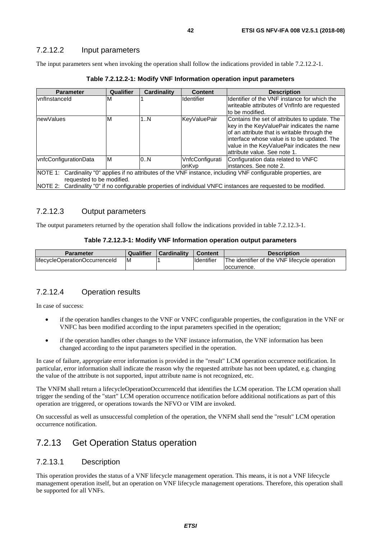The input parameters sent when invoking the operation shall follow the indications provided in table 7.2.12.2-1.

| <b>Parameter</b>          | Qualifier | <b>Cardinality</b> | <b>Content</b>      | <b>Description</b>                                                                                               |
|---------------------------|-----------|--------------------|---------------------|------------------------------------------------------------------------------------------------------------------|
| IvnfInstanceId            | M         |                    | <b>Identifier</b>   | Ildentifier of the VNF instance for which the                                                                    |
|                           |           |                    |                     | writeable attributes of VnfInfo are requested                                                                    |
|                           |           |                    |                     | to be modified.                                                                                                  |
| newValues                 | M         | 1N                 | <b>KeyValuePair</b> | Contains the set of attributes to update. The                                                                    |
|                           |           |                    |                     | key in the KeyValuePair indicates the name                                                                       |
|                           |           |                    |                     | of an attribute that is writable through the                                                                     |
|                           |           |                    |                     | interface whose value is to be updated. The                                                                      |
|                           |           |                    |                     | value in the KeyValuePair indicates the new                                                                      |
|                           |           |                    |                     | lattribute value. See note 1.                                                                                    |
| vnfcConfigurationData     | ΙM        | 0.N                | VnfcConfigurati     | Configuration data related to VNFC                                                                               |
|                           |           |                    | onKvp               | linstances. See note 2.                                                                                          |
| NOTE 1:                   |           |                    |                     | Cardinality "0" applies if no attributes of the VNF instance, including VNF configurable properties, are         |
| requested to be modified. |           |                    |                     |                                                                                                                  |
|                           |           |                    |                     | NOTE 2: Cardinality "0" if no configurable properties of individual VNFC instances are requested to be modified. |

**Table 7.2.12.2-1: Modify VNF Information operation input parameters** 

### 7.2.12.3 Output parameters

The output parameters returned by the operation shall follow the indications provided in table 7.2.12.3-1.

#### **Table 7.2.12.3-1: Modify VNF Information operation output parameters**

| <b>Parameter</b>               | Qualifier | <b>Cardinality</b> | <b>Content</b> | <b>Description</b>                            |
|--------------------------------|-----------|--------------------|----------------|-----------------------------------------------|
| lifecycleOperationOccurrenceId | ΙM        |                    | Identifier     | The identifier of the VNF lifecycle operation |
|                                |           |                    |                | loccurrence.                                  |

### 7.2.12.4 Operation results

In case of success:

- if the operation handles changes to the VNF or VNFC configurable properties, the configuration in the VNF or VNFC has been modified according to the input parameters specified in the operation;
- if the operation handles other changes to the VNF instance information, the VNF information has been changed according to the input parameters specified in the operation.

In case of failure, appropriate error information is provided in the "result" LCM operation occurrence notification. In particular, error information shall indicate the reason why the requested attribute has not been updated, e.g. changing the value of the attribute is not supported, input attribute name is not recognized, etc.

The VNFM shall return a lifecycleOperationOccurrenceId that identifies the LCM operation. The LCM operation shall trigger the sending of the "start" LCM operation occurrence notification before additional notifications as part of this operation are triggered, or operations towards the NFVO or VIM are invoked.

On successful as well as unsuccessful completion of the operation, the VNFM shall send the "result" LCM operation occurrence notification.

# 7.2.13 Get Operation Status operation

### 7.2.13.1 Description

This operation provides the status of a VNF lifecycle management operation. This means, it is not a VNF lifecycle management operation itself, but an operation on VNF lifecycle management operations. Therefore, this operation shall be supported for all VNFs.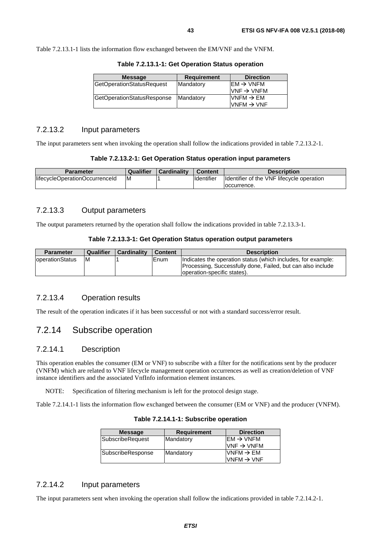Table 7.2.13.1-1 lists the information flow exchanged between the EM/VNF and the VNFM.

| <b>Message</b>                   | <b>Requirement</b> | <b>Direction</b>                                                   |
|----------------------------------|--------------------|--------------------------------------------------------------------|
| <b>GetOperationStatusRequest</b> | Mandatory          | $\mathsf{IEM} \rightarrow \mathsf{VNFM}$<br>$VNF \rightarrow VNFM$ |
| GetOperationStatusResponse       | Mandatory          | $\textsf{IVNFM}\rightarrow \textsf{EM}$<br>$VNFM \rightarrow VNF$  |

**Table 7.2.13.1-1: Get Operation Status operation** 

#### 7.2.13.2 Input parameters

The input parameters sent when invoking the operation shall follow the indications provided in table 7.2.13.2-1.

**Table 7.2.13.2-1: Get Operation Status operation input parameters** 

| <b>Parameter</b>                | Qualifier | <b>Cardinality</b> | <b>Content</b> | <b>Description</b>                         |
|---------------------------------|-----------|--------------------|----------------|--------------------------------------------|
| llifecycleOperationOccurrenceId | ΙM        |                    | Identifier     | Ildentifier of the VNF lifecycle operation |
|                                 |           |                    |                | loccurrence.                               |

### 7.2.13.3 Output parameters

The output parameters returned by the operation shall follow the indications provided in table 7.2.13.3-1.

#### **Table 7.2.13.3-1: Get Operation Status operation output parameters**

| <b>Parameter</b>        | Qualifier | Cardinality | Content | <b>Description</b>                                                                         |
|-------------------------|-----------|-------------|---------|--------------------------------------------------------------------------------------------|
| <b>loperationStatus</b> | ΙM        |             | Enum    | Indicates the operation status (which includes, for example:                               |
|                         |           |             |         | Processing, Successfully done, Failed, but can also include<br>operation-specific states). |

### 7.2.13.4 Operation results

The result of the operation indicates if it has been successful or not with a standard success/error result.

# 7.2.14 Subscribe operation

### 7.2.14.1 Description

This operation enables the consumer (EM or VNF) to subscribe with a filter for the notifications sent by the producer (VNFM) which are related to VNF lifecycle management operation occurrences as well as creation/deletion of VNF instance identifiers and the associated VnfInfo information element instances.

NOTE: Specification of filtering mechanism is left for the protocol design stage.

Table 7.2.14.1-1 lists the information flow exchanged between the consumer (EM or VNF) and the producer (VNFM).

| <b>Message</b>    | <b>Requirement</b> | <b>Direction</b>                                                 |
|-------------------|--------------------|------------------------------------------------------------------|
| SubscribeRequest  | Mandatory          | $EM \rightarrow VNFM$<br>$\textsf{IVNF}\rightarrow\textsf{VNFM}$ |
| SubscribeResponse | Mandatory          | $VNFM \rightarrow EM$<br>$VNFM \rightarrow VNF$                  |

**Table 7.2.14.1-1: Subscribe operation** 

### 7.2.14.2 Input parameters

The input parameters sent when invoking the operation shall follow the indications provided in table 7.2.14.2-1.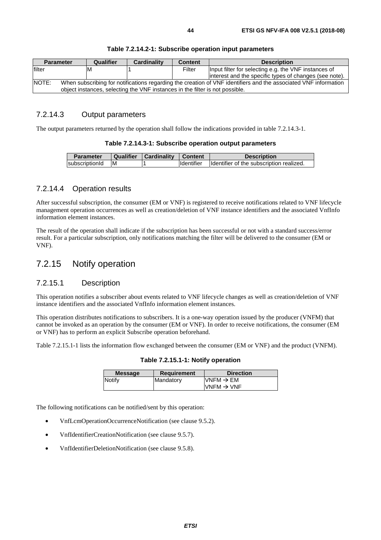|                                                                                                                                 | <b>Parameter</b> | Qualifier | <b>Cardinality</b>                                                           | <b>Content</b> | <b>Description</b>                                      |
|---------------------------------------------------------------------------------------------------------------------------------|------------------|-----------|------------------------------------------------------------------------------|----------------|---------------------------------------------------------|
| filter                                                                                                                          |                  | ıΜ        |                                                                              | Filter         | Input filter for selecting e.g. the VNF instances of    |
|                                                                                                                                 |                  |           |                                                                              |                | linterest and the specific types of changes (see note). |
| <b>NOTE:</b><br>When subscribing for notifications regarding the creation of VNF identifiers and the associated VNF information |                  |           |                                                                              |                |                                                         |
|                                                                                                                                 |                  |           | object instances, selecting the VNF instances in the filter is not possible. |                |                                                         |

#### **Table 7.2.14.2-1: Subscribe operation input parameters**

### 7.2.14.3 Output parameters

The output parameters returned by the operation shall follow the indications provided in table 7.2.14.3-1.

#### **Table 7.2.14.3-1: Subscribe operation output parameters**

| <b>Parameter</b> | Qualifier | Cardinality | <b>Content</b>    | <b>Description</b>                       |
|------------------|-----------|-------------|-------------------|------------------------------------------|
| subscriptionId   | ΙM        |             | <b>Identifier</b> | Identifier of the subscription realized. |

### 7.2.14.4 Operation results

After successful subscription, the consumer (EM or VNF) is registered to receive notifications related to VNF lifecycle management operation occurrences as well as creation/deletion of VNF instance identifiers and the associated VnfInfo information element instances.

The result of the operation shall indicate if the subscription has been successful or not with a standard success/error result. For a particular subscription, only notifications matching the filter will be delivered to the consumer (EM or VNF).

# 7.2.15 Notify operation

### 7.2.15.1 Description

This operation notifies a subscriber about events related to VNF lifecycle changes as well as creation/deletion of VNF instance identifiers and the associated VnfInfo information element instances.

This operation distributes notifications to subscribers. It is a one-way operation issued by the producer (VNFM) that cannot be invoked as an operation by the consumer (EM or VNF). In order to receive notifications, the consumer (EM or VNF) has to perform an explicit Subscribe operation beforehand.

Table 7.2.15.1-1 lists the information flow exchanged between the consumer (EM or VNF) and the product (VNFM).

#### **Table 7.2.15.1-1: Notify operation**

| <b>Message</b> | <b>Requirement</b> | <b>Direction</b>                        |
|----------------|--------------------|-----------------------------------------|
| Notify         | Mandatory          | $\textsf{IVNFM}\rightarrow \textsf{EM}$ |
|                |                    | $IVNFM \rightarrow VNF$                 |
|                |                    |                                         |

The following notifications can be notified/sent by this operation:

- VnfLcmOperationOccurrenceNotification (see clause 9.5.2).
- VnfIdentifierCreationNotification (see clause 9.5.7).
- VnfIdentifierDeletionNotification (see clause 9.5.8).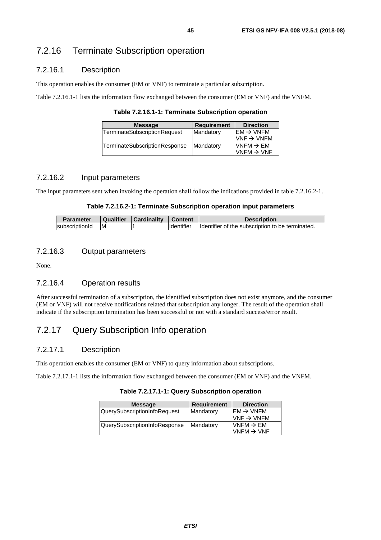# 7.2.16 Terminate Subscription operation

## 7.2.16.1 Description

This operation enables the consumer (EM or VNF) to terminate a particular subscription.

Table 7.2.16.1-1 lists the information flow exchanged between the consumer (EM or VNF) and the VNFM.

**Table 7.2.16.1-1: Terminate Subscription operation** 

| <b>Message</b>                | Requirement | <b>Direction</b>                                   |
|-------------------------------|-------------|----------------------------------------------------|
| TerminateSubscriptionRequest  | Mandatory   | $EM \rightarrow VNFM$<br>$VNF \rightarrow VNFM$    |
| TerminateSubscriptionResponse | Mandatory   | $N$ NFM $\rightarrow$ EM<br>$VNFM \rightarrow VNF$ |

### 7.2.16.2 Input parameters

The input parameters sent when invoking the operation shall follow the indications provided in table 7.2.16.2-1.

#### **Table 7.2.16.2-1: Terminate Subscription operation input parameters**

| Parameter      | <b>Qualifier</b> | Cardinality | ∣ Content          | <b>Description</b>                               |
|----------------|------------------|-------------|--------------------|--------------------------------------------------|
| subscriptionId | ΙM               |             | <b>I</b> dentifier | Identifier of the subscription to be terminated. |

### 7.2.16.3 Output parameters

None.

### 7.2.16.4 Operation results

After successful termination of a subscription, the identified subscription does not exist anymore, and the consumer (EM or VNF) will not receive notifications related that subscription any longer. The result of the operation shall indicate if the subscription termination has been successful or not with a standard success/error result.

# 7.2.17 Query Subscription Info operation

### 7.2.17.1 Description

This operation enables the consumer (EM or VNF) to query information about subscriptions.

Table 7.2.17.1-1 lists the information flow exchanged between the consumer (EM or VNF) and the VNFM.

**Table 7.2.17.1-1: Query Subscription operation** 

| <b>Message</b>                | <b>Requirement</b> | <b>Direction</b>       |
|-------------------------------|--------------------|------------------------|
| QuerySubscriptionInfoRequest  | Mandatory          | $EM \rightarrow VNFM$  |
|                               |                    | $VNF \rightarrow VNFM$ |
| QuerySubscriptionInfoResponse | Mandatory          | $VNFM \rightarrow EM$  |
|                               |                    | VNFM $\rightarrow$ VNF |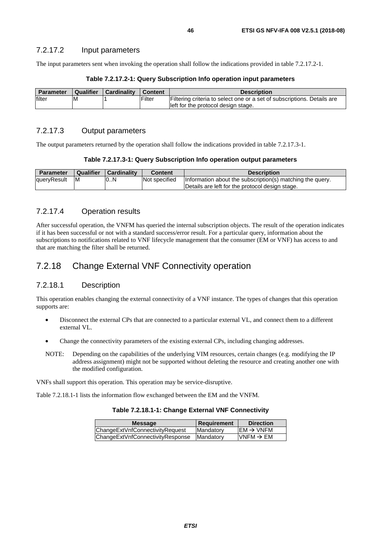The input parameters sent when invoking the operation shall follow the indications provided in table 7.2.17.2-1.

| <b>Parameter</b> | <b>Qualifier</b> | Cardinality | <b>Content</b> | <b>Description</b>                                                                                             |
|------------------|------------------|-------------|----------------|----------------------------------------------------------------------------------------------------------------|
| filter           | ΙM               |             | Filter         | Filtering criteria to select one or a set of subscriptions. Details are<br>left for the protocol design stage. |

#### **Table 7.2.17.2-1: Query Subscription Info operation input parameters**

### 7.2.17.3 Output parameters

The output parameters returned by the operation shall follow the indications provided in table 7.2.17.3-1.

| Table 7.2.17.3-1: Query Subscription Info operation output parameters |  |  |  |
|-----------------------------------------------------------------------|--|--|--|
|-----------------------------------------------------------------------|--|--|--|

| Parameter   | Qualifier | <b>Cardinality</b> | <b>Content</b> | <b>Description</b>                                                                                           |
|-------------|-----------|--------------------|----------------|--------------------------------------------------------------------------------------------------------------|
| queryResult | ΙM        | 0N                 | Not specified  | Information about the subscription(s) matching the query.<br>Details are left for the protocol design stage. |

### 7.2.17.4 Operation results

After successful operation, the VNFM has queried the internal subscription objects. The result of the operation indicates if it has been successful or not with a standard success/error result. For a particular query, information about the subscriptions to notifications related to VNF lifecycle management that the consumer (EM or VNF) has access to and that are matching the filter shall be returned.

# 7.2.18 Change External VNF Connectivity operation

### 7.2.18.1 Description

This operation enables changing the external connectivity of a VNF instance. The types of changes that this operation supports are:

- Disconnect the external CPs that are connected to a particular external VL, and connect them to a different external VL.
- Change the connectivity parameters of the existing external CPs, including changing addresses.
- NOTE: Depending on the capabilities of the underlying VIM resources, certain changes (e.g. modifying the IP address assignment) might not be supported without deleting the resource and creating another one with the modified configuration.

VNFs shall support this operation. This operation may be service-disruptive.

Table 7.2.18.1-1 lists the information flow exchanged between the EM and the VNFM.

#### **Table 7.2.18.1-1: Change External VNF Connectivity**

| ChangeExtVnfConnectivityRequest  | $EM \rightarrow VNFM$<br>Mandatory         |
|----------------------------------|--------------------------------------------|
| ChangeExtVnfConnectivityResponse | VNFM $\rightarrow$ EM<br><b>IMandatory</b> |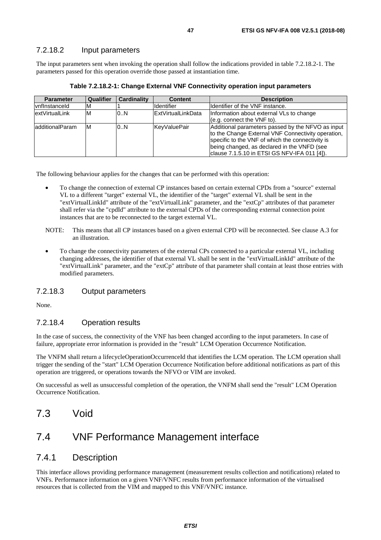### 7.2.18.2 Input parameters

The input parameters sent when invoking the operation shall follow the indications provided in table 7.2.18.2-1. The parameters passed for this operation override those passed at instantiation time.

| <b>Parameter</b> | Qualifier | <b>Cardinality</b> | <b>Content</b>     | <b>Description</b>                                                                                                                                                                                                                                         |
|------------------|-----------|--------------------|--------------------|------------------------------------------------------------------------------------------------------------------------------------------------------------------------------------------------------------------------------------------------------------|
| vnflnstanceld    | M         |                    | Identifier         | Ildentifier of the VNF instance.                                                                                                                                                                                                                           |
| extVirtualLink   | ΙM        | 0. N               | ExtVirtualLinkData | Information about external VLs to change<br>$(e.q.$ connect the $VNF$ to).                                                                                                                                                                                 |
| additionalParam  | ΙM        | 0.N                | KeyValuePair       | Additional parameters passed by the NFVO as input<br>to the Change External VNF Connectivity operation,<br>specific to the VNF of which the connectivity is<br>being changed, as declared in the VNFD (see<br>clause 7.1.5.10 in ETSI GS NFV-IFA 011 [4]). |

**Table 7.2.18.2-1: Change External VNF Connectivity operation input parameters** 

The following behaviour applies for the changes that can be performed with this operation:

- To change the connection of external CP instances based on certain external CPDs from a "source" external VL to a different "target" external VL, the identifier of the "target" external VL shall be sent in the "extVirtualLinkId" attribute of the "extVirtualLink" parameter, and the "extCp" attributes of that parameter shall refer via the "cpdId" attribute to the external CPDs of the corresponding external connection point instances that are to be reconnected to the target external VL.
- NOTE: This means that all CP instances based on a given external CPD will be reconnected. See clause A.3 for an illustration.
- To change the connectivity parameters of the external CPs connected to a particular external VL, including changing addresses, the identifier of that external VL shall be sent in the "extVirtualLinkId" attribute of the "extVirtualLink" parameter, and the "extCp" attribute of that parameter shall contain at least those entries with modified parameters.

### 7.2.18.3 Output parameters

None.

### 7.2.18.4 Operation results

In the case of success, the connectivity of the VNF has been changed according to the input parameters. In case of failure, appropriate error information is provided in the "result" LCM Operation Occurrence Notification.

The VNFM shall return a lifecycleOperationOccurrenceId that identifies the LCM operation. The LCM operation shall trigger the sending of the "start" LCM Operation Occurrence Notification before additional notifications as part of this operation are triggered, or operations towards the NFVO or VIM are invoked.

On successful as well as unsuccessful completion of the operation, the VNFM shall send the "result" LCM Operation Occurrence Notification.

# 7.3 Void

# 7.4 VNF Performance Management interface

### 7.4.1 Description

This interface allows providing performance management (measurement results collection and notifications) related to VNFs. Performance information on a given VNF/VNFC results from performance information of the virtualised resources that is collected from the VIM and mapped to this VNF/VNFC instance.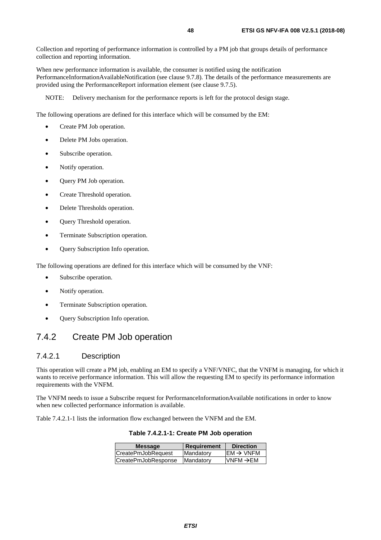Collection and reporting of performance information is controlled by a PM job that groups details of performance collection and reporting information.

When new performance information is available, the consumer is notified using the notification PerformanceInformationAvailableNotification (see clause 9.7.8). The details of the performance measurements are provided using the PerformanceReport information element (see clause 9.7.5).

NOTE: Delivery mechanism for the performance reports is left for the protocol design stage.

The following operations are defined for this interface which will be consumed by the EM:

- Create PM Job operation.
- Delete PM Jobs operation.
- Subscribe operation.
- Notify operation.
- Query PM Job operation.
- Create Threshold operation.
- Delete Thresholds operation.
- **Query Threshold operation.**
- Terminate Subscription operation.
- Query Subscription Info operation.

The following operations are defined for this interface which will be consumed by the VNF:

- Subscribe operation.
- Notify operation.
- Terminate Subscription operation.
- Query Subscription Info operation.

# 7.4.2 Create PM Job operation

### 7.4.2.1 Description

This operation will create a PM job, enabling an EM to specify a VNF/VNFC, that the VNFM is managing, for which it wants to receive performance information. This will allow the requesting EM to specify its performance information requirements with the VNFM.

The VNFM needs to issue a Subscribe request for PerformanceInformationAvailable notifications in order to know when new collected performance information is available.

Table 7.4.2.1-1 lists the information flow exchanged between the VNFM and the EM.

**Table 7.4.2.1-1: Create PM Job operation** 

| <b>Message</b>      | Requirement | <b>Direction</b>      |
|---------------------|-------------|-----------------------|
| CreatePmJobRequest  | Mandatory   | $EM \rightarrow VNFM$ |
| CreatePmJobResponse | Mandatory   | $VNFM \rightarrow EM$ |
|                     |             |                       |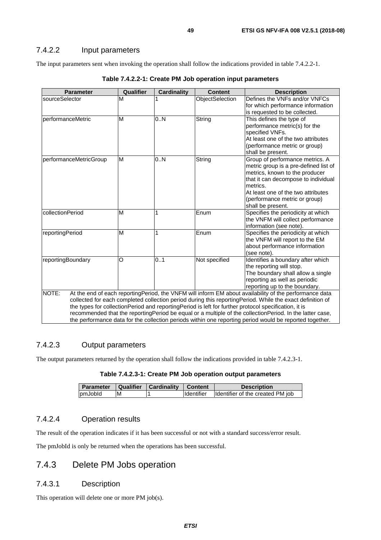### 7.4.2.2 Input parameters

The input parameters sent when invoking the operation shall follow the indications provided in table 7.4.2.2-1.

| <b>Parameter</b>       | Qualifier | <b>Cardinality</b> | <b>Content</b>  | <b>Description</b>                                                                                        |
|------------------------|-----------|--------------------|-----------------|-----------------------------------------------------------------------------------------------------------|
| sourceSelector         | M         |                    | ObjectSelection | Defines the VNFs and/or VNFCs                                                                             |
|                        |           |                    |                 | for which performance information                                                                         |
|                        |           |                    |                 | is requested to be collected.                                                                             |
| performanceMetric      | M         | 0N                 | String          | This defines the type of                                                                                  |
|                        |           |                    |                 | performance metric(s) for the                                                                             |
|                        |           |                    |                 | specified VNFs.                                                                                           |
|                        |           |                    |                 | At least one of the two attributes                                                                        |
|                        |           |                    |                 | (performance metric or group)                                                                             |
|                        | M         | 0.N                |                 | shall be present.                                                                                         |
| performanceMetricGroup |           |                    | String          | Group of performance metrics. A<br>metric group is a pre-defined list of                                  |
|                        |           |                    |                 | metrics, known to the producer                                                                            |
|                        |           |                    |                 | that it can decompose to individual                                                                       |
|                        |           |                    |                 | metrics.                                                                                                  |
|                        |           |                    |                 | At least one of the two attributes                                                                        |
|                        |           |                    |                 | (performance metric or group)                                                                             |
|                        |           |                    |                 | shall be present.                                                                                         |
| collectionPeriod       | M         |                    | Enum            | Specifies the periodicity at which                                                                        |
|                        |           |                    |                 | the VNFM will collect performance                                                                         |
|                        |           |                    |                 | information (see note).                                                                                   |
| reportingPeriod        | M         | 1                  | Enum            | Specifies the periodicity at which                                                                        |
|                        |           |                    |                 | the VNFM will report to the EM                                                                            |
|                        |           |                    |                 | about performance information                                                                             |
|                        |           |                    |                 | (see note).                                                                                               |
| reportingBoundary      | O         | 0.1                | Not specified   | Identifies a boundary after which                                                                         |
|                        |           |                    |                 | the reporting will stop.<br>The boundary shall allow a single                                             |
|                        |           |                    |                 | reporting as well as periodic                                                                             |
|                        |           |                    |                 | reporting up to the boundary.                                                                             |
| NOTE:                  |           |                    |                 | At the end of each reportingPeriod, the VNFM will inform EM about availability of the performance data    |
|                        |           |                    |                 | collected for each completed collection period during this reportingPeriod. While the exact definition of |
|                        |           |                    |                 | the types for collection Period and reporting Period is left for further protocol specification, it is    |
|                        |           |                    |                 | recommended that the reportingPeriod be equal or a multiple of the collectionPeriod. In the latter case,  |
|                        |           |                    |                 | the performance data for the collection periods within one reporting period would be reported together.   |

| Table 7.4.2.2-1: Create PM Job operation input parameters |  |
|-----------------------------------------------------------|--|
|-----------------------------------------------------------|--|

## 7.4.2.3 Output parameters

The output parameters returned by the operation shall follow the indications provided in table 7.4.2.3-1.

| Table 7.4.2.3-1: Create PM Job operation output parameters |  |  |  |
|------------------------------------------------------------|--|--|--|
|------------------------------------------------------------|--|--|--|

| <b>Parameter</b> |    | Qualifier   Cardinality | <b>Content</b> | <b>Description</b>                |
|------------------|----|-------------------------|----------------|-----------------------------------|
| pmJobld          | ΙM |                         | Identifier     | Ildentifier of the created PM iob |

## 7.4.2.4 Operation results

The result of the operation indicates if it has been successful or not with a standard success/error result.

The pmJobId is only be returned when the operations has been successful.

# 7.4.3 Delete PM Jobs operation

### 7.4.3.1 Description

This operation will delete one or more PM job(s).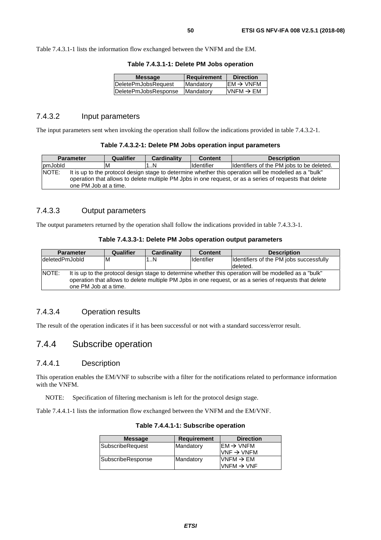Table 7.4.3.1-1 lists the information flow exchanged between the VNFM and the EM.

| Mandatory<br>DeletePmJobsRequest          | $\mathsf{IEM} \rightarrow \mathsf{VNFM}$ |
|-------------------------------------------|------------------------------------------|
| DeletePmJobsResponse<br><b>IMandatory</b> | $VNFM \rightarrow EM$                    |

## 7.4.3.2 Input parameters

The input parameters sent when invoking the operation shall follow the indications provided in table 7.4.3.2-1.

| Table 7.4.3.2-1: Delete PM Jobs operation input parameters |  |  |
|------------------------------------------------------------|--|--|
|------------------------------------------------------------|--|--|

|         | <b>Parameter</b>      | Qualifier | <b>Cardinality</b> | <b>Content</b> | <b>Description</b>                                                                                                                                                                                                |
|---------|-----------------------|-----------|--------------------|----------------|-------------------------------------------------------------------------------------------------------------------------------------------------------------------------------------------------------------------|
| pmJobld |                       | ıΜ        | 1N                 | Identifier     | Ildentifiers of the PM jobs to be deleted.                                                                                                                                                                        |
| NOTE:   | one PM Job at a time. |           |                    |                | It is up to the protocol design stage to determine whether this operation will be modelled as a "bulk"<br>operation that allows to delete multiple PM Jpbs in one request, or as a series of requests that delete |

### 7.4.3.3 Output parameters

The output parameters returned by the operation shall follow the indications provided in table 7.4.3.3-1.

#### **Table 7.4.3.3-1: Delete PM Jobs operation output parameters**

| <b>Parameter</b>                                                                                                                                                                                                                                    | Qualifier | <b>Cardinality</b> | <b>Content</b> | <b>Description</b>                      |  |
|-----------------------------------------------------------------------------------------------------------------------------------------------------------------------------------------------------------------------------------------------------|-----------|--------------------|----------------|-----------------------------------------|--|
| deletedPmJobld                                                                                                                                                                                                                                      | ΙM        | 1N                 | Identifier     | Identifiers of the PM jobs successfully |  |
|                                                                                                                                                                                                                                                     |           |                    |                | deleted.                                |  |
| NOTE:<br>It is up to the protocol design stage to determine whether this operation will be modelled as a "bulk"<br>operation that allows to delete multiple PM Jpbs in one request, or as a series of requests that delete<br>one PM Job at a time. |           |                    |                |                                         |  |

### 7.4.3.4 Operation results

The result of the operation indicates if it has been successful or not with a standard success/error result.

## 7.4.4 Subscribe operation

### 7.4.4.1 Description

This operation enables the EM/VNF to subscribe with a filter for the notifications related to performance information with the VNFM.

NOTE: Specification of filtering mechanism is left for the protocol design stage.

Table 7.4.4.1-1 lists the information flow exchanged between the VNFM and the EM/VNF.

| <b>Message</b>    | <b>Requirement</b> | <b>Direction</b>       |
|-------------------|--------------------|------------------------|
| SubscribeRequest  | Mandatory          | $IEM \rightarrow VNFM$ |
|                   |                    | $VNF \rightarrow VNFM$ |
| SubscribeResponse | Mandatory          | $VNFM \rightarrow EM$  |
|                   |                    | $VNFM \rightarrow VNF$ |
|                   |                    |                        |

**Table 7.4.4.1-1: Subscribe operation**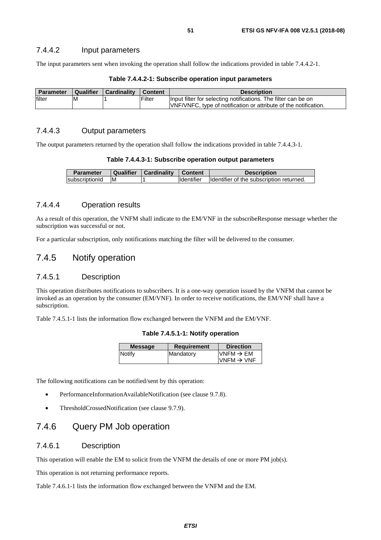The input parameters sent when invoking the operation shall follow the indications provided in table 7.4.4.2-1.

| <b>Parameter</b> | <b>Qualifier</b> | Cardinality | <b>Content</b> | <b>Description</b>                                               |
|------------------|------------------|-------------|----------------|------------------------------------------------------------------|
| filter           | ιM               |             | Filter         | Input filter for selecting notifications. The filter can be on   |
|                  |                  |             |                | VNF/VNFC, type of notification or attribute of the notification. |

#### **Table 7.4.4.2-1: Subscribe operation input parameters**

# 7.4.4.3 Output parameters

The output parameters returned by the operation shall follow the indications provided in table 7.4.4.3-1.

| Table 7.4.4.3-1: Subscribe operation output parameters |  |  |
|--------------------------------------------------------|--|--|
|--------------------------------------------------------|--|--|

| <b>Parameter</b> |    | Qualifier   Cardinality   Content |                   | <b>Description</b>                       |
|------------------|----|-----------------------------------|-------------------|------------------------------------------|
| subscriptionId   | ΙM |                                   | <b>Identifier</b> | Identifier of the subscription returned. |

### 7.4.4.4 Operation results

As a result of this operation, the VNFM shall indicate to the EM/VNF in the subscribeResponse message whether the subscription was successful or not.

For a particular subscription, only notifications matching the filter will be delivered to the consumer.

# 7.4.5 Notify operation

### 7.4.5.1 Description

This operation distributes notifications to subscribers. It is a one-way operation issued by the VNFM that cannot be invoked as an operation by the consumer (EM/VNF). In order to receive notifications, the EM/VNF shall have a subscription.

Table 7.4.5.1-1 lists the information flow exchanged between the VNFM and the EM/VNF.

**Table 7.4.5.1-1: Notify operation** 

| <b>Message</b> | <b>Requirement</b> | <b>Direction</b>                                |
|----------------|--------------------|-------------------------------------------------|
| Notify         | Mandatory          | $VNFM \rightarrow EM$<br>$VNFM \rightarrow VNF$ |

The following notifications can be notified/sent by this operation:

- PerformanceInformationAvailableNotification (see clause 9.7.8).
- ThresholdCrossedNotification (see clause 9.7.9).

# 7.4.6 Query PM Job operation

### 7.4.6.1 Description

This operation will enable the EM to solicit from the VNFM the details of one or more PM job(s).

This operation is not returning performance reports.

Table 7.4.6.1-1 lists the information flow exchanged between the VNFM and the EM.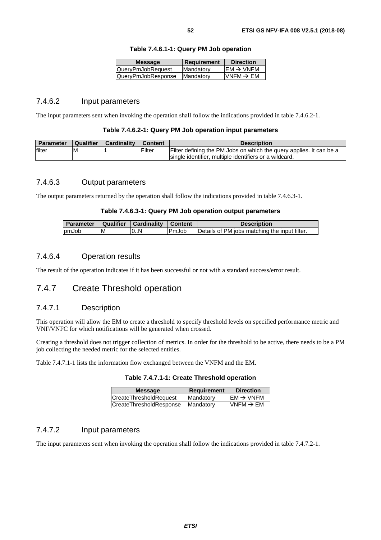| I        |  |
|----------|--|
| ۰.<br>۰. |  |

| <b>Message</b>     | <b>Requirement</b> | <b>Direction</b>      |
|--------------------|--------------------|-----------------------|
| QueryPmJobRequest  | Mandatory          | $EM \rightarrow VNFM$ |
| QueryPmJobResponse | Mandatory          | VNFM $\rightarrow$ EM |

#### **Table 7.4.6.1-1: Query PM Job operation**

### 7.4.6.2 Input parameters

The input parameters sent when invoking the operation shall follow the indications provided in table 7.4.6.2-1.

#### **Table 7.4.6.2-1: Query PM Job operation input parameters**

| <b>Parameter</b> | Qualifier | Cardinality | Content | <b>Description</b>                                                  |
|------------------|-----------|-------------|---------|---------------------------------------------------------------------|
| filter           | ΙM        |             | Filter  | Filter defining the PM Jobs on which the query applies. It can be a |
|                  |           |             |         | Isingle identifier, multiple identifiers or a wildcard.             |

### 7.4.6.3 Output parameters

The output parameters returned by the operation shall follow the indications provided in table 7.4.6.3-1.

#### **Table 7.4.6.3-1: Query PM Job operation output parameters**

| <b>Parameter</b> |   | Qualifier   Cardinality   Content |              | <b>Description</b>                            |
|------------------|---|-----------------------------------|--------------|-----------------------------------------------|
| <b>bmJob</b>     | M | 0N                                | <b>PmJob</b> | Details of PM jobs matching the input filter. |

### 7.4.6.4 Operation results

The result of the operation indicates if it has been successful or not with a standard success/error result.

# 7.4.7 Create Threshold operation

### 7.4.7.1 Description

This operation will allow the EM to create a threshold to specify threshold levels on specified performance metric and VNF/VNFC for which notifications will be generated when crossed.

Creating a threshold does not trigger collection of metrics. In order for the threshold to be active, there needs to be a PM job collecting the needed metric for the selected entities.

Table 7.4.7.1-1 lists the information flow exchanged between the VNFM and the EM.

| Table 7.4.7.1-1: Create Threshold operation |  |  |
|---------------------------------------------|--|--|
|---------------------------------------------|--|--|

| $EM \rightarrow VNFM$<br><b>CreateThresholdRequest</b><br>Mandatory | <b>Message</b>                 | <b>Requirement</b> | <b>Direction</b>      |
|---------------------------------------------------------------------|--------------------------------|--------------------|-----------------------|
|                                                                     |                                |                    |                       |
|                                                                     | <b>CreateThresholdResponse</b> | Mandatory          | VNFM $\rightarrow$ EM |

### 7.4.7.2 Input parameters

The input parameters sent when invoking the operation shall follow the indications provided in table 7.4.7.2-1.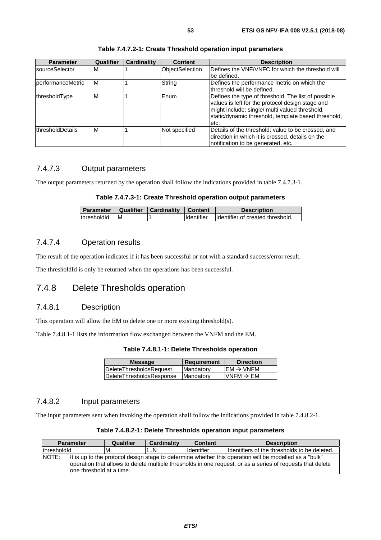| <b>Parameter</b>  | <b>Qualifier</b> | <b>Cardinality</b> | <b>Content</b>         | <b>Description</b>                                                                                                                                                                                                       |
|-------------------|------------------|--------------------|------------------------|--------------------------------------------------------------------------------------------------------------------------------------------------------------------------------------------------------------------------|
| sourceSelector    | M                |                    | <b>ObjectSelection</b> | Defines the VNF/VNFC for which the threshold will<br>be defined.                                                                                                                                                         |
| performanceMetric | ΙM               |                    | String                 | Defines the performance metric on which the<br>threshold will be defined.                                                                                                                                                |
| thresholdType     | M                |                    | Enum                   | Defines the type of threshold. The list of possible<br>values is left for the protocol design stage and<br>might include: single/ multi valued threshold,<br>static/dynamic threshold, template based threshold,<br>etc. |
| thresholdDetails  | M                |                    | Not specified          | Details of the threshold: value to be crossed, and<br>direction in which it is crossed, details on the<br>notification to be generated, etc.                                                                             |

#### **Table 7.4.7.2-1: Create Threshold operation input parameters**

## 7.4.7.3 Output parameters

The output parameters returned by the operation shall follow the indications provided in table 7.4.7.3-1.

#### **Table 7.4.7.3-1: Create Threshold operation output parameters**

| <b>Parameter</b> |    | Qualifier Cardinality | Content           | <b>Description</b>                |
|------------------|----|-----------------------|-------------------|-----------------------------------|
| thresholdId      | ΙM |                       | <b>Identifier</b> | Ildentifier of created threshold. |

### 7.4.7.4 Operation results

The result of the operation indicates if it has been successful or not with a standard success/error result.

The thresholdId is only be returned when the operations has been successful.

# 7.4.8 Delete Thresholds operation

## 7.4.8.1 Description

This operation will allow the EM to delete one or more existing threshold(s).

Table 7.4.8.1-1 lists the information flow exchanged between the VNFM and the EM.

| Table 7.4.8.1-1: Delete Thresholds operation |  |  |
|----------------------------------------------|--|--|
|----------------------------------------------|--|--|

| <b>Message</b>                  | <b>Requirement</b> | <b>Direction</b>       |
|---------------------------------|--------------------|------------------------|
| <b>IDeleteThresholdsRequest</b> | Mandatory          | $IEM \rightarrow VNFM$ |
| DeleteThresholdsResponse        | <b>Mandatory</b>   | VNFM $\rightarrow$ EM  |
|                                 |                    |                        |

### 7.4.8.2 Input parameters

The input parameters sent when invoking the operation shall follow the indications provided in table 7.4.8.2-1.

| Table 7.4.8.2-1: Delete Thresholds operation input parameters |  |  |
|---------------------------------------------------------------|--|--|
|---------------------------------------------------------------|--|--|

| <b>Parameter</b> | Qualifier                                                                                                                                                                                                                                        | <b>Cardinality</b> | <b>Content</b>    | <b>Description</b>                            |  |  |
|------------------|--------------------------------------------------------------------------------------------------------------------------------------------------------------------------------------------------------------------------------------------------|--------------------|-------------------|-----------------------------------------------|--|--|
| thresholdId      | M                                                                                                                                                                                                                                                | 1N                 | <b>Identifier</b> | Ildentifiers of the thresholds to be deleted. |  |  |
| NOTE:            | It is up to the protocol design stage to determine whether this operation will be modelled as a "bulk"<br>operation that allows to delete multiple thresholds in one request, or as a series of requests that delete<br>one threshold at a time. |                    |                   |                                               |  |  |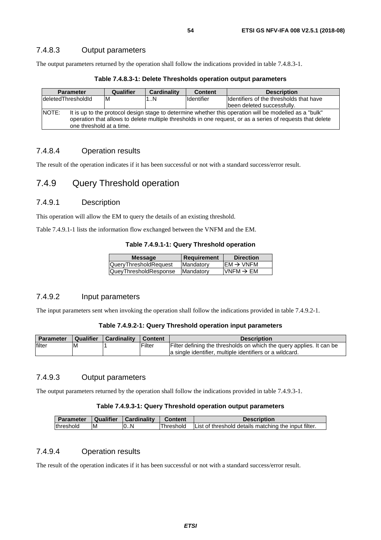### 7.4.8.3 Output parameters

The output parameters returned by the operation shall follow the indications provided in table 7.4.8.3-1.

| Table 7.4.8.3-1: Delete Thresholds operation output parameters |  |  |  |
|----------------------------------------------------------------|--|--|--|
|----------------------------------------------------------------|--|--|--|

| <b>Parameter</b>                                                                                                                                                                                                                                          | Qualifier | <b>Cardinality</b> | <b>Content</b>    | <b>Description</b>                       |  |  |
|-----------------------------------------------------------------------------------------------------------------------------------------------------------------------------------------------------------------------------------------------------------|-----------|--------------------|-------------------|------------------------------------------|--|--|
| deletedThresholdId                                                                                                                                                                                                                                        | IМ        | IN                 | <b>Identifier</b> | Ildentifiers of the thresholds that have |  |  |
|                                                                                                                                                                                                                                                           |           |                    |                   | been deleted successfully.               |  |  |
| NOTE:<br>It is up to the protocol design stage to determine whether this operation will be modelled as a "bulk"<br>operation that allows to delete multiple thresholds in one request, or as a series of requests that delete<br>one threshold at a time. |           |                    |                   |                                          |  |  |

### 7.4.8.4 Operation results

The result of the operation indicates if it has been successful or not with a standard success/error result.

# 7.4.9 Query Threshold operation

### 7.4.9.1 Description

This operation will allow the EM to query the details of an existing threshold.

Table 7.4.9.1-1 lists the information flow exchanged between the VNFM and the EM.

#### **Table 7.4.9.1-1: Query Threshold operation**

| <b>Message</b>               | <b>Requirement</b> | <b>Direction</b>                    |
|------------------------------|--------------------|-------------------------------------|
| <b>QueryThresholdRequest</b> | Mandatory          | $\text{EM} \rightarrow \text{VNFM}$ |
| QueyThresholdResponse        | Mandatory          | $IVNFM \rightarrow EM$              |
|                              |                    |                                     |

### 7.4.9.2 Input parameters

The input parameters sent when invoking the operation shall follow the indications provided in table 7.4.9.2-1.

### **Table 7.4.9.2-1: Query Threshold operation input parameters**

| <b>Parameter</b> | Qualifier | <b>Cardinality</b> | <sup>1</sup> Content | <b>Description</b>                                                   |
|------------------|-----------|--------------------|----------------------|----------------------------------------------------------------------|
| filter           | ΙM        |                    | Filter               | Filter defining the thresholds on which the query applies. It can be |
|                  |           |                    |                      | la single identifier, multiple identifiers or a wildcard.            |

### 7.4.9.3 Output parameters

The output parameters returned by the operation shall follow the indications provided in table 7.4.9.3-1.

#### **Table 7.4.9.3-1: Query Threshold operation output parameters**

| <b>Parameter</b> | Qualifier | <b>Cardinality</b> | <b>Content</b> | <b>Description</b>                                   |
|------------------|-----------|--------------------|----------------|------------------------------------------------------|
| threshold        | ıΜ        | l0N                | lThreshold     | List of threshold details matching the input filter. |

### 7.4.9.4 Operation results

The result of the operation indicates if it has been successful or not with a standard success/error result.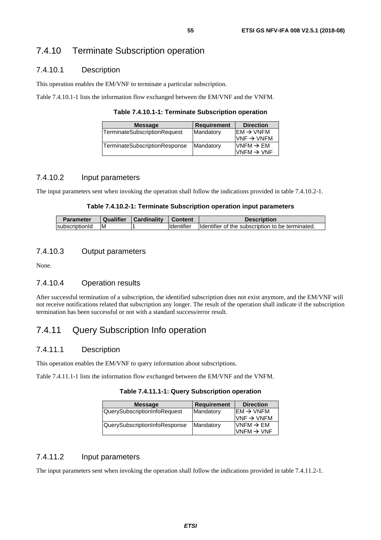### 7.4.10.1 Description

This operation enables the EM/VNF to terminate a particular subscription.

Table 7.4.10.1-1 lists the information flow exchanged between the EM/VNF and the VNFM.

**Table 7.4.10.1-1: Terminate Subscription operation** 

| <b>Message</b>                | <b>Requirement</b> | <b>Direction</b>                                                   |
|-------------------------------|--------------------|--------------------------------------------------------------------|
| TerminateSubscriptionRequest  | Mandatory          | $\mathsf{IEM} \rightarrow \mathsf{VNFM}$<br>$VNF \rightarrow VNFM$ |
| TerminateSubscriptionResponse | Mandatory          | VNFM $\rightarrow$ EM<br>VNFM $\rightarrow$ VNF                    |

### 7.4.10.2 Input parameters

The input parameters sent when invoking the operation shall follow the indications provided in table 7.4.10.2-1.

#### **Table 7.4.10.2-1: Terminate Subscription operation input parameters**

| Parameter      | Qualifier | Cardinality | Content           | <b>Description</b>                               |
|----------------|-----------|-------------|-------------------|--------------------------------------------------|
| subscriptionId | <b>IM</b> |             | <b>Identifier</b> | Identifier of the subscription to be terminated. |

### 7.4.10.3 Output parameters

None.

### 7.4.10.4 Operation results

After successful termination of a subscription, the identified subscription does not exist anymore, and the EM/VNF will not receive notifications related that subscription any longer. The result of the operation shall indicate if the subscription termination has been successful or not with a standard success/error result.

# 7.4.11 Query Subscription Info operation

### 7.4.11.1 Description

This operation enables the EM/VNF to query information about subscriptions.

Table 7.4.11.1-1 lists the information flow exchanged between the EM/VNF and the VNFM.

**Table 7.4.11.1-1: Query Subscription operation** 

| <b>Message</b>                | <b>Requirement</b> | <b>Direction</b>       |
|-------------------------------|--------------------|------------------------|
| QuerySubscriptionInfoRequest  | Mandatory          | $EM \rightarrow VNFM$  |
|                               |                    | $VNF \rightarrow VNFM$ |
| QuerySubscriptionInfoResponse | Mandatory          | $VNFM \rightarrow EM$  |
|                               |                    | $VNFM \rightarrow VNF$ |

### 7.4.11.2 Input parameters

The input parameters sent when invoking the operation shall follow the indications provided in table 7.4.11.2-1.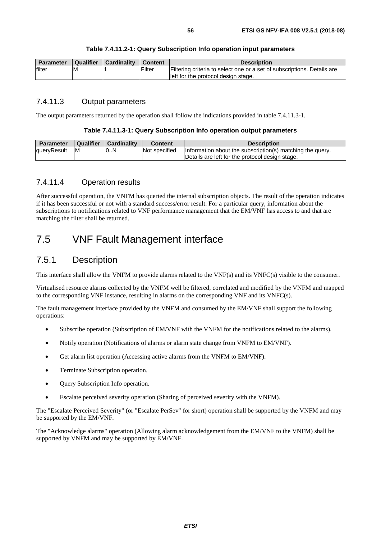| <b>Parameter</b> | <b>Qualifier</b> | <b>Cardinality</b> | <sup>1</sup> Content | <b>Description</b>                                                      |
|------------------|------------------|--------------------|----------------------|-------------------------------------------------------------------------|
| filter           | ΙM               |                    | Filter               | Filtering criteria to select one or a set of subscriptions. Details are |
|                  |                  |                    |                      | left for the protocol design stage.                                     |

### 7.4.11.3 Output parameters

The output parameters returned by the operation shall follow the indications provided in table 7.4.11.3-1.

#### **Table 7.4.11.3-1: Query Subscription Info operation output parameters**

| <b>Parameter</b> | <b>Qualifier</b> | <b>Cardinality</b> | <b>Content</b> | <b>Description</b>                                        |
|------------------|------------------|--------------------|----------------|-----------------------------------------------------------|
| queryResult      | ΙM               | 0N                 | Not specified  | Information about the subscription(s) matching the query. |
|                  |                  |                    |                | Details are left for the protocol design stage.           |

### 7.4.11.4 Operation results

After successful operation, the VNFM has queried the internal subscription objects. The result of the operation indicates if it has been successful or not with a standard success/error result. For a particular query, information about the subscriptions to notifications related to VNF performance management that the EM/VNF has access to and that are matching the filter shall be returned.

# 7.5 VNF Fault Management interface

## 7.5.1 Description

This interface shall allow the VNFM to provide alarms related to the VNF(s) and its VNFC(s) visible to the consumer.

Virtualised resource alarms collected by the VNFM well be filtered, correlated and modified by the VNFM and mapped to the corresponding VNF instance, resulting in alarms on the corresponding VNF and its VNFC(s).

The fault management interface provided by the VNFM and consumed by the EM/VNF shall support the following operations:

- Subscribe operation (Subscription of EM/VNF with the VNFM for the notifications related to the alarms).
- Notify operation (Notifications of alarms or alarm state change from VNFM to EM/VNF).
- Get alarm list operation (Accessing active alarms from the VNFM to EM/VNF).
- Terminate Subscription operation.
- Query Subscription Info operation.
- Escalate perceived severity operation (Sharing of perceived severity with the VNFM).

The "Escalate Perceived Severity" (or "Escalate PerSev" for short) operation shall be supported by the VNFM and may be supported by the EM/VNF.

The "Acknowledge alarms" operation (Allowing alarm acknowledgement from the EM/VNF to the VNFM) shall be supported by VNFM and may be supported by EM/VNF.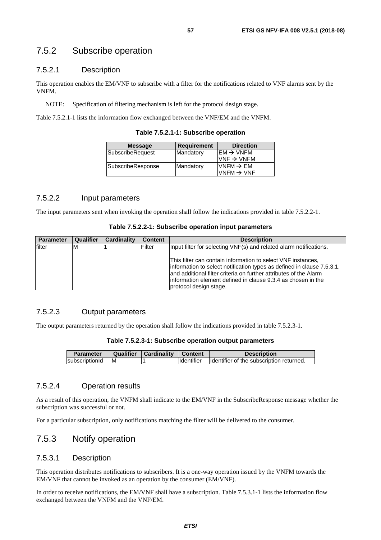# 7.5.2 Subscribe operation

### 7.5.2.1 Description

This operation enables the EM/VNF to subscribe with a filter for the notifications related to VNF alarms sent by the VNFM.

NOTE: Specification of filtering mechanism is left for the protocol design stage.

Table 7.5.2.1-1 lists the information flow exchanged between the VNF/EM and the VNFM.

**Table 7.5.2.1-1: Subscribe operation** 

| Mandatory | $\mathsf{IEM} \rightarrow \mathsf{VNFM}$ |
|-----------|------------------------------------------|
|           |                                          |
|           | $VNF \rightarrow VNFM$                   |
| Mandatory | $VNFM \rightarrow EM$                    |
|           | VNFM $\rightarrow$ VNF                   |
|           |                                          |

### 7.5.2.2 Input parameters

The input parameters sent when invoking the operation shall follow the indications provided in table 7.5.2.2-1.

| Table 7.5.2.2-1: Subscribe operation input parameters |  |  |  |  |
|-------------------------------------------------------|--|--|--|--|
|-------------------------------------------------------|--|--|--|--|

| <b>Parameter</b> | Qualifier | Cardinality | <b>Content</b> | <b>Description</b>                                                                                                                                                                                                                                                                                     |
|------------------|-----------|-------------|----------------|--------------------------------------------------------------------------------------------------------------------------------------------------------------------------------------------------------------------------------------------------------------------------------------------------------|
| filter           | ıм        |             | Filter         | Input filter for selecting VNF(s) and related alarm notifications.                                                                                                                                                                                                                                     |
|                  |           |             |                | This filter can contain information to select VNF instances,<br>information to select notification types as defined in clause 7.5.3.1,<br>and additional filter criteria on further attributes of the Alarm<br>linformation element defined in clause 9.3.4 as chosen in the<br>protocol design stage. |

### 7.5.2.3 Output parameters

The output parameters returned by the operation shall follow the indications provided in table 7.5.2.3-1.

| Table 7.5.2.3-1: Subscribe operation output parameters |  |  |
|--------------------------------------------------------|--|--|
|--------------------------------------------------------|--|--|

| <b>Parameter</b> | Qualifier | Cardinality   Content |            | <b>Description</b>                       |
|------------------|-----------|-----------------------|------------|------------------------------------------|
| subscriptionId   | ΙM        |                       | Identifier | Identifier of the subscription returned. |

### 7.5.2.4 Operation results

As a result of this operation, the VNFM shall indicate to the EM/VNF in the SubscribeResponse message whether the subscription was successful or not.

For a particular subscription, only notifications matching the filter will be delivered to the consumer.

# 7.5.3 Notify operation

### 7.5.3.1 Description

This operation distributes notifications to subscribers. It is a one-way operation issued by the VNFM towards the EM/VNF that cannot be invoked as an operation by the consumer (EM/VNF).

In order to receive notifications, the EM/VNF shall have a subscription. Table 7.5.3.1-1 lists the information flow exchanged between the VNFM and the VNF/EM.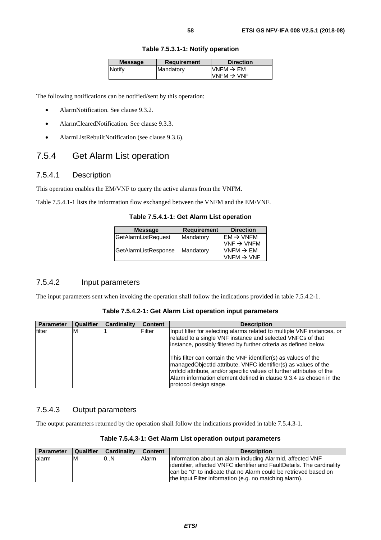| <b>Message</b> | <b>Requirement</b> | <b>Direction</b>                                 |
|----------------|--------------------|--------------------------------------------------|
| Notify         | Mandatory          | $IVNFM \rightarrow EM$<br>$VNFM \rightarrow VNF$ |

**Table 7.5.3.1-1: Notify operation** 

The following notifications can be notified/sent by this operation:

- AlarmNotification. See clause 9.3.2.
- AlarmClearedNotification. See clause 9.3.3.
- AlarmListRebuiltNotification (see clause 9.3.6).

# 7.5.4 Get Alarm List operation

### 7.5.4.1 Description

This operation enables the EM/VNF to query the active alarms from the VNFM.

Table 7.5.4.1-1 lists the information flow exchanged between the VNFM and the EM/VNF.

**Table 7.5.4.1-1: Get Alarm List operation** 

| $\text{EM} \rightarrow \text{VNFM}$     |
|-----------------------------------------|
|                                         |
| $VNF \rightarrow VNFM$                  |
| $VNFM \rightarrow EM$                   |
| $\textsf{IVNFM}\rightarrow\textsf{VNF}$ |
|                                         |

### 7.5.4.2 Input parameters

The input parameters sent when invoking the operation shall follow the indications provided in table 7.5.4.2-1.

| Table 7.5.4.2-1: Get Alarm List operation input parameters |  |  |
|------------------------------------------------------------|--|--|
|------------------------------------------------------------|--|--|

| Parameter | Qualifier | <b>Cardinality</b> | Content       | <b>Description</b>                                                                                                                                                                                                                                                                                                                                                                                                                                                                                                       |
|-----------|-----------|--------------------|---------------|--------------------------------------------------------------------------------------------------------------------------------------------------------------------------------------------------------------------------------------------------------------------------------------------------------------------------------------------------------------------------------------------------------------------------------------------------------------------------------------------------------------------------|
| filter    | ΙM        |                    | <b>Filter</b> | Input filter for selecting alarms related to multiple VNF instances, or<br>related to a single VNF instance and selected VNFCs of that<br>instance, possibly filtered by further criteria as defined below.<br>This filter can contain the VNF identifier(s) as values of the<br>managedObjectId attribute, VNFC identifier(s) as values of the<br>vnfcld attribute, and/or specific values of further attributes of the<br>Alarm information element defined in clause 9.3.4 as chosen in the<br>protocol design stage. |

### 7.5.4.3 Output parameters

The output parameters returned by the operation shall follow the indications provided in table 7.5.4.3-1.

| <b>Parameter</b> | Qualifier | <b>Cardinality</b> | <b>Content</b> | <b>Description</b>                                                                                                                                                                                                                                                   |
|------------------|-----------|--------------------|----------------|----------------------------------------------------------------------------------------------------------------------------------------------------------------------------------------------------------------------------------------------------------------------|
| alarm            | ΙM        | 0.N                | Alarm          | Information about an alarm including Alarmid, affected VNF<br>lidentifier, affected VNFC identifier and FaultDetails. The cardinality<br>Ican be "0" to indicate that no Alarm could be retrieved based on<br>the input Filter information (e.g. no matching alarm). |

#### **Table 7.5.4.3-1: Get Alarm List operation output parameters**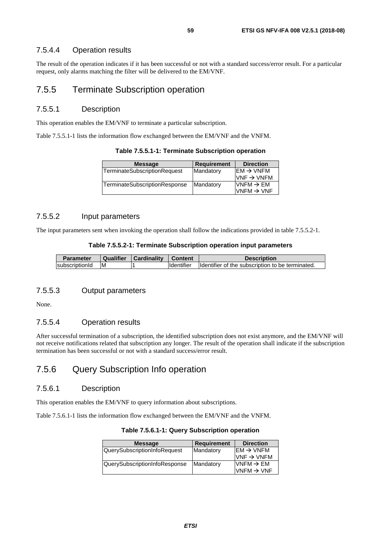# 7.5.4.4 Operation results

The result of the operation indicates if it has been successful or not with a standard success/error result. For a particular request, only alarms matching the filter will be delivered to the EM/VNF.

# 7.5.5 Terminate Subscription operation

### 7.5.5.1 Description

This operation enables the EM/VNF to terminate a particular subscription.

Table 7.5.5.1-1 lists the information flow exchanged between the EM/VNF and the VNFM.

**Table 7.5.5.1-1: Terminate Subscription operation** 

| <b>Message</b>                | <b>Requirement</b> | <b>Direction</b>                         |
|-------------------------------|--------------------|------------------------------------------|
| TerminateSubscriptionRequest  | Mandatory          | $\mathsf{IEM} \rightarrow \mathsf{VNFM}$ |
|                               |                    | $VNF \rightarrow VNFM$                   |
| TerminateSubscriptionResponse | Mandatory          | $VNFM \rightarrow EM$                    |
|                               |                    | VNFM $\rightarrow$ VNF                   |

### 7.5.5.2 Input parameters

The input parameters sent when invoking the operation shall follow the indications provided in table 7.5.5.2-1.

| <b>Parameter</b> | Qualifier | Cardinality | <b>Content</b> | <b>Description</b>                               |
|------------------|-----------|-------------|----------------|--------------------------------------------------|
| subscriptionId   | ΙM        |             | Identifier     | Identifier of the subscription to be terminated. |

### 7.5.5.3 Output parameters

None.

### 7.5.5.4 Operation results

After successful termination of a subscription, the identified subscription does not exist anymore, and the EM/VNF will not receive notifications related that subscription any longer. The result of the operation shall indicate if the subscription termination has been successful or not with a standard success/error result.

# 7.5.6 Query Subscription Info operation

### 7.5.6.1 Description

This operation enables the EM/VNF to query information about subscriptions.

Table 7.5.6.1-1 lists the information flow exchanged between the EM/VNF and the VNFM.

| <b>Message</b>                | <b>Requirement</b> | <b>Direction</b>                         |
|-------------------------------|--------------------|------------------------------------------|
| QuerySubscriptionInfoRequest  | Mandatory          | $\mathsf{IEM} \rightarrow \mathsf{VNFM}$ |
|                               |                    | $VNF \rightarrow VNFM$                   |
| QuerySubscriptionInfoResponse | Mandatory          | $VNFM \rightarrow EM$                    |
|                               |                    | $VNFM \rightarrow VNF$                   |
|                               |                    |                                          |

**Table 7.5.6.1-1: Query Subscription operation**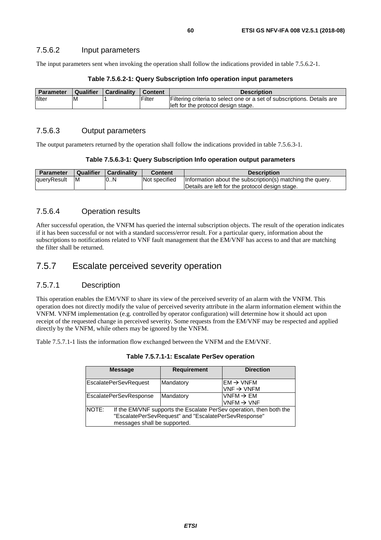The input parameters sent when invoking the operation shall follow the indications provided in table 7.5.6.2-1.

| <b>Parameter</b> | Qualifier | Cardinality | Content | <b>Description</b>                                                      |
|------------------|-----------|-------------|---------|-------------------------------------------------------------------------|
| filter           | ıм        |             | Filter  | Filtering criteria to select one or a set of subscriptions. Details are |
|                  |           |             |         | left for the protocol design stage.                                     |

#### **Table 7.5.6.2-1: Query Subscription Info operation input parameters**

### 7.5.6.3 Output parameters

The output parameters returned by the operation shall follow the indications provided in table 7.5.6.3-1.

| Table 7.5.6.3-1: Query Subscription Info operation output parameters |  |  |  |
|----------------------------------------------------------------------|--|--|--|
|----------------------------------------------------------------------|--|--|--|

| <b>Parameter</b> | Qualifier | <b>Cardinality</b> | Content              | <b>Description</b>                                                                                           |
|------------------|-----------|--------------------|----------------------|--------------------------------------------------------------------------------------------------------------|
| queryResult      | ΙM        | 10N                | <b>Not specified</b> | Information about the subscription(s) matching the query.<br>Details are left for the protocol design stage. |

### 7.5.6.4 Operation results

After successful operation, the VNFM has queried the internal subscription objects. The result of the operation indicates if it has been successful or not with a standard success/error result. For a particular query, information about the subscriptions to notifications related to VNF fault management that the EM/VNF has access to and that are matching the filter shall be returned.

# 7.5.7 Escalate perceived severity operation

### 7.5.7.1 Description

This operation enables the EM/VNF to share its view of the perceived severity of an alarm with the VNFM. This operation does not directly modify the value of perceived severity attribute in the alarm information element within the VNFM. VNFM implementation (e.g. controlled by operator configuration) will determine how it should act upon receipt of the requested change in perceived severity. Some requests from the EM/VNF may be respected and applied directly by the VNFM, while others may be ignored by the VNFM.

Table 7.5.7.1-1 lists the information flow exchanged between the VNFM and the EM/VNF.

| <b>Message</b>         | <b>Requirement</b>                                                                                                                                          | <b>Direction</b>                                |  |  |  |
|------------------------|-------------------------------------------------------------------------------------------------------------------------------------------------------------|-------------------------------------------------|--|--|--|
| EscalatePerSevRequest  | Mandatory                                                                                                                                                   | $EM \rightarrow VNFM$<br>$VNF \rightarrow VNFM$ |  |  |  |
| EscalatePerSevResponse | Mandatory                                                                                                                                                   | $VNFM \rightarrow EM$<br>$VNFM \rightarrow VNF$ |  |  |  |
| NOTE:                  | If the EM/VNF supports the Escalate PerSev operation, then both the<br>"EscalatePerSevRequest" and "EscalatePerSevResponse"<br>messages shall be supported. |                                                 |  |  |  |

#### **Table 7.5.7.1-1: Escalate PerSev operation**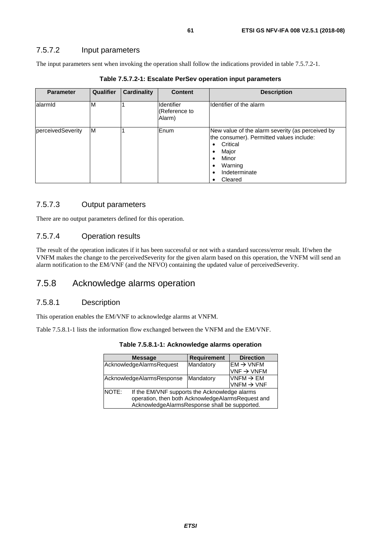### 7.5.7.2 Input parameters

The input parameters sent when invoking the operation shall follow the indications provided in table 7.5.7.2-1.

| <b>Parameter</b>  | <b>Qualifier</b> | <b>Cardinality</b> | <b>Content</b>                        | <b>Description</b>                                                                                                                                                |
|-------------------|------------------|--------------------|---------------------------------------|-------------------------------------------------------------------------------------------------------------------------------------------------------------------|
| alarmid           | M                |                    | Identifier<br>(Reference to<br>Alarm) | Identifier of the alarm                                                                                                                                           |
| perceivedSeverity | M                |                    | <b>Enum</b>                           | New value of the alarm severity (as perceived by<br>the consumer). Permitted values include:<br>Critical<br>Major<br>Minor<br>Warning<br>Indeterminate<br>Cleared |

**Table 7.5.7.2-1: Escalate PerSev operation input parameters** 

## 7.5.7.3 Output parameters

There are no output parameters defined for this operation.

### 7.5.7.4 Operation results

The result of the operation indicates if it has been successful or not with a standard success/error result. If/when the VNFM makes the change to the perceivedSeverity for the given alarm based on this operation, the VNFM will send an alarm notification to the EM/VNF (and the NFVO) containing the updated value of perceivedSeverity.

# 7.5.8 Acknowledge alarms operation

### 7.5.8.1 Description

This operation enables the EM/VNF to acknowledge alarms at VNFM.

Table 7.5.8.1-1 lists the information flow exchanged between the VNFM and the EM/VNF.

| Table 7.5.8.1-1: Acknowledge alarms operation |
|-----------------------------------------------|
|                                               |

|       | <b>Message</b>                                    | <b>Requirement</b> | <b>Direction</b>       |  |  |
|-------|---------------------------------------------------|--------------------|------------------------|--|--|
|       | AcknowledgeAlarmsRequest                          | Mandatory          | $EM \rightarrow VNFM$  |  |  |
|       |                                                   |                    | $VNF \rightarrow VNFM$ |  |  |
|       | AcknowledgeAlarmsResponse                         | Mandatory          | VNFM $\rightarrow$ EM  |  |  |
|       |                                                   |                    | VNFM $\rightarrow$ VNF |  |  |
| NOTE: | If the EM/VNF supports the Acknowledge alarms     |                    |                        |  |  |
|       | operation, then both AcknowledgeAlarmsRequest and |                    |                        |  |  |
|       | AcknowledgeAlarmsResponse shall be supported.     |                    |                        |  |  |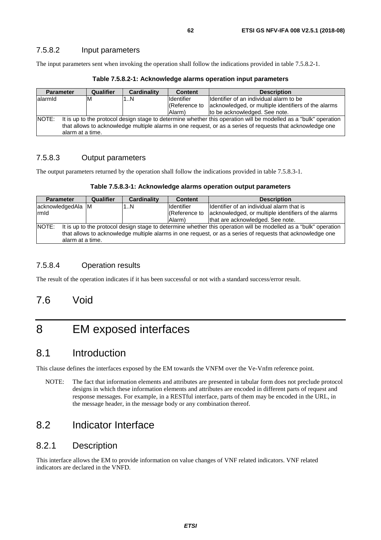### 7.5.8.2 Input parameters

The input parameters sent when invoking the operation shall follow the indications provided in table 7.5.8.2-1.

|              | <b>Parameter</b>                                                                                                 | <b>Qualifier</b> | Cardinality | <b>Content</b>    | <b>Description</b>                                                |
|--------------|------------------------------------------------------------------------------------------------------------------|------------------|-------------|-------------------|-------------------------------------------------------------------|
| lalarmid     |                                                                                                                  | ιM               | 1N          | <b>Identifier</b> | Ildentifier of an individual alarm to be                          |
|              |                                                                                                                  |                  |             |                   | (Reference to acknowledged, or multiple identifiers of the alarms |
|              |                                                                                                                  |                  |             | Alarm)            | to be acknowledged. See note.                                     |
| <b>NOTE:</b> | It is up to the protocol design stage to determine whether this operation will be modelled as a "bulk" operation |                  |             |                   |                                                                   |
|              | that allows to acknowledge multiple alarms in one request, or as a series of requests that acknowledge one       |                  |             |                   |                                                                   |
|              | alarm at a time.                                                                                                 |                  |             |                   |                                                                   |

**Table 7.5.8.2-1: Acknowledge alarms operation input parameters** 

### 7.5.8.3 Output parameters

The output parameters returned by the operation shall follow the indications provided in table 7.5.8.3-1.

| Table 7.5.8.3-1: Acknowledge alarms operation output parameters |  |  |
|-----------------------------------------------------------------|--|--|
|-----------------------------------------------------------------|--|--|

| <b>Parameter</b>                                                                                                                 |                  | <b>Qualifier</b> | <b>Cardinality</b> | <b>Content</b>    | <b>Description</b>                                  |
|----------------------------------------------------------------------------------------------------------------------------------|------------------|------------------|--------------------|-------------------|-----------------------------------------------------|
| acknowledgedAla M                                                                                                                |                  |                  | 1N                 | <b>Identifier</b> | Ildentifier of an individual alarm that is          |
| rmld                                                                                                                             |                  |                  |                    | (Reference to     | acknowledged, or multiple identifiers of the alarms |
|                                                                                                                                  |                  |                  |                    | Alarm)            | that are acknowledged. See note.                    |
| <b>NOTE:</b><br>It is up to the protocol design stage to determine whether this operation will be modelled as a "bulk" operation |                  |                  |                    |                   |                                                     |
| that allows to acknowledge multiple alarms in one request, or as a series of requests that acknowledge one                       |                  |                  |                    |                   |                                                     |
|                                                                                                                                  | alarm at a time. |                  |                    |                   |                                                     |

### 7.5.8.4 Operation results

The result of the operation indicates if it has been successful or not with a standard success/error result.

# 7.6 Void

# 8 EM exposed interfaces

# 8.1 Introduction

This clause defines the interfaces exposed by the EM towards the VNFM over the Ve-Vnfm reference point.

NOTE: The fact that information elements and attributes are presented in tabular form does not preclude protocol designs in which these information elements and attributes are encoded in different parts of request and response messages. For example, in a RESTful interface, parts of them may be encoded in the URL, in the message header, in the message body or any combination thereof.

# 8.2 Indicator Interface

## 8.2.1 Description

This interface allows the EM to provide information on value changes of VNF related indicators. VNF related indicators are declared in the VNFD.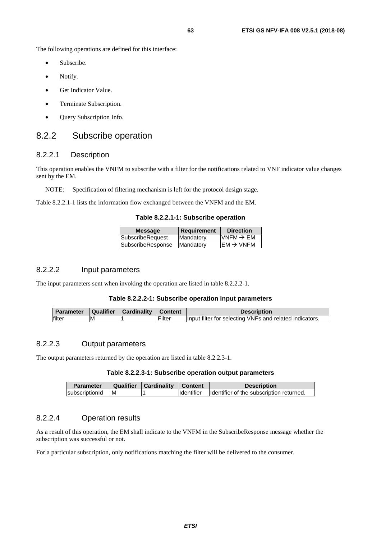The following operations are defined for this interface:

- Subscribe.
- Notify.
- Get Indicator Value.
- Terminate Subscription.
- Query Subscription Info.

# 8.2.2 Subscribe operation

### 8.2.2.1 Description

This operation enables the VNFM to subscribe with a filter for the notifications related to VNF indicator value changes sent by the EM.

NOTE: Specification of filtering mechanism is left for the protocol design stage.

Table 8.2.2.1-1 lists the information flow exchanged between the VNFM and the EM.

|  |  |  | Table 8.2.2.1-1: Subscribe operation |  |
|--|--|--|--------------------------------------|--|
|--|--|--|--------------------------------------|--|

| <b>Message</b>    | Requirement | <b>Direction</b>       |
|-------------------|-------------|------------------------|
| SubscribeRequest  | Mandatory   | $IVNFM \rightarrow EM$ |
| SubscribeResponse | Mandatory   | $IEM \rightarrow VNFM$ |
|                   |             |                        |

### 8.2.2.2 Input parameters

The input parameters sent when invoking the operation are listed in table 8.2.2.2-1.

#### **Table 8.2.2.2-1: Subscribe operation input parameters**

| <b>Parameter</b> | Qualifier | <b>Cardinality</b> | <b>Content</b> | <b>Description</b>                                      |
|------------------|-----------|--------------------|----------------|---------------------------------------------------------|
| lfilter          | ΙM        |                    | Filter         | Input filter for selecting VNFs and related indicators. |

### 8.2.2.3 Output parameters

The output parameters returned by the operation are listed in table 8.2.2.3-1.

#### **Table 8.2.2.3-1: Subscribe operation output parameters**

| <b>Parameter</b> | <b>Qualifier</b> | Cardinality | <b>Content</b>    | <b>Description</b>                        |
|------------------|------------------|-------------|-------------------|-------------------------------------------|
| subscriptionId   | ΙM               |             | <b>Identifier</b> | Ildentifier of the subscription returned. |

### 8.2.2.4 Operation results

As a result of this operation, the EM shall indicate to the VNFM in the SubscribeResponse message whether the subscription was successful or not.

For a particular subscription, only notifications matching the filter will be delivered to the consumer.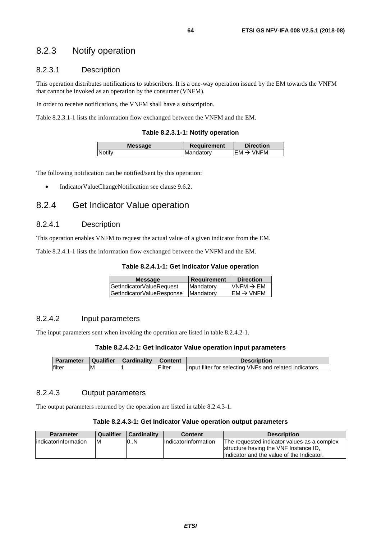# 8.2.3 Notify operation

### 8.2.3.1 Description

This operation distributes notifications to subscribers. It is a one-way operation issued by the EM towards the VNFM that cannot be invoked as an operation by the consumer (VNFM).

In order to receive notifications, the VNFM shall have a subscription.

Table 8.2.3.1-1 lists the information flow exchanged between the VNFM and the EM.

#### **Table 8.2.3.1-1: Notify operation**

| <b>Message</b> | <b>Requirement</b> | <b>Direction</b>       |
|----------------|--------------------|------------------------|
| Notify         | Mandatory          | IFM $\rightarrow$ VNFM |
|                |                    |                        |

The following notification can be notified/sent by this operation:

• IndicatorValueChangeNotification see clause 9.6.2.

# 8.2.4 Get Indicator Value operation

### 8.2.4.1 Description

This operation enables VNFM to request the actual value of a given indicator from the EM.

Table 8.2.4.1-1 lists the information flow exchanged between the VNFM and the EM.

#### **Table 8.2.4.1-1: Get Indicator Value operation**

| <b>Message</b>            | Requirement      | <b>Direction</b>       |
|---------------------------|------------------|------------------------|
| GetIndicatorValueRequest  | Mandatory        | VNFM $\rightarrow$ EM  |
| GetIndicatorValueResponse | <b>Mandatory</b> | $IEM \rightarrow VNFM$ |
|                           |                  |                        |

#### 8.2.4.2 Input parameters

The input parameters sent when invoking the operation are listed in table 8.2.4.2-1.

#### **Table 8.2.4.2-1: Get Indicator Value operation input parameters**

| <b>Parameter</b> | Qualifier | <b>Cardinality</b> | <b>∣Content</b> | <b>Description</b>                                      |
|------------------|-----------|--------------------|-----------------|---------------------------------------------------------|
| lfilter          | ١M        |                    | Filter          | Input filter for selecting VNFs and related indicators. |

### 8.2.4.3 Output parameters

The output parameters returned by the operation are listed in table 8.2.4.3-1.

#### **Table 8.2.4.3-1: Get Indicator Value operation output parameters**

| <b>Parameter</b>      | Qualifier | <b>Cardinality</b> | Content                     | <b>Description</b>                           |
|-----------------------|-----------|--------------------|-----------------------------|----------------------------------------------|
| lindicatorInformation | ΙM        | 0.N                | <b>IndicatorInformation</b> | IThe requested indicator values as a complex |
|                       |           |                    |                             | structure having the VNF Instance ID,        |
|                       |           |                    |                             | Indicator and the value of the Indicator.    |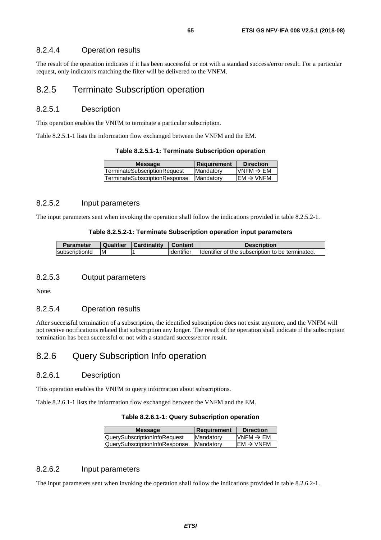### 8.2.4.4 Operation results

The result of the operation indicates if it has been successful or not with a standard success/error result. For a particular request, only indicators matching the filter will be delivered to the VNFM.

### 8.2.5 Terminate Subscription operation

### 8.2.5.1 Description

This operation enables the VNFM to terminate a particular subscription.

Table 8.2.5.1-1 lists the information flow exchanged between the VNFM and the EM.

| Table 8.2.5.1-1: Terminate Subscription operation |  |  |
|---------------------------------------------------|--|--|
|---------------------------------------------------|--|--|

| <b>Message</b>                      | <b>Requirement</b> | <b>Direction</b>      |
|-------------------------------------|--------------------|-----------------------|
| <b>TerminateSubscriptionRequest</b> | Mandatory          | $VNFM \rightarrow EM$ |
| TerminateSubscriptionResponse       | <b>Mandatory</b>   | $EM \rightarrow VNFM$ |
|                                     |                    |                       |

## 8.2.5.2 Input parameters

The input parameters sent when invoking the operation shall follow the indications provided in table 8.2.5.2-1.

#### **Table 8.2.5.2-1: Terminate Subscription operation input parameters**

| <b>Parameter</b> | Qualifier | Cardinality | <b>∣ Content</b>  | <b>Description</b>                               |
|------------------|-----------|-------------|-------------------|--------------------------------------------------|
| subscriptionId   | ιM        |             | <b>Identifier</b> | Identifier of the subscription to be terminated. |

### 8.2.5.3 Output parameters

None.

### 8.2.5.4 Operation results

After successful termination of a subscription, the identified subscription does not exist anymore, and the VNFM will not receive notifications related that subscription any longer. The result of the operation shall indicate if the subscription termination has been successful or not with a standard success/error result.

# 8.2.6 Query Subscription Info operation

### 8.2.6.1 Description

This operation enables the VNFM to query information about subscriptions.

Table 8.2.6.1-1 lists the information flow exchanged between the VNFM and the EM.

#### **Table 8.2.6.1-1: Query Subscription operation**

| <b>Message</b>                       | <b>Requirement</b> | <b>Direction</b>      |
|--------------------------------------|--------------------|-----------------------|
| QuerySubscriptionInfoRequest         | <b>IMandatory</b>  | VNFM $\rightarrow$ EM |
| <b>QuerySubscriptionInfoResponse</b> | <b>Mandatory</b>   | $EM \rightarrow VNFM$ |
|                                      |                    |                       |

### 8.2.6.2 Input parameters

The input parameters sent when invoking the operation shall follow the indications provided in table 8.2.6.2-1.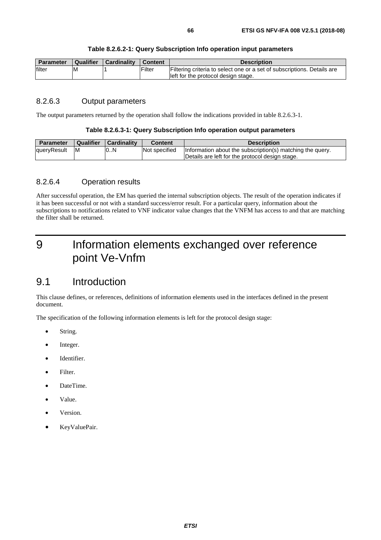| Table 8.2.6.2-1: Query Subscription Info operation input parameters |  |  |  |  |  |
|---------------------------------------------------------------------|--|--|--|--|--|
|---------------------------------------------------------------------|--|--|--|--|--|

| Parameter | <b>Qualifier</b> | Cardinality | <b>Content</b> | <b>Description</b>                                                      |
|-----------|------------------|-------------|----------------|-------------------------------------------------------------------------|
| filter    | ΙM               |             | Filter         | Filtering criteria to select one or a set of subscriptions. Details are |
|           |                  |             |                | left for the protocol design stage.                                     |

### 8.2.6.3 Output parameters

The output parameters returned by the operation shall follow the indications provided in table 8.2.6.3-1.

#### **Table 8.2.6.3-1: Query Subscription Info operation output parameters**

| <b>Parameter</b> | <b>Qualifier</b> | Cardinality | <b>Content</b> | <b>Description</b>                                        |
|------------------|------------------|-------------|----------------|-----------------------------------------------------------|
| queryResult      | ΙM               | 10N         | Not specified  | Information about the subscription(s) matching the query. |
|                  |                  |             |                | Details are left for the protocol design stage.           |

### 8.2.6.4 Operation results

After successful operation, the EM has queried the internal subscription objects. The result of the operation indicates if it has been successful or not with a standard success/error result. For a particular query, information about the subscriptions to notifications related to VNF indicator value changes that the VNFM has access to and that are matching the filter shall be returned.

# 9 Information elements exchanged over reference point Ve-Vnfm

# 9.1 Introduction

This clause defines, or references, definitions of information elements used in the interfaces defined in the present document.

The specification of the following information elements is left for the protocol design stage:

- String.
- Integer.
- Identifier.
- Filter.
- DateTime.
- Value.
- Version.
- KeyValuePair.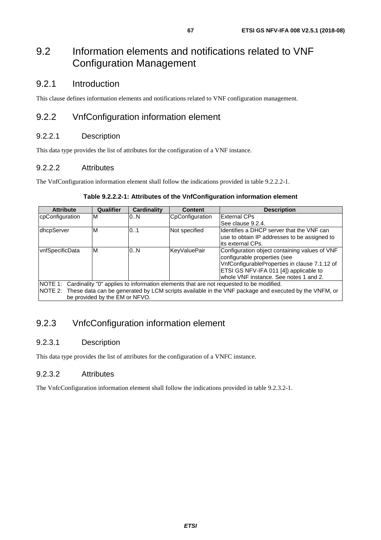# 9.2 Information elements and notifications related to VNF Configuration Management

# 9.2.1 Introduction

This clause defines information elements and notifications related to VNF configuration management.

# 9.2.2 VnfConfiguration information element

## 9.2.2.1 Description

This data type provides the list of attributes for the configuration of a VNF instance.

### 9.2.2.2 Attributes

The VnfConfiguration information element shall follow the indications provided in table 9.2.2.2-1.

### **Table 9.2.2.2-1: Attributes of the VnfConfiguration information element**

| <b>Attribute</b>                                                                                             | Qualifier | <b>Cardinality</b> | <b>Content</b>      | <b>Description</b>                            |  |
|--------------------------------------------------------------------------------------------------------------|-----------|--------------------|---------------------|-----------------------------------------------|--|
| cpConfiguration                                                                                              | M         | 0.N                | CpConfiguration     | <b>External CPs</b>                           |  |
|                                                                                                              |           |                    |                     | See clause 9.2.4.                             |  |
| dhcpServer                                                                                                   | M         | 01                 | Not specified       | lIdentifies a DHCP server that the VNF can    |  |
|                                                                                                              |           |                    |                     | use to obtain IP addresses to be assigned to  |  |
|                                                                                                              |           |                    |                     | lits external CPs.                            |  |
| vnfSpecificData                                                                                              | M         | 0.N                | <b>KeyValuePair</b> | Configuration object containing values of VNF |  |
|                                                                                                              |           |                    |                     | configurable properties (see                  |  |
|                                                                                                              |           |                    |                     | VnfConfigurableProperties in clause 7.1.12 of |  |
|                                                                                                              |           |                    |                     | ETSI GS NFV-IFA 011 [4]) applicable to        |  |
|                                                                                                              |           |                    |                     | whole VNF instance. See notes 1 and 2.        |  |
| NOTE 1: Cardinality "0" applies to information elements that are not requested to be modified.               |           |                    |                     |                                               |  |
| NOTE 2: These data can be generated by LCM scripts available in the VNF package and executed by the VNFM, or |           |                    |                     |                                               |  |
| be provided by the EM or NFVO.                                                                               |           |                    |                     |                                               |  |

# 9.2.3 VnfcConfiguration information element

## 9.2.3.1 Description

This data type provides the list of attributes for the configuration of a VNFC instance.

### 9.2.3.2 Attributes

The VnfcConfiguration information element shall follow the indications provided in table 9.2.3.2-1.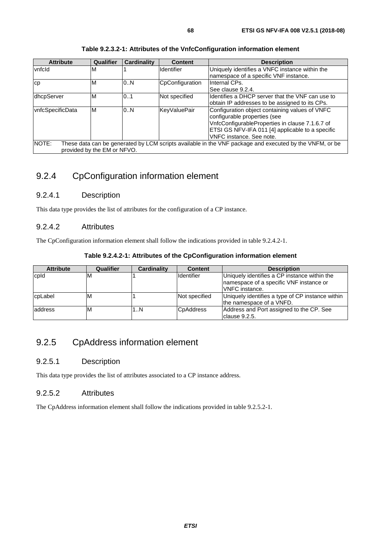| <b>Attribute</b>                                                                                                 | <b>Qualifier</b> | <b>Cardinality</b> | <b>Content</b>      | <b>Description</b>                                |  |
|------------------------------------------------------------------------------------------------------------------|------------------|--------------------|---------------------|---------------------------------------------------|--|
| vnfcld                                                                                                           | M                |                    | <b>Identifier</b>   | Uniquely identifies a VNFC instance within the    |  |
|                                                                                                                  |                  |                    |                     | namespace of a specific VNF instance.             |  |
| СD                                                                                                               | ΙM               | 0.N                | CpConfiguration     | Internal CPs.                                     |  |
|                                                                                                                  |                  |                    |                     | See clause 9.2.4.                                 |  |
| dhcpServer                                                                                                       | M                | 0.1                | Not specified       | Ildentifies a DHCP server that the VNF can use to |  |
|                                                                                                                  |                  |                    |                     | obtain IP addresses to be assigned to its CPs.    |  |
| vnfcSpecificData                                                                                                 | ΙM               | 0.N                | <b>KeyValuePair</b> | Configuration object containing values of VNFC    |  |
|                                                                                                                  |                  |                    |                     | configurable properties (see                      |  |
|                                                                                                                  |                  |                    |                     | VnfcConfigurableProperties in clause 7.1.6.7 of   |  |
|                                                                                                                  |                  |                    |                     | ETSI GS NFV-IFA 011 [4] applicable to a specific  |  |
|                                                                                                                  |                  |                    |                     | VNFC instance. See note.                          |  |
| NOTE:<br>These data can be generated by LCM scripts available in the VNF package and executed by the VNFM, or be |                  |                    |                     |                                                   |  |

#### **Table 9.2.3.2-1: Attributes of the VnfcConfiguration information element**

9.2.4 CpConfiguration information element

### 9.2.4.1 Description

provided by the EM or NFVO.

This data type provides the list of attributes for the configuration of a CP instance.

### 9.2.4.2 Attributes

The CpConfiguration information element shall follow the indications provided in table 9.2.4.2-1.

| Table 9.2.4.2-1: Attributes of the CpConfiguration information element |
|------------------------------------------------------------------------|
|------------------------------------------------------------------------|

| <b>Attribute</b> | Qualifier  | <b>Cardinality</b> | <b>Content</b>    | <b>Description</b>                                                                                        |
|------------------|------------|--------------------|-------------------|-----------------------------------------------------------------------------------------------------------|
| cpld             | <b>IVI</b> |                    | <b>Identifier</b> | Uniquely identifies a CP instance within the<br>namespace of a specific VNF instance or<br>VNFC instance. |
| cpLabel          | ιM         |                    | Not specified     | Uniquely identifies a type of CP instance within<br>the namespace of a VNFD.                              |
| address          | ιM         | 1N                 | <b>C</b> pAddress | Address and Port assigned to the CP. See<br>Iclause 9.2.5.                                                |

# 9.2.5 CpAddress information element

### 9.2.5.1 Description

This data type provides the list of attributes associated to a CP instance address.

### 9.2.5.2 Attributes

The CpAddress information element shall follow the indications provided in table 9.2.5.2-1.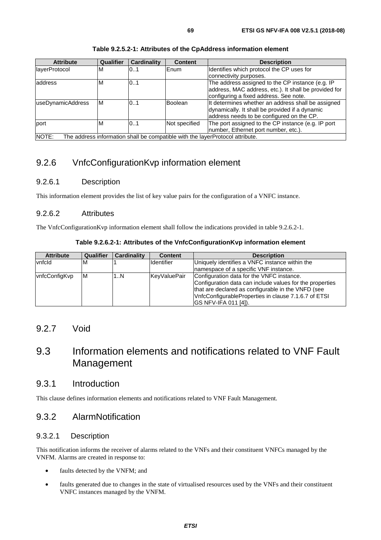| <b>Attribute</b>           | <b>Qualifier</b> | <b>Cardinality</b> | <b>Content</b> | <b>Description</b>                                    |
|----------------------------|------------------|--------------------|----------------|-------------------------------------------------------|
| layerProtocol              | M                | 01                 | Enum           | Identifies which protocol the CP uses for             |
|                            |                  |                    |                | connectivity purposes.                                |
| address                    | M                | 0.1                |                | The address assigned to the CP instance (e.g. IP      |
|                            |                  |                    |                | address, MAC address, etc.). It shall be provided for |
|                            |                  |                    |                | configuring a fixed address. See note.                |
| useDynamicAddress          | M                | 0.1                | <b>Boolean</b> | It determines whether an address shall be assigned    |
|                            |                  |                    |                | dynamically. It shall be provided if a dynamic        |
|                            |                  |                    |                | address needs to be configured on the CP.             |
| port                       | M                | 0.1                | Not specified  | The port assigned to the CP instance (e.g. IP port    |
|                            |                  |                    |                | number, Ethernet port number, etc.).                  |
| $\cdots$<br>$\cdots$<br>-- | . .              | .                  |                |                                                       |

#### **Table 9.2.5.2-1: Attributes of the CpAddress information element**

NOTE: The address information shall be compatible with the layerProtocol attribute.

# 9.2.6 VnfcConfigurationKvp information element

### 9.2.6.1 Description

This information element provides the list of key value pairs for the configuration of a VNFC instance.

### 9.2.6.2 Attributes

The VnfcConfigurationKvp information element shall follow the indications provided in table 9.2.6.2-1.

### **Table 9.2.6.2-1: Attributes of the VnfcConfigurationKvp information element**

| <b>Attribute</b>      | <b>Qualifier</b> | <b>Cardinality</b> | <b>Content</b>    | <b>Description</b>                                       |
|-----------------------|------------------|--------------------|-------------------|----------------------------------------------------------|
| vnfcld                | M                |                    | <b>Identifier</b> | Uniquely identifies a VNFC instance within the           |
|                       |                  |                    |                   | Inamespace of a specific VNF instance.                   |
| <b>IvnfcConfigKvp</b> | ΙM               | 1N                 | KeyValuePair      | Configuration data for the VNFC instance.                |
|                       |                  |                    |                   | Configuration data can include values for the properties |
|                       |                  |                    |                   | that are declared as configurable in the VNFD (see       |
|                       |                  |                    |                   | VnfcConfigurableProperties in clause 7.1.6.7 of ETSI     |
|                       |                  |                    |                   | IGS NFV-IFA 011 [4]).                                    |

# 9.2.7 Void

# 9.3 Information elements and notifications related to VNF Fault Management

# 9.3.1 Introduction

This clause defines information elements and notifications related to VNF Fault Management.

# 9.3.2 AlarmNotification

### 9.3.2.1 Description

This notification informs the receiver of alarms related to the VNFs and their constituent VNFCs managed by the VNFM. Alarms are created in response to:

- faults detected by the VNFM; and
- faults generated due to changes in the state of virtualised resources used by the VNFs and their constituent VNFC instances managed by the VNFM.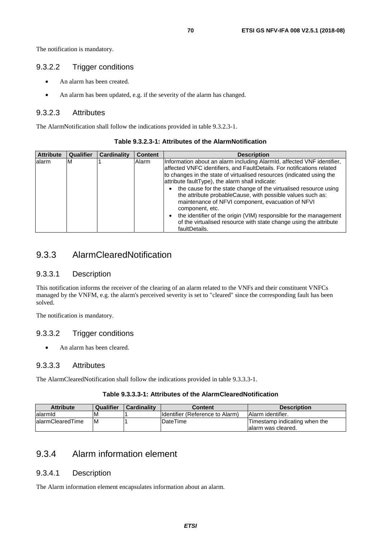The notification is mandatory.

### 9.3.2.2 Trigger conditions

- An alarm has been created.
- An alarm has been updated, e.g. if the severity of the alarm has changed.

### 9.3.2.3 Attributes

The AlarmNotification shall follow the indications provided in table 9.3.2.3-1.

| <b>Attribute</b> | Qualifier | <b>Cardinality</b> | <b>Content</b> | <b>Description</b>                                                                                                                                                                                                                                                                                                                                                                                                                                                                                                                                                                                                                                                          |
|------------------|-----------|--------------------|----------------|-----------------------------------------------------------------------------------------------------------------------------------------------------------------------------------------------------------------------------------------------------------------------------------------------------------------------------------------------------------------------------------------------------------------------------------------------------------------------------------------------------------------------------------------------------------------------------------------------------------------------------------------------------------------------------|
| lalarm           | M         |                    | Alarm          | Information about an alarm including Alarmid, affected VNF identifier,<br>affected VNFC identifiers, and FaultDetails. For notifications related<br>to changes in the state of virtualised resources (indicated using the<br>attribute faultType), the alarm shall indicate:<br>the cause for the state change of the virtualised resource using<br>$\bullet$<br>the attribute probableCause, with possible values such as:<br>maintenance of NFVI component, evacuation of NFVI<br>component, etc.<br>the identifier of the origin (VIM) responsible for the management<br>$\bullet$<br>of the virtualised resource with state change using the attribute<br>faultDetails. |

#### **Table 9.3.2.3-1: Attributes of the AlarmNotification**

# 9.3.3 AlarmClearedNotification

#### 9.3.3.1 Description

This notification informs the receiver of the clearing of an alarm related to the VNFs and their constituent VNFCs managed by the VNFM, e.g. the alarm's perceived severity is set to "cleared" since the corresponding fault has been solved.

The notification is mandatory.

### 9.3.3.2 Trigger conditions

An alarm has been cleared.

#### 9.3.3.3 Attributes

The AlarmClearedNotification shall follow the indications provided in table 9.3.3.3-1.

#### **Table 9.3.3.3-1: Attributes of the AlarmClearedNotification**

| <b>Attribute</b>  | <b>Qualifier</b> | <b>Cardinality</b> | Content                          | <b>Description</b>                                   |
|-------------------|------------------|--------------------|----------------------------------|------------------------------------------------------|
| lalarmid          | M                |                    | Ildentifier (Reference to Alarm) | <b>Alarm identifier.</b>                             |
| lalarmClearedTime | ΙM               |                    | <b>DateTime</b>                  | Timestamp indicating when the<br>lalarm was cleared. |

# 9.3.4 Alarm information element

### 9.3.4.1 Description

The Alarm information element encapsulates information about an alarm.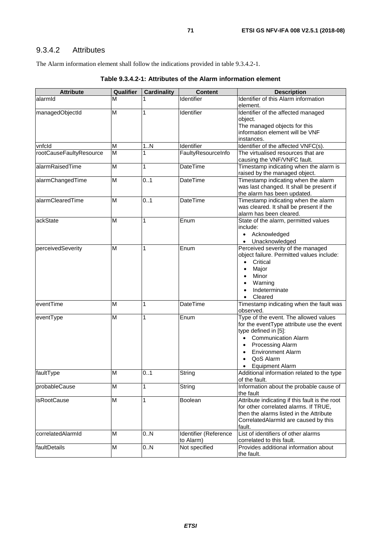# 9.3.4.2 Attributes

The Alarm information element shall follow the indications provided in table 9.3.4.2-1.

| <b>Attribute</b>        | Qualifier | <b>Cardinality</b> | <b>Content</b>        | <b>Description</b>                                                             |
|-------------------------|-----------|--------------------|-----------------------|--------------------------------------------------------------------------------|
| alarmid                 | М         |                    | Identifier            | Identifier of this Alarm information                                           |
|                         |           |                    |                       | element.                                                                       |
| managedObjectId         | M         | 1                  | Identifier            | Identifier of the affected managed                                             |
|                         |           |                    |                       | object.                                                                        |
|                         |           |                    |                       | The managed objects for this                                                   |
|                         |           |                    |                       | information element will be VNF                                                |
|                         |           |                    |                       | instances.                                                                     |
| vnfcld                  | М         | 1N                 | Identifier            | Identifier of the affected VNFC(s).                                            |
| rootCauseFaultyResource | M         | 1                  | FaultyResourceInfo    | The virtualised resources that are<br>causing the VNF/VNFC fault.              |
| alarmRaisedTime         | M         | 1                  | <b>DateTime</b>       | Timestamp indicating when the alarm is<br>raised by the managed object.        |
| alarmChangedTime        | M         | 0.1                | DateTime              | Timestamp indicating when the alarm                                            |
|                         |           |                    |                       | was last changed. It shall be present if                                       |
|                         |           |                    |                       | the alarm has been updated.                                                    |
| alarmClearedTime        | M         | 0.1                | <b>DateTime</b>       | Timestamp indicating when the alarm                                            |
|                         |           |                    |                       | was cleared. It shall be present if the                                        |
|                         |           |                    |                       | alarm has been cleared.                                                        |
| lackState               | M         | 1                  | Enum                  | State of the alarm, permitted values                                           |
|                         |           |                    |                       | include:                                                                       |
|                         |           |                    |                       | • Acknowledged                                                                 |
|                         |           |                    |                       | • Unacknowledged                                                               |
| perceivedSeverity       | M         | 1                  | Enum                  | Perceived severity of the managed<br>object failure. Permitted values include: |
|                         |           |                    |                       | Critical<br>$\bullet$                                                          |
|                         |           |                    |                       | Major                                                                          |
|                         |           |                    |                       | $\bullet$<br>Minor                                                             |
|                         |           |                    |                       | Warning                                                                        |
|                         |           |                    |                       | $\bullet$<br>Indeterminate<br>$\bullet$                                        |
|                         |           |                    |                       | Cleared<br>$\bullet$                                                           |
| eventTime               | M         | 1                  | DateTime              | Timestamp indicating when the fault was                                        |
|                         |           |                    |                       | observed.                                                                      |
| eventType               | M         | 1                  | Enum                  | Type of the event. The allowed values                                          |
|                         |           |                    |                       | for the eventType attribute use the event                                      |
|                         |           |                    |                       | type defined in [5]:                                                           |
|                         |           |                    |                       | <b>Communication Alarm</b>                                                     |
|                         |           |                    |                       | <b>Processing Alarm</b>                                                        |
|                         |           |                    |                       | <b>Environment Alarm</b>                                                       |
|                         |           |                    |                       | QoS Alarm                                                                      |
|                         |           |                    |                       | <b>Equipment Alarm</b>                                                         |
| faultType               | M         | 01                 | String                | Additional information related to the type<br>of the fault.                    |
| probableCause           | M         | 1                  | String                | Information about the probable cause of<br>the fault                           |
| isRootCause             | M         | 1                  | Boolean               | Attribute indicating if this fault is the root                                 |
|                         |           |                    |                       | for other correlated alarms. If TRUE,                                          |
|                         |           |                    |                       | then the alarms listed in the Attribute                                        |
|                         |           |                    |                       | CorrelatedAlarmId are caused by this                                           |
|                         |           |                    |                       | fault.                                                                         |
| correlatedAlarmId       | M         | 0.N                | Identifier (Reference | List of identifiers of other alarms                                            |
|                         |           |                    | to Alarm)             | correlated to this fault.                                                      |
| faultDetails            | M         | 0.N                | Not specified         | Provides additional information about<br>the fault.                            |

**Table 9.3.4.2-1: Attributes of the Alarm information element**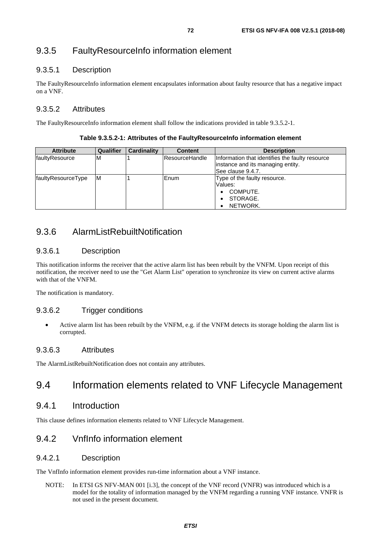# 9.3.5 FaultyResourceInfo information element

## 9.3.5.1 Description

The FaultyResourceInfo information element encapsulates information about faulty resource that has a negative impact on a VNF.

### 9.3.5.2 Attributes

The FaultyResourceInfo information element shall follow the indications provided in table 9.3.5.2-1.

|  | Table 9.3.5.2-1: Attributes of the FaultyResourceInfo information element |
|--|---------------------------------------------------------------------------|
|--|---------------------------------------------------------------------------|

| <b>Attribute</b>   | <b>Qualifier</b> | <b>Cardinality</b> | <b>Content</b>        | <b>Description</b>                              |
|--------------------|------------------|--------------------|-----------------------|-------------------------------------------------|
| faultyResource     | ιM               |                    | <b>ResourceHandle</b> | Information that identifies the faulty resource |
|                    |                  |                    |                       | instance and its managing entity.               |
|                    |                  |                    |                       | See clause 9.4.7.                               |
| faultyResourceType | ΙM               |                    | Enum                  | Type of the faulty resource.                    |
|                    |                  |                    |                       | Values:                                         |
|                    |                  |                    |                       | COMPUTE.                                        |
|                    |                  |                    |                       | STORAGE.                                        |
|                    |                  |                    |                       | NETWORK.                                        |

# 9.3.6 AlarmListRebuiltNotification

## 9.3.6.1 Description

This notification informs the receiver that the active alarm list has been rebuilt by the VNFM. Upon receipt of this notification, the receiver need to use the "Get Alarm List" operation to synchronize its view on current active alarms with that of the VNFM.

The notification is mandatory.

### 9.3.6.2 Trigger conditions

• Active alarm list has been rebuilt by the VNFM, e.g. if the VNFM detects its storage holding the alarm list is corrupted.

### 9.3.6.3 Attributes

The AlarmListRebuiltNotification does not contain any attributes.

# 9.4 Information elements related to VNF Lifecycle Management

## 9.4.1 Introduction

This clause defines information elements related to VNF Lifecycle Management.

# 9.4.2 VnfInfo information element

### 9.4.2.1 Description

The VnfInfo information element provides run-time information about a VNF instance.

NOTE: In ETSI GS NFV-MAN 001 [\[i.3](#page-11-0)], the concept of the VNF record (VNFR) was introduced which is a model for the totality of information managed by the VNFM regarding a running VNF instance. VNFR is not used in the present document.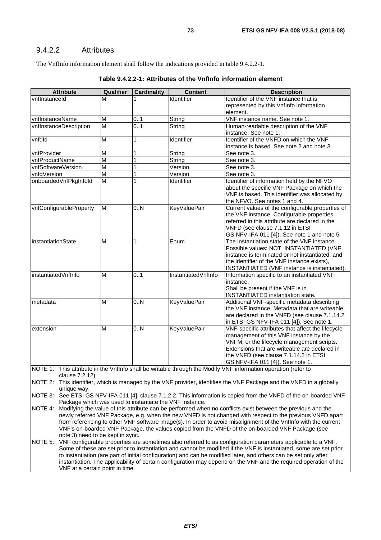#### 9.4.2.2 Attributes

The VnfInfo information element shall follow the indications provided in table 9.4.2.2-1.

| <b>Attribute</b>                                                                                                     | Qualifier | <b>Cardinality</b> | <b>Content</b>      | <b>Description</b>                                                                                             |  |
|----------------------------------------------------------------------------------------------------------------------|-----------|--------------------|---------------------|----------------------------------------------------------------------------------------------------------------|--|
| vnflnstanceld                                                                                                        | М         |                    | Identifier          | Identifier of the VNF instance that is                                                                         |  |
|                                                                                                                      |           |                    |                     | represented by this VnfInfo information                                                                        |  |
|                                                                                                                      |           |                    |                     | element.                                                                                                       |  |
| vnflnstanceName                                                                                                      | M         | 01                 | String              | VNF instance name. See note 1.                                                                                 |  |
| vnflnstanceDescription                                                                                               | M         | 0.1                | String              | Human-readable description of the VNF                                                                          |  |
|                                                                                                                      |           |                    |                     | instance. See note 1.                                                                                          |  |
| vnfdld                                                                                                               | M         | 1                  | Identifier          | Identifier of the VNFD on which the VNF                                                                        |  |
|                                                                                                                      |           |                    |                     | instance is based. See note 2 and note 3.                                                                      |  |
| vnfProvider                                                                                                          | M         | 1                  | String              | See note 3.                                                                                                    |  |
| vnfProductName                                                                                                       | M         | 1                  | String              | See note 3.                                                                                                    |  |
| vnfSoftwareVersion                                                                                                   | M         | 1                  | Version             | See note 3.                                                                                                    |  |
| vnfdVersion                                                                                                          | M         | 1                  | Version             | See note 3.                                                                                                    |  |
| onboardedVnfPkgInfold                                                                                                | M         | 1                  | Identifier          | Identifier of information held by the NFVO                                                                     |  |
|                                                                                                                      |           |                    |                     | about the specific VNF Package on which the                                                                    |  |
|                                                                                                                      |           |                    |                     | VNF is based. This identifier was allocated by                                                                 |  |
|                                                                                                                      |           |                    |                     | the NFVO. See notes 1 and 4.                                                                                   |  |
| vnfConfigurableProperty                                                                                              | M         | 0.N                | <b>KeyValuePair</b> | Current values of the configurable properties of                                                               |  |
|                                                                                                                      |           |                    |                     | the VNF instance. Configurable properties                                                                      |  |
|                                                                                                                      |           |                    |                     | referred in this attribute are declared in the                                                                 |  |
|                                                                                                                      |           |                    |                     | VNFD (see clause 7.1.12 in ETSI                                                                                |  |
|                                                                                                                      |           |                    |                     | GS NFV-IFA 011 [4]). See note 1 and note 5.                                                                    |  |
| <i>instantiationState</i>                                                                                            | M         | 1                  | Enum                | The instantiation state of the VNF instance.                                                                   |  |
|                                                                                                                      |           |                    |                     | Possible values: NOT_INSTANTIATED (VNF                                                                         |  |
|                                                                                                                      |           |                    |                     | instance is terminated or not instantiated, and                                                                |  |
|                                                                                                                      |           |                    |                     | the identifier of the VNF instance exists),                                                                    |  |
|                                                                                                                      |           |                    |                     | INSTANTIATED (VNF instance is instantiated).                                                                   |  |
| instantiatedVnfInfo                                                                                                  | M         | 0.1                | InstantiatedVnfInfo | Information specific to an instantiated VNF                                                                    |  |
|                                                                                                                      |           |                    |                     | instance.                                                                                                      |  |
|                                                                                                                      |           |                    |                     | Shall be present if the VNF is in                                                                              |  |
|                                                                                                                      |           |                    |                     | <b>INSTANTIATED</b> instantiation state.                                                                       |  |
| metadata                                                                                                             | M         | 0.5 <sub>0</sub>   | <b>KeyValuePair</b> | Additional VNF-specific metadata describing                                                                    |  |
|                                                                                                                      |           |                    |                     | the VNF instance. Metadata that are writeable                                                                  |  |
|                                                                                                                      |           |                    |                     | are declared in the VNFD (see clause 7.1.14.2                                                                  |  |
|                                                                                                                      |           |                    |                     | in ETSI GS NFV-IFA 011 [4]). See note 1.                                                                       |  |
| extension                                                                                                            | M         | 0.N                | <b>KeyValuePair</b> | VNF-specific attributes that affect the lifecycle                                                              |  |
|                                                                                                                      |           |                    |                     | management of this VNF instance by the                                                                         |  |
|                                                                                                                      |           |                    |                     | VNFM, or the lifecycle management scripts.                                                                     |  |
|                                                                                                                      |           |                    |                     | Extensions that are writeable are declared in                                                                  |  |
|                                                                                                                      |           |                    |                     | the VNFD (see clause 7.1.14.2 in ETSI                                                                          |  |
|                                                                                                                      |           |                    |                     | GS NFV-IFA 011 [4]). See note 1.                                                                               |  |
|                                                                                                                      |           |                    |                     | NOTE 1: This attribute in the VnfInfo shall be writable through the Modify VNF information operation (refer to |  |
| clause 7.2.12).                                                                                                      |           |                    |                     |                                                                                                                |  |
| NOTE 2: This identifier, which is managed by the VNF provider, identifies the VNF Package and the VNFD in a globally |           |                    |                     |                                                                                                                |  |

**Table 9.4.2.2-1: Attributes of the VnfInfo information element** 

unique way. NOTE 3: See ETSI GS NFV-IFA 011 [\[4](#page-11-0)], clause 7.1.2.2. This information is copied from the VNFD of the on-boarded VNF Package which was used to instantiate the VNF instance.

NOTE 4: Modifying the value of this attribute can be performed when no conflicts exist between the previous and the newly referred VNF Package, e.g. when the new VNFD is not changed with respect to the previous VNFD apart from referencing to other VNF software image(s). In order to avoid misalignment of the VnfInfo with the current VNF's on-boarded VNF Package, the values copied from the VNFD of the on-boarded VNF Package (see note 3) need to be kept in sync.

NOTE 5: VNF configurable properties are sometimes also referred to as configuration parameters applicable to a VNF. Some of these are set prior to instantiation and cannot be modified if the VNF is instantiated, some are set prior to instantiation (are part of initial configuration) and can be modified later, and others can be set only after instantiation. The applicability of certain configuration may depend on the VNF and the required operation of the VNF at a certain point in time.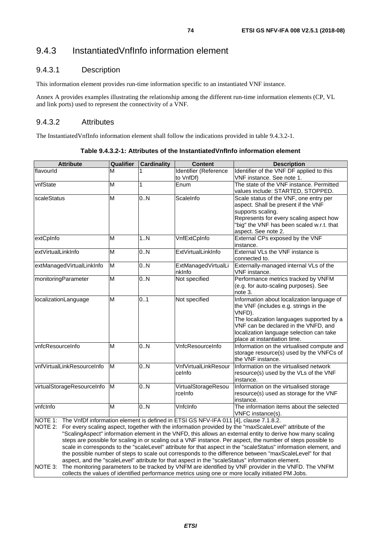# 9.4.3 InstantiatedVnfInfo information element

#### 9.4.3.1 Description

This information element provides run-time information specific to an instantiated VNF instance.

Annex A provides examples illustrating the relationship among the different run-time information elements (CP, VL and link ports) used to represent the connectivity of a VNF.

#### 9.4.3.2 Attributes

The InstantiatedVnfInfo information element shall follow the indications provided in table 9.4.3.2-1.

| <b>Attribute</b>                                                                                                                                                                                             | Qualifier<br><b>Cardinality</b><br><b>Content</b><br><b>Description</b>                                          |              |                       |                                                                                                          |  |  |  |  |
|--------------------------------------------------------------------------------------------------------------------------------------------------------------------------------------------------------------|------------------------------------------------------------------------------------------------------------------|--------------|-----------------------|----------------------------------------------------------------------------------------------------------|--|--|--|--|
| flavourld                                                                                                                                                                                                    | M                                                                                                                |              | Identifier (Reference | Identifier of the VNF DF applied to this                                                                 |  |  |  |  |
|                                                                                                                                                                                                              |                                                                                                                  |              | to VnfDf)             | VNF instance. See note 1.                                                                                |  |  |  |  |
| vnfState                                                                                                                                                                                                     | M                                                                                                                | $\mathbf{1}$ | Enum                  | The state of the VNF instance, Permitted                                                                 |  |  |  |  |
|                                                                                                                                                                                                              |                                                                                                                  |              |                       | values include: STARTED, STOPPED.                                                                        |  |  |  |  |
| scaleStatus                                                                                                                                                                                                  | M                                                                                                                | 0.N          | ScaleInfo             | Scale status of the VNF, one entry per                                                                   |  |  |  |  |
|                                                                                                                                                                                                              |                                                                                                                  |              |                       | aspect. Shall be present if the VNF                                                                      |  |  |  |  |
|                                                                                                                                                                                                              |                                                                                                                  |              |                       | supports scaling.                                                                                        |  |  |  |  |
|                                                                                                                                                                                                              |                                                                                                                  |              |                       | Represents for every scaling aspect how                                                                  |  |  |  |  |
|                                                                                                                                                                                                              |                                                                                                                  |              |                       | "big" the VNF has been scaled w.r.t. that                                                                |  |  |  |  |
|                                                                                                                                                                                                              |                                                                                                                  |              |                       | aspect. See note 2.                                                                                      |  |  |  |  |
| extCpInfo                                                                                                                                                                                                    | M                                                                                                                | 1.N          | VnfExtCpInfo          | External CPs exposed by the VNF                                                                          |  |  |  |  |
|                                                                                                                                                                                                              |                                                                                                                  |              |                       | instance.                                                                                                |  |  |  |  |
| extVirtualLinkInfo                                                                                                                                                                                           | M                                                                                                                | 0.N          | ExtVirtualLinkInfo    | External VLs the VNF instance is                                                                         |  |  |  |  |
|                                                                                                                                                                                                              |                                                                                                                  |              |                       | connected to.                                                                                            |  |  |  |  |
| extManagedVirtualLinkInfo                                                                                                                                                                                    | M                                                                                                                | 0.N          | ExtManagedVirtualLi   | Externally-managed internal VLs of the                                                                   |  |  |  |  |
|                                                                                                                                                                                                              |                                                                                                                  |              | nklnfo                | VNF instance.                                                                                            |  |  |  |  |
| monitoringParameter                                                                                                                                                                                          | M                                                                                                                | 0.N          | Not specified         | Performance metrics tracked by VNFM                                                                      |  |  |  |  |
|                                                                                                                                                                                                              |                                                                                                                  |              |                       | (e.g. for auto-scaling purposes). See                                                                    |  |  |  |  |
|                                                                                                                                                                                                              |                                                                                                                  |              |                       | note 3.                                                                                                  |  |  |  |  |
| localizationLanguage                                                                                                                                                                                         | M                                                                                                                | 0.1          | Not specified         | Information about localization language of                                                               |  |  |  |  |
|                                                                                                                                                                                                              |                                                                                                                  |              |                       | the VNF (includes e.g. strings in the                                                                    |  |  |  |  |
|                                                                                                                                                                                                              |                                                                                                                  |              |                       | VNFD).                                                                                                   |  |  |  |  |
|                                                                                                                                                                                                              |                                                                                                                  |              |                       | The localization languages supported by a<br>VNF can be declared in the VNFD, and                        |  |  |  |  |
|                                                                                                                                                                                                              |                                                                                                                  |              |                       | localization language selection can take                                                                 |  |  |  |  |
|                                                                                                                                                                                                              |                                                                                                                  |              |                       | place at instantiation time.                                                                             |  |  |  |  |
| vnfcResourceInfo                                                                                                                                                                                             | M                                                                                                                | 0.0          | VnfcResourceInfo      | Information on the virtualised compute and                                                               |  |  |  |  |
|                                                                                                                                                                                                              |                                                                                                                  |              |                       | storage resource(s) used by the VNFCs of                                                                 |  |  |  |  |
|                                                                                                                                                                                                              |                                                                                                                  |              |                       | the VNF instance.                                                                                        |  |  |  |  |
| vnfVirtualLinkResourceInfo                                                                                                                                                                                   | M                                                                                                                | 0.N          | VnfVirtualLinkResour  | Information on the virtualised network                                                                   |  |  |  |  |
|                                                                                                                                                                                                              |                                                                                                                  |              | celnfo                | resource(s) used by the VLs of the VNF                                                                   |  |  |  |  |
|                                                                                                                                                                                                              |                                                                                                                  |              |                       | instance.                                                                                                |  |  |  |  |
| virtualStorageResourceInfo                                                                                                                                                                                   | M                                                                                                                | 0.N          | VirtualStorageResou   | Information on the virtualised storage                                                                   |  |  |  |  |
|                                                                                                                                                                                                              |                                                                                                                  |              | rcelnfo               | resource(s) used as storage for the VNF                                                                  |  |  |  |  |
|                                                                                                                                                                                                              |                                                                                                                  |              |                       | instance.                                                                                                |  |  |  |  |
| vnfclnfo                                                                                                                                                                                                     | M                                                                                                                | 0.5N         | Vnfclnfo              | The information items about the selected                                                                 |  |  |  |  |
|                                                                                                                                                                                                              |                                                                                                                  |              |                       | VNFC instance(s).                                                                                        |  |  |  |  |
| NOTE 1: The VnfDf information element is defined in ETSI GS NFV-IFA 011 [4], clause 7.1.8.2.                                                                                                                 |                                                                                                                  |              |                       |                                                                                                          |  |  |  |  |
| NOTE 2:                                                                                                                                                                                                      |                                                                                                                  |              |                       | For every scaling aspect, together with the information provided by the "maxScaleLevel" attribute of the |  |  |  |  |
|                                                                                                                                                                                                              | "ScalingAspect" information element in the VNFD, this allows an external entity to derive how many scaling       |              |                       |                                                                                                          |  |  |  |  |
|                                                                                                                                                                                                              | steps are possible for scaling in or scaling out a VNF instance. Per aspect, the number of steps possible to     |              |                       |                                                                                                          |  |  |  |  |
|                                                                                                                                                                                                              | scale in corresponds to the "scaleLevel" attribute for that aspect in the "scaleStatus" information element, and |              |                       |                                                                                                          |  |  |  |  |
| the possible number of steps to scale out corresponds to the difference between "maxScaleLevel" for that<br>aspect, and the "scaleLevel" attribute for that aspect in the "scaleStatus" information element. |                                                                                                                  |              |                       |                                                                                                          |  |  |  |  |
| NOTE 3:                                                                                                                                                                                                      |                                                                                                                  |              |                       | The monitoring parameters to be tracked by VNFM are identified by VNF provider in the VNFD. The VNFM     |  |  |  |  |
|                                                                                                                                                                                                              |                                                                                                                  |              |                       | collects the values of identified performance metrics using one or more locally initiated PM Jobs.       |  |  |  |  |
|                                                                                                                                                                                                              |                                                                                                                  |              |                       |                                                                                                          |  |  |  |  |

**Table 9.4.3.2-1: Attributes of the InstantiatedVnfInfo information element**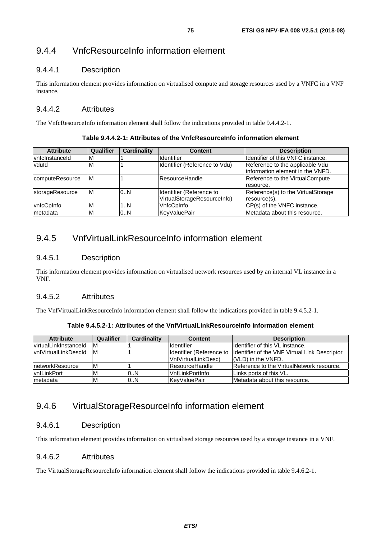# 9.4.4 VnfcResourceInfo information element

## 9.4.4.1 Description

This information element provides information on virtualised compute and storage resources used by a VNFC in a VNF instance.

## 9.4.4.2 Attributes

The VnfcResourceInfo information element shall follow the indications provided in table 9.4.4.2-1.

**Table 9.4.4.2-1: Attributes of the VnfcResourceInfo information element** 

| <b>Attribute</b> | Qualifier  | <b>Cardinality</b> | <b>Content</b>                | <b>Description</b>                 |
|------------------|------------|--------------------|-------------------------------|------------------------------------|
| vnfclnstanceld   | <b>IVI</b> |                    | Identifier                    | Identifier of this VNFC instance.  |
| vduld            | M          |                    | Identifier (Reference to Vdu) | Reference to the applicable Vdu    |
|                  |            |                    |                               | information element in the VNFD.   |
| computeResource  | ΙM         |                    | lResourceHandle               | Reference to the VirtualCompute    |
|                  |            |                    |                               | resource.                          |
| storageResource  | ΙM         | 0.N                | Identifier (Reference to      | Reference(s) to the VirtualStorage |
|                  |            |                    | VirtualStorageResourceInfo)   | resource(s).                       |
| vnfcCpInfo       | 'M         | IN                 | VnfcCpInfo                    | CP(s) of the VNFC instance.        |
| metadata         | M          | 0.N                | KevValuePair                  | Metadata about this resource.      |

## 9.4.5 VnfVirtualLinkResourceInfo information element

#### 9.4.5.1 Description

This information element provides information on virtualised network resources used by an internal VL instance in a VNF.

#### 9.4.5.2 Attributes

The VnfVirtualLinkResourceInfo information element shall follow the indications provided in table 9.4.5.2-1.

| Table 9.4.5.2-1: Attributes of the VnfVirtualLinkResourceInfo information element |  |
|-----------------------------------------------------------------------------------|--|
|-----------------------------------------------------------------------------------|--|

| <b>Attribute</b>       | Qualifier | <b>Cardinality</b> | <b>Content</b>            | <b>Description</b>                            |
|------------------------|-----------|--------------------|---------------------------|-----------------------------------------------|
| lvirtualLinkInstanceId | IM.       |                    | <b>Identifier</b>         | Ildentifier of this VL instance.              |
| IvnfVirtualLinkDescId  | IM.       |                    | Ildentifier (Reference to | Identifier of the VNF Virtual Link Descriptor |
|                        |           |                    | VnfVirtualLinkDesc)       | $(VLD)$ in the $VNFD$ .                       |
| InetworkResource       | ΙM        |                    | <b>IResourceHandle</b>    | Reference to the VirtualNetwork resource.     |
| <b>vnfLinkPort</b>     | ΙM        | 0.N                | VnfLinkPortInfo           | Links ports of this VL.                       |
| metadata               | ΙM        | 10N                | <b>KevValuePair</b>       | Metadata about this resource.                 |

## 9.4.6 VirtualStorageResourceInfo information element

#### 9.4.6.1 Description

This information element provides information on virtualised storage resources used by a storage instance in a VNF.

#### 9.4.6.2 Attributes

The VirtualStorageResourceInfo information element shall follow the indications provided in table 9.4.6.2-1.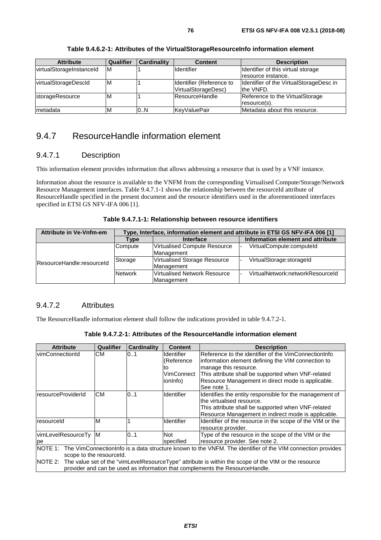| <b>Attribute</b>         | <b>Qualifier</b> | <b>Cardinality</b> | <b>Content</b>           | <b>Description</b>                      |
|--------------------------|------------------|--------------------|--------------------------|-----------------------------------------|
| virtualStorageInstanceId | Iм               |                    | <b>Identifier</b>        | Identifier of this virtual storage      |
|                          |                  |                    |                          | Iresource instance.                     |
| virtualStorageDescId     | ΙM               |                    | Identifier (Reference to | Identifier of the VirtualStorageDesc in |
|                          |                  |                    | VirtualStorageDesc)      | the VNFD.                               |
| <b>storageResource</b>   | M                |                    | ResourceHandle           | Reference to the VirtualStorage         |
|                          |                  |                    |                          | resource(s).                            |
| Imetadata                | м                | 0N                 | lKevValuePair            | Metadata about this resource.           |

#### **Table 9.4.6.2-1: Attributes of the VirtualStorageResourceInfo information element**

## 9.4.7 ResourceHandle information element

#### 9.4.7.1 Description

This information element provides information that allows addressing a resource that is used by a VNF instance.

Information about the resource is available to the VNFM from the corresponding Virtualised Compute/Storage/Network Resource Management interfaces. Table 9.4.7.1-1 shows the relationship between the resourceId attribute of ResourceHandle specified in the present document and the resource identifiers used in the aforementioned interfaces specified in ETSI GS NFV-IFA 006 [\[1](#page-11-0)].

#### **Table 9.4.7.1-1: Relationship between resource identifiers**

| <b>Attribute in Ve-Vnfm-em</b> | Type, Interface, information element and attribute in ETSI GS NFV-IFA 006 [1] |                                            |                                   |  |  |  |  |
|--------------------------------|-------------------------------------------------------------------------------|--------------------------------------------|-----------------------------------|--|--|--|--|
|                                | Type                                                                          | Interface                                  | Information element and attribute |  |  |  |  |
|                                | Compute                                                                       | Virtualised Compute Resource<br>Management | VirtualCompute:computeId          |  |  |  |  |
| ResourceHandle:resourceId      | Storage                                                                       | Virtualised Storage Resource<br>Management | VirtualStorage:storageId          |  |  |  |  |
|                                | <b>Network</b>                                                                | Virtualised Network Resource<br>Management | VirtualNetwork:networkResourceId  |  |  |  |  |

#### 9.4.7.2 Attributes

The ResourceHandle information element shall follow the indications provided in table 9.4.7.2-1.

| CМ<br>vimConnectionId<br>01<br><b>Identifier</b><br>(Reference<br>manage this resource.<br>to<br>This attribute shall be supported when VNF-related<br>VimConnect<br>Resource Management in direct mode is applicable.<br>ionInfo)<br>See note 1.<br><b>CM</b><br>0.1<br>resourceProviderId<br><b>Identifier</b><br>the virtualised resource. | <b>Attribute</b> | Qualifier | <b>Cardinality</b> | <b>Content</b> | <b>Description</b>                                        |
|-----------------------------------------------------------------------------------------------------------------------------------------------------------------------------------------------------------------------------------------------------------------------------------------------------------------------------------------------|------------------|-----------|--------------------|----------------|-----------------------------------------------------------|
|                                                                                                                                                                                                                                                                                                                                               |                  |           |                    |                | Reference to the identifier of the VimConnectionInfo      |
|                                                                                                                                                                                                                                                                                                                                               |                  |           |                    |                | information element defining the VIM connection to        |
|                                                                                                                                                                                                                                                                                                                                               |                  |           |                    |                |                                                           |
|                                                                                                                                                                                                                                                                                                                                               |                  |           |                    |                |                                                           |
|                                                                                                                                                                                                                                                                                                                                               |                  |           |                    |                |                                                           |
|                                                                                                                                                                                                                                                                                                                                               |                  |           |                    |                |                                                           |
|                                                                                                                                                                                                                                                                                                                                               |                  |           |                    |                | Identifies the entity responsible for the management of   |
|                                                                                                                                                                                                                                                                                                                                               |                  |           |                    |                |                                                           |
|                                                                                                                                                                                                                                                                                                                                               |                  |           |                    |                | This attribute shall be supported when VNF-related        |
|                                                                                                                                                                                                                                                                                                                                               |                  |           |                    |                | Resource Management in indirect mode is applicable.       |
| M<br><b>Identifier</b><br>resourceld                                                                                                                                                                                                                                                                                                          |                  |           |                    |                | Identifier of the resource in the scope of the VIM or the |
| resource provider.                                                                                                                                                                                                                                                                                                                            |                  |           |                    |                |                                                           |
| vimLevelResourceTy<br>0.1<br>Not<br>IM.                                                                                                                                                                                                                                                                                                       |                  |           |                    |                | Type of the resource in the scope of the VIM or the       |
| resource provider. See note 2.<br>specified<br>рe                                                                                                                                                                                                                                                                                             |                  |           |                    |                |                                                           |
| The VimConnectionInfo is a data structure known to the VNFM. The identifier of the VIM connection provides<br>NOTE 1:                                                                                                                                                                                                                         |                  |           |                    |                |                                                           |
| scope to the resourceld.                                                                                                                                                                                                                                                                                                                      |                  |           |                    |                |                                                           |
| NOTE 2: The value set of the "vimLevelResourceType" attribute is within the scope of the VIM or the resource                                                                                                                                                                                                                                  |                  |           |                    |                |                                                           |
| provider and can be used as information that complements the ResourceHandle.                                                                                                                                                                                                                                                                  |                  |           |                    |                |                                                           |

**Table 9.4.7.2-1: Attributes of the ResourceHandle information element**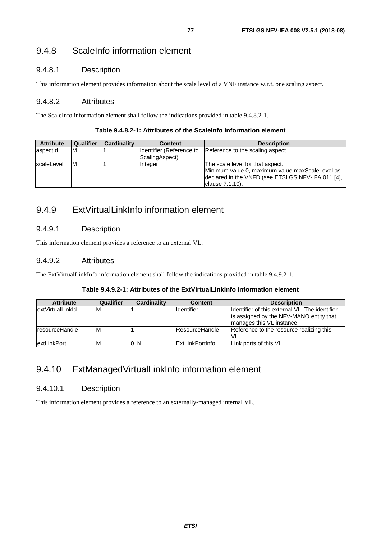## 9.4.8 ScaleInfo information element

## 9.4.8.1 Description

This information element provides information about the scale level of a VNF instance w.r.t. one scaling aspect.

#### 9.4.8.2 Attributes

The ScaleInfo information element shall follow the indications provided in table 9.4.8.2-1.

| <b>Attribute</b> | Qualifier | Cardinality | <b>Content</b>                             | <b>Description</b>                                                                                                                                           |
|------------------|-----------|-------------|--------------------------------------------|--------------------------------------------------------------------------------------------------------------------------------------------------------------|
| aspectid         | M         |             | Identifier (Reference to<br>ScalingAspect) | Reference to the scaling aspect.                                                                                                                             |
| scaleLevel       | M         |             | <b>Integer</b>                             | The scale level for that aspect.<br>Minimum value 0, maximum value maxScaleLevel as<br>declared in the VNFD (see ETSI GS NFV-IFA 011 [4],<br>clause 7.1.10). |

## 9.4.9 ExtVirtualLinkInfo information element

## 9.4.9.1 Description

This information element provides a reference to an external VL.

## 9.4.9.2 Attributes

The ExtVirtualLinkInfo information element shall follow the indications provided in table 9.4.9.2-1.

#### **Table 9.4.9.2-1: Attributes of the ExtVirtualLinkInfo information element**

| <b>Attribute</b>   | <b>Qualifier</b> | Cardinality | <b>Content</b>         | <b>Description</b>                              |
|--------------------|------------------|-------------|------------------------|-------------------------------------------------|
| lextVirtualLinkId  | ΙM               |             | <b>Identifier</b>      | Ildentifier of this external VL. The identifier |
|                    |                  |             |                        | is assigned by the NFV-MANO entity that         |
|                    |                  |             |                        | manages this VL instance.                       |
| resourceHandle     | M                |             | <b>IResourceHandle</b> | Reference to the resource realizing this        |
|                    |                  |             |                        | VL.                                             |
| <b>extLinkPort</b> | M                | 0N          | <b>ExtLinkPortInfo</b> | ILink ports of this VL.                         |

## 9.4.10 ExtManagedVirtualLinkInfo information element

## 9.4.10.1 Description

This information element provides a reference to an externally-managed internal VL.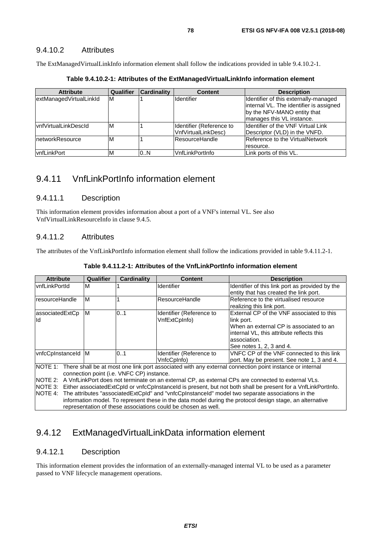#### 9.4.10.2 Attributes

The ExtManagedVirtualLinkInfo information element shall follow the indications provided in table 9.4.10.2-1.

| <b>Attribute</b>        | <b>Qualifier</b> | <b>Cardinality</b> | <b>Content</b>           | <b>Description</b>                        |
|-------------------------|------------------|--------------------|--------------------------|-------------------------------------------|
| extManagedVirtualLinkId | M                |                    | <b>Identifier</b>        | Identifier of this externally-managed     |
|                         |                  |                    |                          | internal VL. The identifier is assigned   |
|                         |                  |                    |                          | by the NFV-MANO entity that               |
|                         |                  |                    |                          | manages this VL instance.                 |
| vnfVirtualLinkDescId    | M                |                    | Identifier (Reference to | <b>Identifier of the VNF Virtual Link</b> |
|                         |                  |                    | VnfVirtualLinkDesc)      | Descriptor (VLD) in the VNFD.             |
| InetworkResource        | M                |                    | ResourceHandle           | Reference to the VirtualNetwork           |
|                         |                  |                    |                          | resource.                                 |
| <b>IvnfLinkPort</b>     | M                | 0.N                | VnfLinkPortInfo          | Link ports of this VL.                    |

**Table 9.4.10.2-1: Attributes of the ExtManagedVirtualLinkInfo information element** 

## 9.4.11 VnfLinkPortInfo information element

#### 9.4.11.1 Description

This information element provides information about a port of a VNF's internal VL. See also VnfVirtualLinkResourceInfo in clause 9.4.5.

#### 9.4.11.2 Attributes

The attributes of the VnfLinkPortInfo information element shall follow the indications provided in table 9.4.11.2-1.

| <b>Attribute</b>      | Qualifier                                                                                                                                                                                                                                                                                                                                                                                                                                                                                                                                                                                                                                                                                      | Cardinality | <b>Content</b>                            | <b>Description</b>                                                                                                                                                                          |  |
|-----------------------|------------------------------------------------------------------------------------------------------------------------------------------------------------------------------------------------------------------------------------------------------------------------------------------------------------------------------------------------------------------------------------------------------------------------------------------------------------------------------------------------------------------------------------------------------------------------------------------------------------------------------------------------------------------------------------------------|-------------|-------------------------------------------|---------------------------------------------------------------------------------------------------------------------------------------------------------------------------------------------|--|
| <b>vnfLinkPortId</b>  | M                                                                                                                                                                                                                                                                                                                                                                                                                                                                                                                                                                                                                                                                                              |             | <b>Identifier</b>                         | Identifier of this link port as provided by the<br>entity that has created the link port.                                                                                                   |  |
| resourceHandle        | M                                                                                                                                                                                                                                                                                                                                                                                                                                                                                                                                                                                                                                                                                              |             | ResourceHandle                            | Reference to the virtualised resource<br>realizing this link port.                                                                                                                          |  |
| associatedExtCp<br>ld | M                                                                                                                                                                                                                                                                                                                                                                                                                                                                                                                                                                                                                                                                                              | 01          | Identifier (Reference to<br>VnfExtCpInfo) | External CP of the VNF associated to this<br>link port.<br>When an external CP is associated to an<br>internal VL, this attribute reflects this<br>association.<br>See notes 1, 2, 3 and 4. |  |
| vnfcCpInstanceId M    |                                                                                                                                                                                                                                                                                                                                                                                                                                                                                                                                                                                                                                                                                                | 01          | Identifier (Reference to<br>VnfcCplnfo)   | VNFC CP of the VNF connected to this link<br>port. May be present. See note 1, 3 and 4.                                                                                                     |  |
|                       | NOTE 1: There shall be at most one link port associated with any external connection point instance or internal<br>connection point (i.e. VNFC CP) instance.<br>NOTE 2: A VnfLinkPort does not terminate on an external CP, as external CPs are connected to external VLs.<br>NOTE 3: Either associated ExtCpld or vnfcCplnstanceld is present, but not both shall be present for a VnfLinkPortInfo.<br>NOTE 4: The attributes "associated ExtCpld" and "vnfcCplnstanceld" model two separate associations in the<br>information model. To represent these in the data model during the protocol design stage, an alternative<br>representation of these associations could be chosen as well. |             |                                           |                                                                                                                                                                                             |  |

**Table 9.4.11.2-1: Attributes of the VnfLinkPortInfo information element** 

## 9.4.12 ExtManagedVirtualLinkData information element

#### 9.4.12.1 Description

This information element provides the information of an externally-managed internal VL to be used as a parameter passed to VNF lifecycle management operations.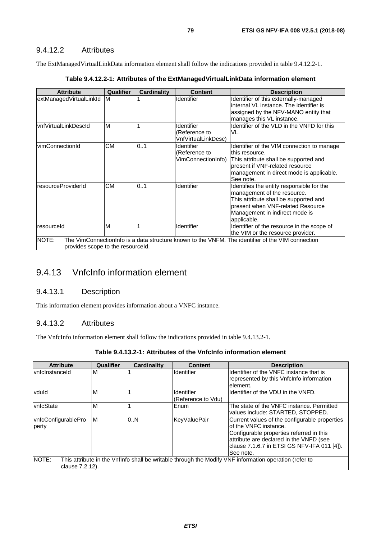#### 9.4.12.2 Attributes

The ExtManagedVirtualLinkData information element shall follow the indications provided in table 9.4.12.2-1.

| <b>Attribute</b>                           | <b>Qualifier</b> | Cardinality | <b>Content</b>                                     | <b>Description</b>                                                                                                                                                                                      |
|--------------------------------------------|------------------|-------------|----------------------------------------------------|---------------------------------------------------------------------------------------------------------------------------------------------------------------------------------------------------------|
| extManagedVirtualLinkId                    | IM.              |             | Identifier                                         | Identifier of this externally-managed<br>linternal VL instance. The identifier is<br>assigned by the NFV-MANO entity that<br>manages this VL instance.                                                  |
| vnfVirtualLinkDescId                       | M                |             | Identifier<br>(Reference to<br>VnfVirtualLinkDesc) | Identifier of the VLD in the VNFD for this<br>VL.                                                                                                                                                       |
| vimConnectionId                            | <b>CM</b>        | 0.1         | Identifier<br>(Reference to<br>VimConnectionInfo)  | Identifier of the VIM connection to manage<br>lthis resource.<br>This attribute shall be supported and<br>present if VNF-related resource<br>management in direct mode is applicable.<br>See note.      |
| resourceProviderId                         | <b>CM</b>        | 0.1         | Identifier                                         | Identifies the entity responsible for the<br>management of the resource.<br>This attribute shall be supported and<br>present when VNF-related Resource<br>Management in indirect mode is<br>applicable. |
| resourceld                                 | M                |             | Identifier                                         | Identifier of the resource in the scope of<br>the VIM or the resource provider.                                                                                                                         |
| NOTE:<br>provides scope to the resourceld. |                  |             |                                                    | The VimConnectionInfo is a data structure known to the VNFM. The identifier of the VIM connection                                                                                                       |

| Table 9.4.12.2-1: Attributes of the ExtManagedVirtualLinkData information element |  |
|-----------------------------------------------------------------------------------|--|
|-----------------------------------------------------------------------------------|--|

# 9.4.13 VnfcInfo information element

## 9.4.13.1 Description

This information element provides information about a VNFC instance.

#### 9.4.13.2 Attributes

The VnfcInfo information element shall follow the indications provided in table 9.4.13.2-1.

| Table 9.4.13.2-1: Attributes of the VnfcInfo information element |  |  |
|------------------------------------------------------------------|--|--|
|------------------------------------------------------------------|--|--|

| <b>Attribute</b>             | Qualifier | <b>Cardinality</b> | <b>Content</b>                   | <b>Description</b>                                                                                                                                                                                                          |
|------------------------------|-----------|--------------------|----------------------------------|-----------------------------------------------------------------------------------------------------------------------------------------------------------------------------------------------------------------------------|
| <b>vnfcinstanceld</b>        | ΙM        |                    | <b>Identifier</b>                | Identifier of the VNFC instance that is<br>represented by this Vnfclnfo information<br>lelement.                                                                                                                            |
| vduld                        | ΙM        |                    | Identifier<br>(Reference to Vdu) | Identifier of the VDU in the VNFD.                                                                                                                                                                                          |
| vnfcState                    | ΙM        |                    | Enum                             | The state of the VNFC instance. Permitted<br>values include: STARTED, STOPPED.                                                                                                                                              |
| vnfcConfigurablePro<br>perty | ΙM        | 0.N                | KeyValuePair                     | Current values of the configurable properties<br>lof the VNFC instance.<br>Configurable properties referred in this<br>attribute are declared in the VNFD (see<br>clause 7.1.6.7 in ETSI GS NFV-IFA 011 [4]).<br>lSee note. |
| NOTE:<br>clause 7.2.12).     |           |                    |                                  | This attribute in the Vnflnfo shall be writable through the Modify VNF information operation (refer to                                                                                                                      |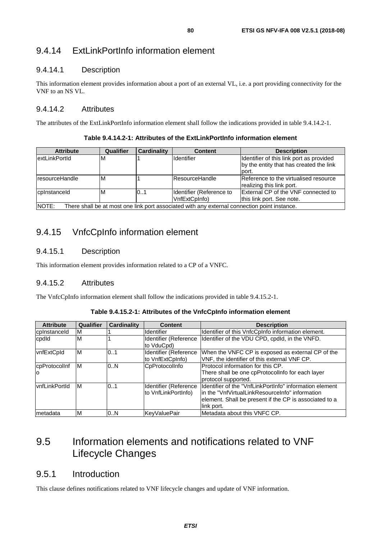# 9.4.14 ExtLinkPortInfo information element

## 9.4.14.1 Description

This information element provides information about a port of an external VL, i.e. a port providing connectivity for the VNF to an NS VL.

#### 9.4.14.2 Attributes

The attributes of the ExtLinkPortInfo information element shall follow the indications provided in table 9.4.14.2-1.

**Table 9.4.14.2-1: Attributes of the ExtLinkPortInfo information element** 

| <b>Attribute</b>                                                                                              | Qualifier | <b>Cardinality</b> | <b>Content</b>                            | <b>Description</b>                                                                           |  |  |
|---------------------------------------------------------------------------------------------------------------|-----------|--------------------|-------------------------------------------|----------------------------------------------------------------------------------------------|--|--|
| <b>lextLinkPortId</b>                                                                                         | M         |                    | Identifier                                | Identifier of this link port as provided<br>by the entity that has created the link<br>port. |  |  |
| <b>IresourceHandle</b>                                                                                        | M         |                    | <b>ResourceHandle</b>                     | Reference to the virtualised resource<br>realizing this link port.                           |  |  |
| cplnstanceld                                                                                                  | M         | 10.1               | Identifier (Reference to<br>VnfExtCpInfo) | <b>External CP of the VNF connected to</b><br>this link port. See note.                      |  |  |
| <b>INOTE:</b><br>There shall be at most one link port associated with any external connection point instance. |           |                    |                                           |                                                                                              |  |  |

## 9.4.15 VnfcCpInfo information element

## 9.4.15.1 Description

This information element provides information related to a CP of a VNFC.

## 9.4.15.2 Attributes

The VnfcCpInfo information element shall follow the indications provided in table 9.4.15.2-1.

| Table 9.4.15.2-1: Attributes of the VnfcCpInfo information element |  |
|--------------------------------------------------------------------|--|
|--------------------------------------------------------------------|--|

| <b>Attribute</b>          | <b>Qualifier</b> | <b>Cardinality</b> | <b>Content</b>                               | <b>Description</b>                                                                                                                                                                  |
|---------------------------|------------------|--------------------|----------------------------------------------|-------------------------------------------------------------------------------------------------------------------------------------------------------------------------------------|
| cpInstanceId              | M                |                    | <b>Identifier</b>                            | Identifier of this VnfcCpInfo information element.                                                                                                                                  |
| cpdld                     | M                |                    | Identifier (Reference<br>to VduCpd)          | Identifier of the VDU CPD, cpdId, in the VNFD.                                                                                                                                      |
| vnfExtCpId                | M                | 0.1                | Identifier (Reference<br>to VnfExtCpInfo)    | When the VNFC CP is exposed as external CP of the<br>VNF, the identifier of this external VNF CP.                                                                                   |
| cpProtocolInf<br>$\Omega$ | M                | 0.N                | CpProtocolInfo                               | Protocol information for this CP.<br>There shall be one cpProtocollnfo for each layer<br>protocol supported.                                                                        |
| lvnfLinkPortId            | ΙM               | 01                 | Identifier (Reference<br>to VnfLinkPortInfo) | Identifier of the "VnfLinkPortInfo" information element<br>lin the "VnfVirtualLinkResourceInfo" information<br>element. Shall be present if the CP is associated to a<br>link port. |
| Imetadata                 | M                | 0N                 | KeyValuePair                                 | Metadata about this VNFC CP.                                                                                                                                                        |

# 9.5 Information elements and notifications related to VNF Lifecycle Changes

## 9.5.1 Introduction

This clause defines notifications related to VNF lifecycle changes and update of VNF information.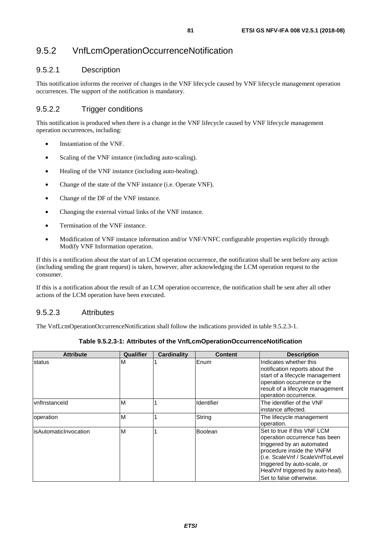# 9.5.2 VnfLcmOperationOccurrenceNotification

### 9.5.2.1 Description

This notification informs the receiver of changes in the VNF lifecycle caused by VNF lifecycle management operation occurrences. The support of the notification is mandatory.

## 9.5.2.2 Trigger conditions

This notification is produced when there is a change in the VNF lifecycle caused by VNF lifecycle management operation occurrences, including:

- Instantiation of the VNF.
- Scaling of the VNF instance (including auto-scaling).
- Healing of the VNF instance (including auto-healing).
- Change of the state of the VNF instance (i.e. Operate VNF).
- Change of the DF of the VNF instance.
- Changing the external virtual links of the VNF instance.
- Termination of the VNF instance.
- Modification of VNF instance information and/or VNF/VNFC configurable properties explicitly through Modify VNF Information operation.

If this is a notification about the start of an LCM operation occurrence, the notification shall be sent before any action (including sending the grant request) is taken, however, after acknowledging the LCM operation request to the consumer.

If this is a notification about the result of an LCM operation occurrence, the notification shall be sent after all other actions of the LCM operation have been executed.

#### 9.5.2.3 Attributes

The VnfLcmOperationOccurrenceNotification shall follow the indications provided in table 9.5.2.3-1.

| <b>Attribute</b>       | Qualifier | <b>Cardinality</b> | <b>Content</b> | <b>Description</b>                                                                                                                                                                                                                                        |
|------------------------|-----------|--------------------|----------------|-----------------------------------------------------------------------------------------------------------------------------------------------------------------------------------------------------------------------------------------------------------|
| <b>status</b>          | ΙM        |                    | Enum           | Indicates whether this<br>notification reports about the<br>start of a lifecycle management<br>operation occurrence or the<br>result of a lifecycle management<br>operation occurrence.                                                                   |
| vnflnstanceld          | M         |                    | Identifier     | The identifier of the VNF<br>instance affected.                                                                                                                                                                                                           |
| loperation             | M         |                    | String         | The lifecycle management<br>operation.                                                                                                                                                                                                                    |
| lisAutomaticInvocation | ΙM        |                    | <b>Boolean</b> | Set to true if this VNF LCM<br>operation occurrence has been<br>triggered by an automated<br>procedure inside the VNFM<br>(i.e. ScaleVnf / ScaleVnfToLevel)<br>triggered by auto-scale, or<br>HealVnf triggered by auto-heal).<br>Set to false otherwise. |

**Table 9.5.2.3-1: Attributes of the VnfLcmOperationOccurrenceNotification**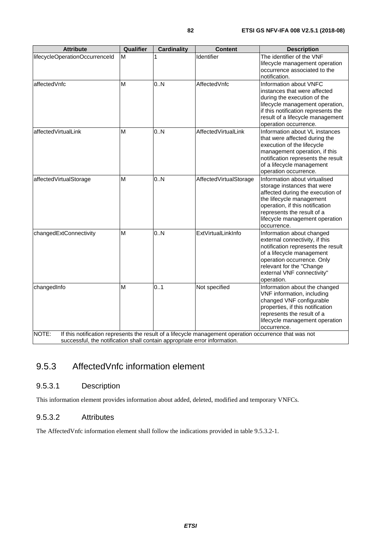| <b>Attribute</b>                                                          | Qualifier | Cardinality | <b>Content</b>                                                                                         | <b>Description</b>                                                                                                                                                                                                                             |
|---------------------------------------------------------------------------|-----------|-------------|--------------------------------------------------------------------------------------------------------|------------------------------------------------------------------------------------------------------------------------------------------------------------------------------------------------------------------------------------------------|
| lifecycleOperationOccurrenceId                                            | M         |             | Identifier                                                                                             | The identifier of the VNF<br>lifecycle management operation<br>occurrence associated to the<br>notification.                                                                                                                                   |
| affectedVnfc                                                              | M         | 0.N         | AffectedVnfc                                                                                           | Information about VNFC<br>instances that were affected<br>during the execution of the<br>lifecycle management operation,<br>if this notification represents the<br>result of a lifecycle management<br>operation occurrence.                   |
| affectedVirtualLink                                                       | M         | 0.N         | AffectedVirtualLink                                                                                    | Information about VL instances<br>that were affected during the<br>execution of the lifecycle<br>management operation, if this<br>notification represents the result<br>of a lifecycle management<br>operation occurrence.                     |
| affectedVirtualStorage                                                    | M         | 0.N         | AffectedVirtualStorage                                                                                 | Information about virtualised<br>storage instances that were<br>affected during the execution of<br>the lifecycle management<br>operation, if this notification<br>represents the result of a<br>lifecycle management operation<br>occurrence. |
| changedExtConnectivity                                                    | M         | 0.N         | ExtVirtualLinkInfo                                                                                     | Information about changed<br>external connectivity, if this<br>notification represents the result<br>of a lifecycle management<br>operation occurrence. Only<br>relevant for the "Change<br>external VNF connectivity"<br>operation.           |
| changedInfo<br>NOTE:                                                      | M         | 0.1         | Not specified                                                                                          | Information about the changed<br>VNF information, including<br>changed VNF configurable<br>properties, if this notification<br>represents the result of a<br>lifecycle management operation<br>occurrence.                                     |
| successful, the notification shall contain appropriate error information. |           |             | If this notification represents the result of a lifecycle management operation occurrence that was not |                                                                                                                                                                                                                                                |

# 9.5.3 AffectedVnfc information element

## 9.5.3.1 Description

This information element provides information about added, deleted, modified and temporary VNFCs.

#### 9.5.3.2 Attributes

The AffectedVnfc information element shall follow the indications provided in table 9.5.3.2-1.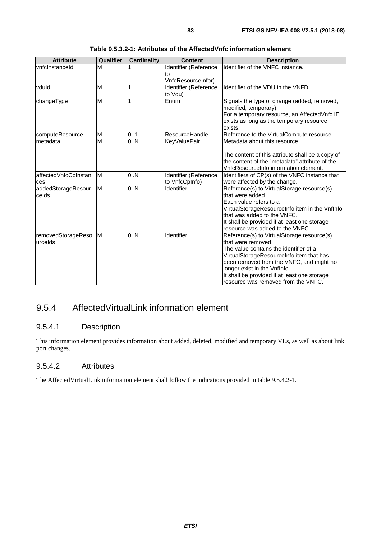| <b>Attribute</b>      | Qualifier | <b>Cardinality</b> | <b>Content</b>        | <b>Description</b>                               |
|-----------------------|-----------|--------------------|-----------------------|--------------------------------------------------|
| <b>vnfcinstanceid</b> | M         |                    | Identifier (Reference | Identifier of the VNFC instance.                 |
|                       |           |                    | to                    |                                                  |
|                       |           |                    | VnfcResourceInfor)    |                                                  |
| vduld                 | M         | 1                  | Identifier (Reference | Identifier of the VDU in the VNFD.               |
|                       |           |                    | to Vdu)               |                                                  |
| changeType            | M         |                    | Enum                  | Signals the type of change (added, removed,      |
|                       |           |                    |                       | modified, temporary).                            |
|                       |           |                    |                       | For a temporary resource, an AffectedVnfc IE     |
|                       |           |                    |                       | exists as long as the temporary resource         |
|                       |           |                    |                       | exists.                                          |
| computeResource       | M         | 0.1                | ResourceHandle        | Reference to the VirtualCompute resource.        |
| Imetadata             | M         | 0.0                | <b>KeyValuePair</b>   | Metadata about this resource.                    |
|                       |           |                    |                       |                                                  |
|                       |           |                    |                       | The content of this attribute shall be a copy of |
|                       |           |                    |                       | the content of the "metadata" attribute of the   |
|                       |           |                    |                       | VnfcResourceInfo information element.            |
| affectedVnfcCpInstan  | M         | 0.N                | Identifier (Reference | Identifiers of CP(s) of the VNFC instance that   |
| ces                   |           |                    | to VnfcCpInfo)        | were affected by the change.                     |
| addedStorageResour    | M         | 0.N                | Identifier            | Reference(s) to VirtualStorage resource(s)       |
| celds                 |           |                    |                       | that were added.                                 |
|                       |           |                    |                       | Each value refers to a                           |
|                       |           |                    |                       | VirtualStorageResourceInfo item in the VnfInfo   |
|                       |           |                    |                       | that was added to the VNFC.                      |
|                       |           |                    |                       | It shall be provided if at least one storage     |
|                       |           |                    |                       | resource was added to the VNFC.                  |
| removedStorageReso    | M         | 0.N                | Identifier            | Reference(s) to VirtualStorage resource(s)       |
| urcelds               |           |                    |                       | that were removed.                               |
|                       |           |                    |                       | The value contains the identifier of a           |
|                       |           |                    |                       | VirtualStorageResourceInfo item that has         |
|                       |           |                    |                       | been removed from the VNFC, and might no         |
|                       |           |                    |                       | longer exist in the VnfInfo.                     |
|                       |           |                    |                       | It shall be provided if at least one storage     |
|                       |           |                    |                       | resource was removed from the VNFC.              |

# 9.5.4 AffectedVirtualLink information element

## 9.5.4.1 Description

This information element provides information about added, deleted, modified and temporary VLs, as well as about link port changes.

#### 9.5.4.2 Attributes

The AffectedVirtualLink information element shall follow the indications provided in table 9.5.4.2-1.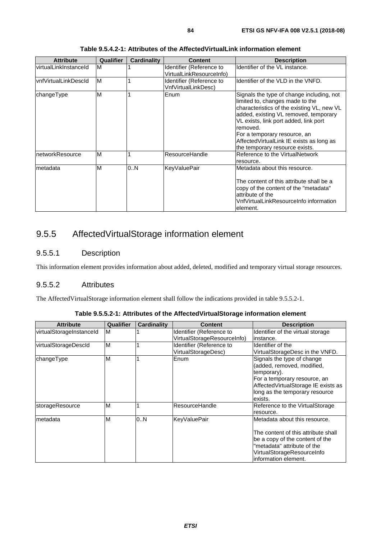| <b>Attribute</b>       | <b>Qualifier</b> | <b>Cardinality</b> | <b>Content</b>                                       | <b>Description</b>                                                                                                                                                                                                                                                                                                                       |
|------------------------|------------------|--------------------|------------------------------------------------------|------------------------------------------------------------------------------------------------------------------------------------------------------------------------------------------------------------------------------------------------------------------------------------------------------------------------------------------|
| lvirtualLinkInstanceId | м                |                    | Identifier (Reference to<br>VirtualLinkResourceInfo) | Identifier of the VL instance.                                                                                                                                                                                                                                                                                                           |
| lvnfVirtualLinkDescId  | M                |                    | Identifier (Reference to<br>VnfVirtualLinkDesc)      | Identifier of the VLD in the VNFD.                                                                                                                                                                                                                                                                                                       |
| changeType             | M                |                    | Enum                                                 | Signals the type of change including, not<br>limited to, changes made to the<br>characteristics of the existing VL, new VL<br>added, existing VL removed, temporary<br>VL exists, link port added, link port<br>removed.<br>For a temporary resource, an<br>Affected Virtual Link IE exists as long as<br>the temporary resource exists. |
| networkResource        | M                |                    | ResourceHandle                                       | Reference to the VirtualNetwork<br>resource.                                                                                                                                                                                                                                                                                             |
| Imetadata              | M                | 0.N                | <b>KeyValuePair</b>                                  | Metadata about this resource.<br>The content of this attribute shall be a<br>copy of the content of the "metadata"<br>attribute of the<br>VnfVirtualLinkResourceInfo information<br>lelement.                                                                                                                                            |

**Table 9.5.4.2-1: Attributes of the AffectedVirtualLink information element** 

# 9.5.5 AffectedVirtualStorage information element

## 9.5.5.1 Description

This information element provides information about added, deleted, modified and temporary virtual storage resources.

### 9.5.5.2 Attributes

The AffectedVirtualStorage information element shall follow the indications provided in table 9.5.5.2-1.

| <b>Attribute</b>         | Qualifier | <b>Cardinality</b> | <b>Content</b>              | <b>Description</b>                  |
|--------------------------|-----------|--------------------|-----------------------------|-------------------------------------|
| virtualStorageInstanceId | M         |                    | Identifier (Reference to    | Identifier of the virtual storage   |
|                          |           |                    | VirtualStorageResourceInfo) | linstance.                          |
| virtualStorageDescId     | M         |                    | Identifier (Reference to    | Identifier of the                   |
|                          |           |                    | VirtualStorageDesc)         | VirtualStorageDesc in the VNFD.     |
| changeType               | M         |                    | Enum                        | Signals the type of change          |
|                          |           |                    |                             | (added, removed, modified,          |
|                          |           |                    |                             | temporary).                         |
|                          |           |                    |                             | For a temporary resource, an        |
|                          |           |                    |                             | AffectedVirtualStorage IE exists as |
|                          |           |                    |                             | long as the temporary resource      |
|                          |           |                    |                             | exists.                             |
| storageResource          | M         |                    | ResourceHandle              | Reference to the VirtualStorage     |
|                          |           |                    |                             | resource.                           |
| metadata                 | M         | 0.N                | <b>KeyValuePair</b>         | lMetadata about this resource.      |
|                          |           |                    |                             |                                     |
|                          |           |                    |                             | The content of this attribute shall |
|                          |           |                    |                             | be a copy of the content of the     |
|                          |           |                    |                             | "metadata" attribute of the         |
|                          |           |                    |                             | VirtualStorageResourceInfo          |
|                          |           |                    |                             | information element.                |

**Table 9.5.5.2-1: Attributes of the AffectedVirtualStorage information element**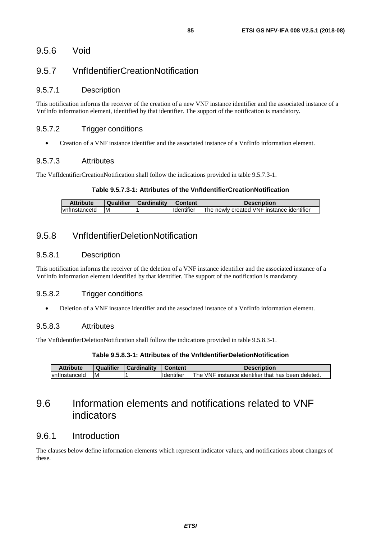## 9.5.7 VnfIdentifierCreationNotification

#### 9.5.7.1 Description

This notification informs the receiver of the creation of a new VNF instance identifier and the associated instance of a VnfInfo information element, identified by that identifier. The support of the notification is mandatory.

#### 9.5.7.2 Trigger conditions

• Creation of a VNF instance identifier and the associated instance of a VnfInfo information element.

#### 9.5.7.3 Attributes

The VnfIdentifierCreationNotification shall follow the indications provided in table 9.5.7.3-1.

#### **Table 9.5.7.3-1: Attributes of the VnfIdentifierCreationNotification**

| <b>Attribute</b> | Qualifier | Cardinality | Content             | <b>Description</b>                        |
|------------------|-----------|-------------|---------------------|-------------------------------------------|
| vnflnstanceld    | IM.       |             | <b>I</b> Identifier | The newly created VNF instance identifier |

## 9.5.8 VnfIdentifierDeletionNotification

#### 9.5.8.1 Description

This notification informs the receiver of the deletion of a VNF instance identifier and the associated instance of a VnfInfo information element identified by that identifier. The support of the notification is mandatory.

#### 9.5.8.2 Trigger conditions

• Deletion of a VNF instance identifier and the associated instance of a VnfInfo information element.

#### 9.5.8.3 Attributes

The VnfIdentifierDeletionNotification shall follow the indications provided in table 9.5.8.3-1.

#### **Table 9.5.8.3-1: Attributes of the VnfIdentifierDeletionNotification**

| Attribute             | <b>Qualifier</b> | Cardinality | <b>Content</b>    | <b>Description</b>                                 |
|-----------------------|------------------|-------------|-------------------|----------------------------------------------------|
| <b>Ivnflnstanceld</b> | <b>M</b>         |             | <b>Identifier</b> | The VNF instance identifier that has been deleted. |

# 9.6 Information elements and notifications related to VNF indicators

## 9.6.1 Introduction

The clauses below define information elements which represent indicator values, and notifications about changes of these.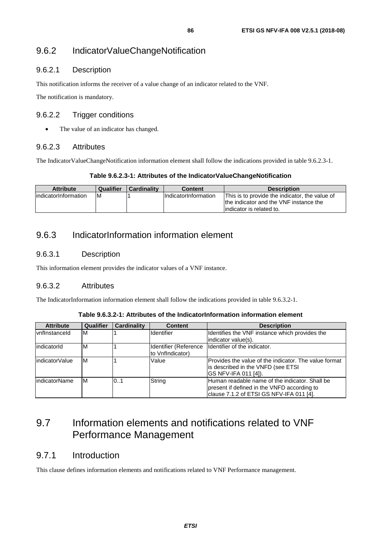## 9.6.2.1 Description

This notification informs the receiver of a value change of an indicator related to the VNF.

The notification is mandatory.

#### 9.6.2.2 Trigger conditions

• The value of an indicator has changed.

#### 9.6.2.3 Attributes

The IndicatorValueChangeNotification information element shall follow the indications provided in table 9.6.2.3-1.

#### **Table 9.6.2.3-1: Attributes of the IndicatorValueChangeNotification**

| <b>Attribute</b>      | Qualifier | <b>Cardinality</b> | Content                     | <b>Description</b>                             |
|-----------------------|-----------|--------------------|-----------------------------|------------------------------------------------|
| lindicatorInformation | ΙM        |                    | <b>IndicatorInformation</b> | This is to provide the indicator, the value of |
|                       |           |                    |                             | Ithe indicator and the VNF instance the        |
|                       |           |                    |                             | lindicator is related to.                      |

# 9.6.3 IndicatorInformation information element

## 9.6.3.1 Description

This information element provides the indicator values of a VNF instance.

## 9.6.3.2 Attributes

The IndicatorInformation information element shall follow the indications provided in table 9.6.3.2-1.

**Table 9.6.3.2-1: Attributes of the IndicatorInformation information element** 

| <b>Attribute</b>      | <b>Qualifier</b> | <b>Cardinality</b> | <b>Content</b>    | <b>Description</b>                                                                                                                        |
|-----------------------|------------------|--------------------|-------------------|-------------------------------------------------------------------------------------------------------------------------------------------|
| <b>IvnfInstanceId</b> | M                |                    | <b>Identifier</b> | Identifies the VNF instance which provides the<br>indicator value(s).                                                                     |
| lindicatorId          | M                |                    | to VnfIndicator)  | Identifier (Reference  Identifier of the indicator.                                                                                       |
| indicatorValue        | M                |                    | Value             | Provides the value of the indicator. The value format<br>is described in the VNFD (see ETSI<br>GS NFV-IFA 011 [4]).                       |
| lindicatorName        | M                | 0.1                | String            | Human readable name of the indicator. Shall be<br>present if defined in the VNFD according to<br>clause 7.1.2 of ETSI GS NFV-IFA 011 [4]. |

# 9.7 Information elements and notifications related to VNF Performance Management

## 9.7.1 Introduction

This clause defines information elements and notifications related to VNF Performance management.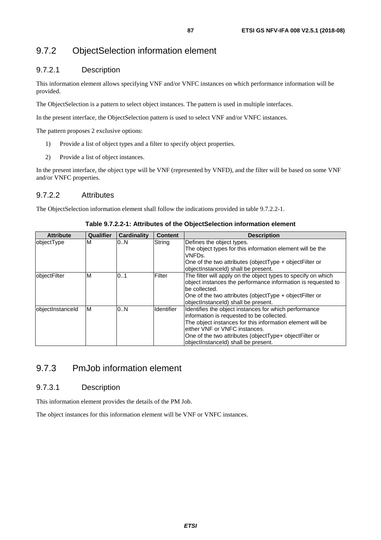## 9.7.2 ObjectSelection information element

#### 9.7.2.1 Description

This information element allows specifying VNF and/or VNFC instances on which performance information will be provided.

The ObjectSelection is a pattern to select object instances. The pattern is used in multiple interfaces.

In the present interface, the ObjectSelection pattern is used to select VNF and/or VNFC instances.

The pattern proposes 2 exclusive options:

- 1) Provide a list of object types and a filter to specify object properties.
- 2) Provide a list of object instances.

In the present interface, the object type will be VNF (represented by VNFD), and the filter will be based on some VNF and/or VNFC properties.

#### 9.7.2.2 Attributes

The ObjectSelection information element shall follow the indications provided in table 9.7.2.2-1.

| <b>Attribute</b> | Qualifier | <b>Cardinality</b> | <b>Content</b>    | <b>Description</b>                                                                                                                                                                                                                                                                                |
|------------------|-----------|--------------------|-------------------|---------------------------------------------------------------------------------------------------------------------------------------------------------------------------------------------------------------------------------------------------------------------------------------------------|
| objectType       | м         | 0N                 | String            | Defines the object types.<br>The object types for this information element will be the<br>VNFDs.<br>One of the two attributes (object Type + object Filter or<br>objectInstanceId) shall be present.                                                                                              |
| objectFilter     | м         | 0.1                | Filter            | The filter will apply on the object types to specify on which<br>object instances the performance information is requested to<br>be collected.<br>One of the two attributes (object Type + object Filter or<br>objectInstanceId) shall be present.                                                |
| objectInstanceId | ΙM        | 0.N                | <b>Identifier</b> | Identifies the object instances for which performance<br>information is requested to be collected.<br>The object instances for this information element will be<br>either VNF or VNFC instances.<br>One of the two attributes (objectType+ objectFilter or<br>objectInstanceId) shall be present. |

#### **Table 9.7.2.2-1: Attributes of the ObjectSelection information element**

## 9.7.3 PmJob information element

#### 9.7.3.1 Description

This information element provides the details of the PM Job.

The object instances for this information element will be VNF or VNFC instances.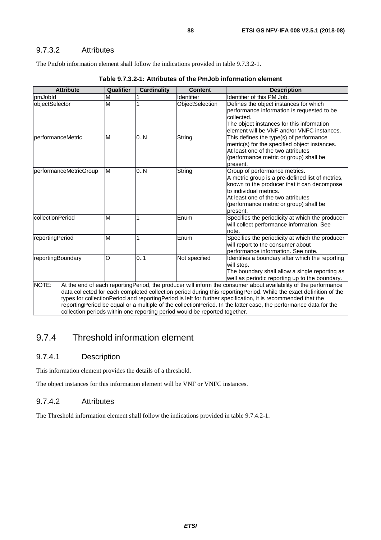#### 9.7.3.2 Attributes

The PmJob information element shall follow the indications provided in table 9.7.3.2-1.

| <b>Attribute</b>          | Qualifier | <b>Cardinality</b> | <b>Content</b>                                                             | <b>Description</b>                                                                                                                                                                                                                                                                                                                                                                                                                                                        |
|---------------------------|-----------|--------------------|----------------------------------------------------------------------------|---------------------------------------------------------------------------------------------------------------------------------------------------------------------------------------------------------------------------------------------------------------------------------------------------------------------------------------------------------------------------------------------------------------------------------------------------------------------------|
| pmJobld                   | M         |                    | Identifier                                                                 | Identifier of this PM Job.                                                                                                                                                                                                                                                                                                                                                                                                                                                |
| objectSelector            | M         |                    | ObjectSelection                                                            | Defines the object instances for which<br>performance information is requested to be<br>collected.<br>The object instances for this information<br>element will be VNF and/or VNFC instances.                                                                                                                                                                                                                                                                             |
| <b>IperformanceMetric</b> | M         | 0.N                | String                                                                     | This defines the type(s) of performance<br>metric(s) for the specified object instances.<br>At least one of the two attributes<br>(performance metric or group) shall be<br>present.                                                                                                                                                                                                                                                                                      |
| performanceMetricGroup    | M         | 0.N                | String                                                                     | Group of performance metrics.<br>A metric group is a pre-defined list of metrics,<br>known to the producer that it can decompose<br>to individual metrics.<br>At least one of the two attributes<br>(performance metric or group) shall be<br>present.                                                                                                                                                                                                                    |
| collectionPeriod          | M         |                    | Enum                                                                       | Specifies the periodicity at which the producer<br>will collect performance information. See<br>note.                                                                                                                                                                                                                                                                                                                                                                     |
| reportingPeriod           | M         |                    | Enum                                                                       | Specifies the periodicity at which the producer<br>will report to the consumer about<br>performance information. See note.                                                                                                                                                                                                                                                                                                                                                |
| reportingBoundary         | O         | 0.1                | Not specified                                                              | Identifies a boundary after which the reporting<br>will stop.<br>The boundary shall allow a single reporting as<br>well as periodic reporting up to the boundary.                                                                                                                                                                                                                                                                                                         |
| NOTE:                     |           |                    | collection periods within one reporting period would be reported together. | At the end of each reportingPeriod, the producer will inform the consumer about availability of the performance<br>data collected for each completed collection period during this reportingPeriod. While the exact definition of the<br>types for collectionPeriod and reportingPeriod is left for further specification, it is recommended that the<br>reportingPeriod be equal or a multiple of the collectionPeriod. In the latter case, the performance data for the |

#### **Table 9.7.3.2-1: Attributes of the PmJob information element**

## 9.7.4 Threshold information element

#### 9.7.4.1 Description

This information element provides the details of a threshold.

The object instances for this information element will be VNF or VNFC instances.

#### 9.7.4.2 Attributes

The Threshold information element shall follow the indications provided in table 9.7.4.2-1.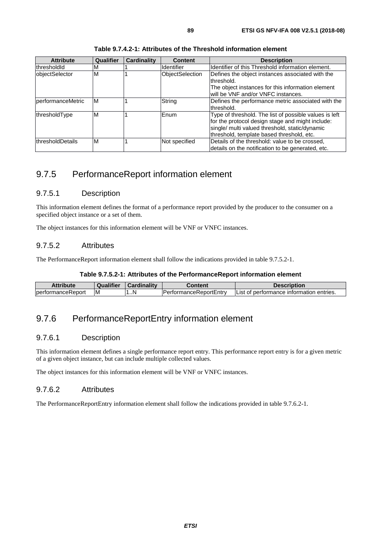| <b>Attribute</b>  | Qualifier | <b>Cardinality</b> | <b>Content</b>         | <b>Description</b>                                                                                                                                                                                        |
|-------------------|-----------|--------------------|------------------------|-----------------------------------------------------------------------------------------------------------------------------------------------------------------------------------------------------------|
| thresholdId       | м         |                    | <b>Identifier</b>      | Identifier of this Threshold information element.                                                                                                                                                         |
| objectSelector    | M         |                    | <b>ObjectSelection</b> | Defines the object instances associated with the<br>threshold.                                                                                                                                            |
|                   |           |                    |                        | The object instances for this information element<br>will be VNF and/or VNFC instances.                                                                                                                   |
| performanceMetric | M         |                    | String                 | Defines the performance metric associated with the<br>threshold.                                                                                                                                          |
| thresholdType     | M         |                    | <b>Enum</b>            | Type of threshold. The list of possible values is left<br>for the protocol design stage and might include:<br>single/ multi valued threshold, static/dynamic<br>threshold, template based threshold, etc. |
| lthresholdDetails | M         |                    | Not specified          | Details of the threshold: value to be crossed,<br>details on the notification to be generated, etc.                                                                                                       |

**Table 9.7.4.2-1: Attributes of the Threshold information element** 

## 9.7.5 PerformanceReport information element

#### 9.7.5.1 Description

This information element defines the format of a performance report provided by the producer to the consumer on a specified object instance or a set of them.

The object instances for this information element will be VNF or VNFC instances.

#### 9.7.5.2 Attributes

The PerformanceReport information element shall follow the indications provided in table 9.7.5.2-1.

#### **Table 9.7.5.2-1: Attributes of the PerformanceReport information element**

| Attribute          |       | ardinalitv<br>$\sim$ | :ontent               | Description                                 |
|--------------------|-------|----------------------|-----------------------|---------------------------------------------|
| IperformanceReport | I IVI | .                    | -<br>nanceReportEntry | performance information<br>entries.<br>.ISI |

## 9.7.6 PerformanceReportEntry information element

#### 9.7.6.1 Description

This information element defines a single performance report entry. This performance report entry is for a given metric of a given object instance, but can include multiple collected values.

The object instances for this information element will be VNF or VNFC instances.

#### 9.7.6.2 Attributes

The PerformanceReportEntry information element shall follow the indications provided in table 9.7.6.2-1.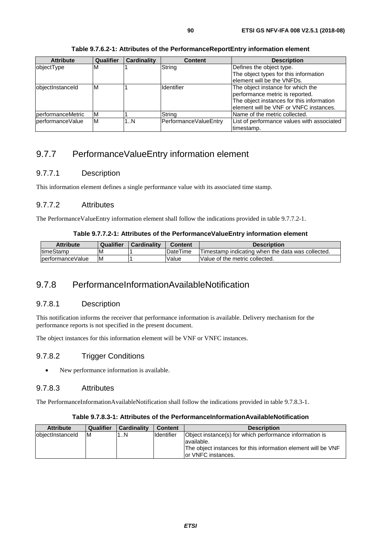| <b>Attribute</b>  | Qualifier | <b>Cardinality</b> | <b>Content</b>        | <b>Description</b>                         |
|-------------------|-----------|--------------------|-----------------------|--------------------------------------------|
| objectType        | ΙM        |                    | String                | Defines the object type.                   |
|                   |           |                    |                       | The object types for this information      |
|                   |           |                    |                       | lelement will be the VNFDs.                |
| objectInstanceId  | ΙM        |                    | <b>Identifier</b>     | The object instance for which the          |
|                   |           |                    |                       | performance metric is reported.            |
|                   |           |                    |                       | The object instances for this information  |
|                   |           |                    |                       | lelement will be VNF or VNFC instances.    |
| performanceMetric | ΙM        |                    | String                | Name of the metric collected.              |
| lperformanceValue | ΙM        | 1N                 | PerformanceValueEntry | List of performance values with associated |
|                   |           |                    |                       | timestamp.                                 |

**Table 9.7.6.2-1: Attributes of the PerformanceReportEntry information element** 

## 9.7.7 PerformanceValueEntry information element

#### 9.7.7.1 Description

This information element defines a single performance value with its associated time stamp.

## 9.7.7.2 Attributes

The PerformanceValueEntry information element shall follow the indications provided in table 9.7.7.2-1.

#### **Table 9.7.7.2-1: Attributes of the PerformanceValueEntry information element**

| <b>Attribute</b>  | Qualifier | Cardinality | Content         | <b>Description</b>                                |
|-------------------|-----------|-------------|-----------------|---------------------------------------------------|
| <b>ItimeStamp</b> | ΙM        |             | <b>DateTime</b> | Timestamp indicating when the data was collected. |
| IperformanceValue | ΙM        |             | Value           | Value of the metric collected.                    |

## 9.7.8 PerformanceInformationAvailableNotification

#### 9.7.8.1 Description

This notification informs the receiver that performance information is available. Delivery mechanism for the performance reports is not specified in the present document.

The object instances for this information element will be VNF or VNFC instances.

## 9.7.8.2 Trigger Conditions

• New performance information is available.

#### 9.7.8.3 Attributes

The PerformanceInformationAvailableNotification shall follow the indications provided in table 9.7.8.3-1.

#### **Table 9.7.8.3-1: Attributes of the PerformanceInformationAvailableNotification**

| <b>Attribute</b>  | Qualifier | <b>Cardinality</b> | <b>Content</b> | <b>Description</b>                                                                                                                                             |
|-------------------|-----------|--------------------|----------------|----------------------------------------------------------------------------------------------------------------------------------------------------------------|
| lobiectInstanceId | -IM       | N                  | Identifier     | Object instance(s) for which performance information is<br>lavailable.<br>The object instances for this information element will be VNF<br>for VNFC instances. |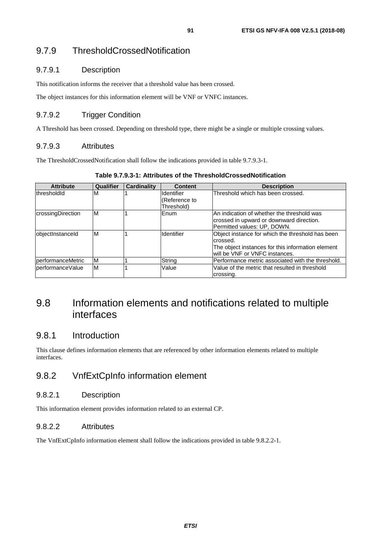## 9.7.9 ThresholdCrossedNotification

#### 9.7.9.1 Description

This notification informs the receiver that a threshold value has been crossed.

The object instances for this information element will be VNF or VNFC instances.

## 9.7.9.2 Trigger Condition

A Threshold has been crossed. Depending on threshold type, there might be a single or multiple crossing values.

#### 9.7.9.3 Attributes

The ThresholdCrossedNotification shall follow the indications provided in table 9.7.9.3-1.

|  | Table 9.7.9.3-1: Attributes of the ThresholdCrossedNotification |
|--|-----------------------------------------------------------------|
|  |                                                                 |

| <b>Attribute</b>  | Qualifier | <b>Cardinality</b> | <b>Content</b>                            | <b>Description</b>                                                                                                                                  |
|-------------------|-----------|--------------------|-------------------------------------------|-----------------------------------------------------------------------------------------------------------------------------------------------------|
| thresholdId       | M         |                    | Identifier<br>(Reference to<br>Threshold) | Threshold which has been crossed.                                                                                                                   |
| crossingDirection | M         |                    | Enum                                      | An indication of whether the threshold was<br>crossed in upward or downward direction.<br>Permitted values: UP, DOWN.                               |
| objectInstanceId  | M         |                    | Identifier                                | Object instance for which the threshold has been<br>crossed.<br>The object instances for this information element<br>will be VNF or VNFC instances. |
| performanceMetric | ΙM        |                    | String                                    | Performance metric associated with the threshold.                                                                                                   |
| lperformanceValue | ΙM        |                    | Value                                     | Value of the metric that resulted in threshold<br>crossing.                                                                                         |

# 9.8 Information elements and notifications related to multiple interfaces

## 9.8.1 Introduction

This clause defines information elements that are referenced by other information elements related to multiple interfaces.

## 9.8.2 VnfExtCpInfo information element

#### 9.8.2.1 Description

This information element provides information related to an external CP.

#### 9.8.2.2 Attributes

The VnfExtCpInfo information element shall follow the indications provided in table 9.8.2.2-1.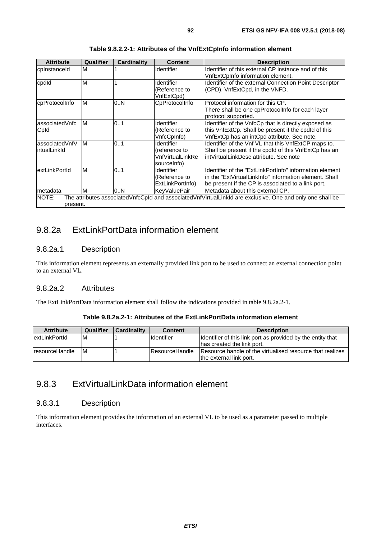| <b>Attribute</b>                 | Qualifier | <b>Cardinality</b> | <b>Content</b>                                                 | <b>Description</b>                                                                                                                                                      |
|----------------------------------|-----------|--------------------|----------------------------------------------------------------|-------------------------------------------------------------------------------------------------------------------------------------------------------------------------|
| cplnstanceld                     | M         |                    | <b>Identifier</b>                                              | Identifier of this external CP instance and of this<br>VnfExtCpInfo information element.                                                                                |
| cpdld                            | ΙM        |                    | <b>Identifier</b><br>(Reference to<br>VnfExtCpd)               | Identifier of the external Connection Point Descriptor<br>(CPD), VnfExtCpd, in the VNFD.                                                                                |
| cpProtocolInfo                   | M         | 0N                 | CpProtocolInfo                                                 | Protocol information for this CP.<br>There shall be one cpProtocolInfo for each layer<br>protocol supported.                                                            |
| lassociatedVnfc<br>Cpld          | ΙM        | 0.1                | Identifier<br>(Reference to<br>VnfcCpInfo)                     | Identifier of the VnfcCp that is directly exposed as<br>this VnfExtCp. Shall be present if the cpdld of this<br>VnfExtCp has an intCpd attribute. See note.             |
| lassociatedVnfV<br>lirtualLinkId | ΙM        | 0.1                | Identifier<br>(reference to<br>VnfVirtualLinkRe<br>sourcelnfo) | Identifier of the Vnf VL that this VnfExtCP maps to.<br>Shall be present if the cpdld of this VnfExtCp has an<br>intVirtualLinkDesc attribute. See note                 |
| lextLinkPortId                   | M         | 0.1                | <b>Identifier</b><br>(Reference to<br>ExtLinkPortInfo)         | Identifier of the "ExtLinkPortInfo" information element<br>in the "ExtVirtualLinkInfo" information element. Shall<br>be present if the CP is associated to a link port. |
| Imetadata                        | M         | 0N                 | <b>KeyValuePair</b>                                            | Metadata about this external CP.                                                                                                                                        |
| INOTE:<br>present.               |           |                    |                                                                | The attributes associatedVnfcCpId and associatedVnfVirtualLinkId are exclusive. One and only one shall be                                                               |

## 9.8.2a ExtLinkPortData information element

### 9.8.2a.1 Description

This information element represents an externally provided link port to be used to connect an external connection point to an external VL.

#### 9.8.2a.2 Attributes

The ExtLinkPortData information element shall follow the indications provided in table 9.8.2a.2-1.

#### **Table 9.8.2a.2-1: Attributes of the ExtLinkPortData information element**

| <b>Attribute</b>     | Qualifier | <b>Cardinality</b> | <b>Content</b>        | <b>Description</b>                                          |
|----------------------|-----------|--------------------|-----------------------|-------------------------------------------------------------|
| <b>extLinkPortId</b> | M         |                    | <b>Identifier</b>     | Identifier of this link port as provided by the entity that |
|                      |           |                    |                       | Ihas created the link port.                                 |
| IresourceHandle      | ΙM        |                    | <b>ResourceHandle</b> | Resource handle of the virtualised resource that realizes   |
|                      |           |                    |                       | the external link port.                                     |

# 9.8.3 ExtVirtualLinkData information element

#### 9.8.3.1 Description

This information element provides the information of an external VL to be used as a parameter passed to multiple interfaces.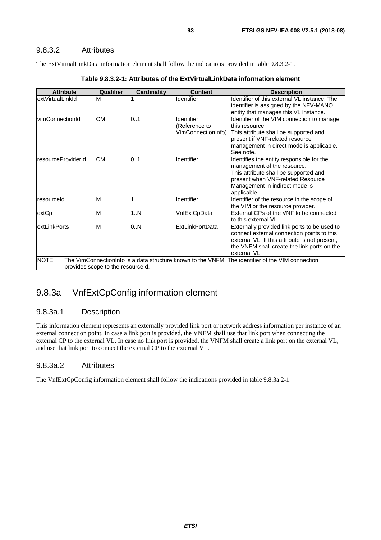#### 9.8.3.2 Attributes

The ExtVirtualLinkData information element shall follow the indications provided in table 9.8.3.2-1.

| <b>Attribute</b>   | <b>Qualifier</b>                  | <b>Cardinality</b> | <b>Content</b>                                    | <b>Description</b>                                                                                                                                                                                           |
|--------------------|-----------------------------------|--------------------|---------------------------------------------------|--------------------------------------------------------------------------------------------------------------------------------------------------------------------------------------------------------------|
| extVirtualLinkId   | M                                 |                    | Identifier                                        | Identifier of this external VL instance. The<br>identifier is assigned by the NFV-MANO<br>entity that manages this VL instance.                                                                              |
| vimConnectionId    | <b>CM</b>                         | 0.1                | Identifier<br>(Reference to<br>VimConnectionInfo) | Identifier of the VIM connection to manage<br>lthis resource.<br>This attribute shall be supported and<br>bresent if VNF-related resource<br>management in direct mode is applicable.<br>See note.           |
| resourceProviderId | <b>CM</b>                         | 01                 | Identifier                                        | Identifies the entity responsible for the<br>management of the resource.<br>This attribute shall be supported and<br>present when VNF-related Resource<br>Management in indirect mode is<br>applicable.      |
| resourceld         | M                                 |                    | Identifier                                        | Identifier of the resource in the scope of<br>the VIM or the resource provider.                                                                                                                              |
| extCp              | M                                 | 1N                 | VnfExtCpData                                      | External CPs of the VNF to be connected<br>to this external VL.                                                                                                                                              |
| extLinkPorts       | M                                 | 0.N                | <b>ExtLinkPortData</b>                            | Externally provided link ports to be used to<br>connect external connection points to this<br>external VL. If this attribute is not present,<br>the VNFM shall create the link ports on the<br>lexternal VL. |
| NOTE:              | provides scope to the resourceld. |                    |                                                   | The VimConnectionInfo is a data structure known to the VNFM. The identifier of the VIM connection                                                                                                            |

# 9.8.3a VnfExtCpConfig information element

## 9.8.3a.1 Description

This information element represents an externally provided link port or network address information per instance of an external connection point. In case a link port is provided, the VNFM shall use that link port when connecting the external CP to the external VL. In case no link port is provided, the VNFM shall create a link port on the external VL, and use that link port to connect the external CP to the external VL.

## 9.8.3a.2 Attributes

The VnfExtCpConfig information element shall follow the indications provided in table 9.8.3a.2-1.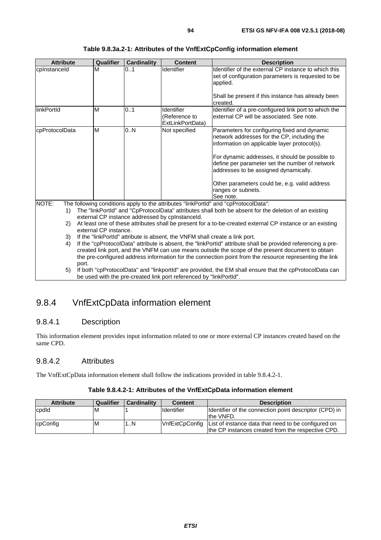| <b>Attribute</b> | Qualifier                                                                                                                                                | <b>Cardinality</b> | <b>Content</b>                                                                                            | <b>Description</b>                                                                                                                                                                                                                                                                                                                                                            |  |  |
|------------------|----------------------------------------------------------------------------------------------------------------------------------------------------------|--------------------|-----------------------------------------------------------------------------------------------------------|-------------------------------------------------------------------------------------------------------------------------------------------------------------------------------------------------------------------------------------------------------------------------------------------------------------------------------------------------------------------------------|--|--|
| cplnstanceld     | M                                                                                                                                                        | 01                 | Identifier                                                                                                | Identifier of the external CP instance to which this<br>set of configuration parameters is requested to be<br>applied.<br>Shall be present if this instance has already been                                                                                                                                                                                                  |  |  |
|                  |                                                                                                                                                          |                    |                                                                                                           | created.                                                                                                                                                                                                                                                                                                                                                                      |  |  |
| linkPortId       | M                                                                                                                                                        | 01                 | Identifier<br>(Reference to<br>ExtLinkPortData)                                                           | Identifier of a pre-configured link port to which the<br>external CP will be associated. See note.                                                                                                                                                                                                                                                                            |  |  |
| cpProtocolData   | M                                                                                                                                                        | 0.N                | Not specified                                                                                             | Parameters for configuring fixed and dynamic<br>network addresses for the CP, including the<br>information on applicable layer protocol(s).<br>For dynamic addresses, it should be possible to<br>define per parameter set the number of network<br>addresses to be assigned dynamically.<br>Other parameters could be, e.g. valid address<br>ranges or subnets.<br>See note. |  |  |
| NOTE:            |                                                                                                                                                          |                    |                                                                                                           | The following conditions apply to the attributes "linkPortId" and "cpProtocolData":                                                                                                                                                                                                                                                                                           |  |  |
| 1)               | The "linkPortId" and "CpProtocolData" attributes shall both be absent for the deletion of an existing<br>external CP instance addressed by cplnstanceld. |                    |                                                                                                           |                                                                                                                                                                                                                                                                                                                                                                               |  |  |
| 2)               | external CP instance.                                                                                                                                    |                    | At least one of these attributes shall be present for a to-be-created external CP instance or an existing |                                                                                                                                                                                                                                                                                                                                                                               |  |  |
| 3)               |                                                                                                                                                          |                    | If the "linkPortId" attribute is absent, the VNFM shall create a link port.                               |                                                                                                                                                                                                                                                                                                                                                                               |  |  |

#### **Table 9.8.3a.2-1: Attributes of the VnfExtCpConfig information element**

- 4) If the "cpProtocolData" attribute is absent, the "linkPortId" attribute shall be provided referencing a precreated link port, and the VNFM can use means outside the scope of the present document to obtain the pre-configured address information for the connection point from the resource representing the link port.
- 5) If both "cpProtocolData" and "linkportId" are provided, the EM shall ensure that the cpProtocolData can be used with the pre-created link port referenced by "linkPortId".

## 9.8.4 VnfExtCpData information element

#### 9.8.4.1 Description

This information element provides input information related to one or more external CP instances created based on the same CPD.

#### 9.8.4.2 Attributes

The VnfExtCpData information element shall follow the indications provided in table 9.8.4.2-1.

| Table 9.8.4.2-1: Attributes of the VnfExtCpData information element |  |
|---------------------------------------------------------------------|--|
|---------------------------------------------------------------------|--|

| <b>Attribute</b> | Qualifier | <b>Cardinality</b> | <b>Content</b>    | <b>Description</b>                                                                                                        |
|------------------|-----------|--------------------|-------------------|---------------------------------------------------------------------------------------------------------------------------|
| cpdld            | ΙM        |                    | <b>Identifier</b> | Identifier of the connection point descriptor (CPD) in<br>the VNFD.                                                       |
| cpConfig         | ΙM        | $\ldots$ N         |                   | VnfExtCpConfig   List of instance data that need to be configured on<br>the CP instances created from the respective CPD. |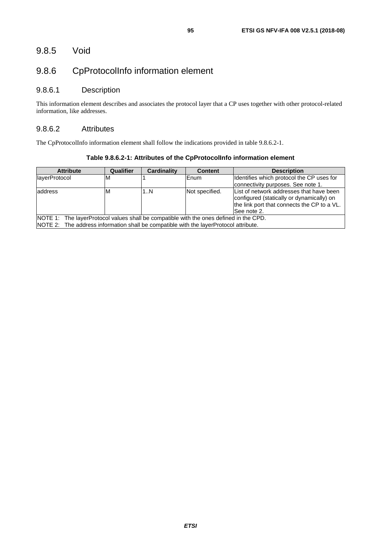## 9.8.5 Void

# 9.8.6 CpProtocolInfo information element

## 9.8.6.1 Description

This information element describes and associates the protocol layer that a CP uses together with other protocol-related information, like addresses.

#### 9.8.6.2 Attributes

The CpProtocolInfo information element shall follow the indications provided in table 9.8.6.2-1.

| <b>Attribute</b>                                                                       | Qualifier | <b>Cardinality</b> | <b>Content</b> | <b>Description</b>                                                                                                                                  |  |  |
|----------------------------------------------------------------------------------------|-----------|--------------------|----------------|-----------------------------------------------------------------------------------------------------------------------------------------------------|--|--|
| <b>IlayerProtocol</b>                                                                  | ıм        |                    | lEnum          | Identifies which protocol the CP uses for                                                                                                           |  |  |
|                                                                                        |           |                    |                | connectivity purposes. See note 1.                                                                                                                  |  |  |
| address                                                                                | ιM        | 1N                 | Not specified. | List of network addresses that have been<br>configured (statically or dynamically) on<br>the link port that connects the CP to a VL.<br>See note 2. |  |  |
| NOTE 1: The layerProtocol values shall be compatible with the ones defined in the CPD. |           |                    |                |                                                                                                                                                     |  |  |
| NOTE 2: The address information shall be compatible with the layerProtocol attribute.  |           |                    |                |                                                                                                                                                     |  |  |

**Table 9.8.6.2-1: Attributes of the CpProtocolInfo information element**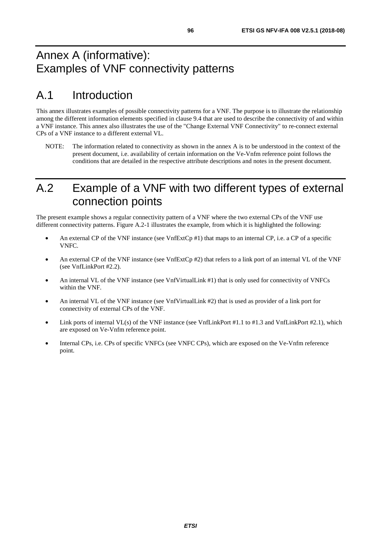# Annex A (informative): Examples of VNF connectivity patterns

# A.1 Introduction

This annex illustrates examples of possible connectivity patterns for a VNF. The purpose is to illustrate the relationship among the different information elements specified in clause 9.4 that are used to describe the connectivity of and within a VNF instance. This annex also illustrates the use of the "Change External VNF Connectivity" to re-connect external CPs of a VNF instance to a different external VL.

NOTE: The information related to connectivity as shown in the annex A is to be understood in the context of the present document, i.e. availability of certain information on the Ve-Vnfm reference point follows the conditions that are detailed in the respective attribute descriptions and notes in the present document.

# A.2 Example of a VNF with two different types of external connection points

The present example shows a regular connectivity pattern of a VNF where the two external CPs of the VNF use different connectivity patterns. Figure A.2-1 illustrates the example, from which it is highlighted the following:

- An external CP of the VNF instance (see VnfExtCp #1) that maps to an internal CP, i.e. a CP of a specific VNFC.
- An external CP of the VNF instance (see VnfExtCp #2) that refers to a link port of an internal VL of the VNF (see VnfLinkPort #2.2).
- An internal VL of the VNF instance (see VnfVirtualLink #1) that is only used for connectivity of VNFCs within the VNF.
- An internal VL of the VNF instance (see VnfVirtualLink #2) that is used as provider of a link port for connectivity of external CPs of the VNF.
- Link ports of internal VL(s) of the VNF instance (see VnfLinkPort #1.1 to #1.3 and VnfLinkPort #2.1), which are exposed on Ve-Vnfm reference point.
- Internal CPs, i.e. CPs of specific VNFCs (see VNFC CPs), which are exposed on the Ve-Vnfm reference point.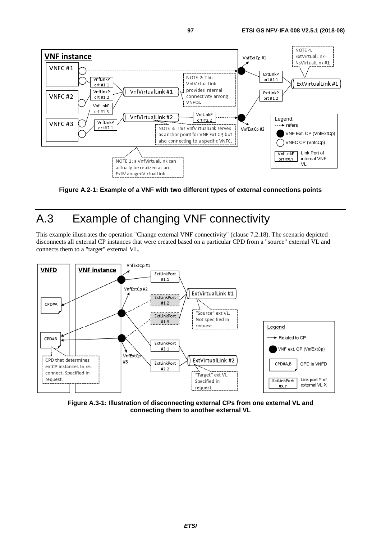

**Figure A.2-1: Example of a VNF with two different types of external connections points** 

# A.3 Example of changing VNF connectivity

This example illustrates the operation "Change external VNF connectivity" (clause 7.2.18). The scenario depicted disconnects all external CP instances that were created based on a particular CPD from a "source" external VL and connects them to a "target" external VL.



**Figure A.3-1: Illustration of disconnecting external CPs from one external VL and connecting them to another external VL**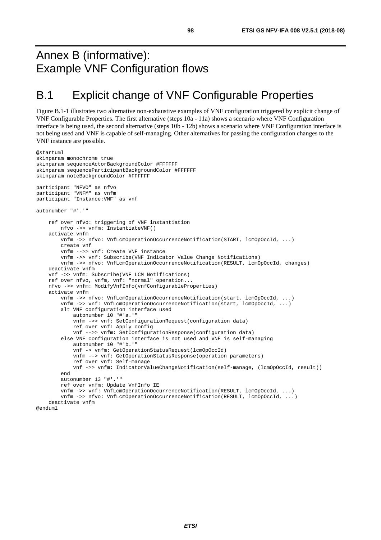# Annex B (informative): Example VNF Configuration flows

# B.1 Explicit change of VNF Configurable Properties

Figure B.1-1 illustrates two alternative non-exhaustive examples of VNF configuration triggered by explicit change of VNF Configurable Properties. The first alternative (steps 10a - 11a) shows a scenario where VNF Configuration interface is being used, the second alternative (steps 10b - 12b) shows a scenario where VNF Configuration interface is not being used and VNF is capable of self-managing. Other alternatives for passing the configuration changes to the VNF instance are possible.

```
@startuml 
skinparam monochrome true 
skinparam sequenceActorBackgroundColor #FFFFFF 
skinparam sequenceParticipantBackgroundColor #FFFFFF 
skinparam noteBackgroundColor #FFFFFF 
participant "NFVO" as nfvo 
participant "VNFM" as vnfm 
participant "Instance:VNF" as vnf 
autonumber "#'.'" 
     ref over nfvo: triggering of VNF instantiation 
         nfvo ->> vnfm: InstantiateVNF() 
     activate vnfm 
         vnfm ->> nfvo: VnfLcmOperationOccurrenceNotification(START, lcmOpOccId, ...) 
         create vnf 
         vnfm -->> vnf: Create VNF instance 
         vnfm ->> vnf: Subscribe(VNF Indicator Value Change Notifications) 
         vnfm ->> nfvo: VnfLcmOperationOccurrenceNotification(RESULT, lcmOpOccId, changes) 
     deactivate vnfm 
     vnf ->> vnfm: Subscribe(VNF LCM Notifications) 
     ref over nfvo, vnfm, vnf: "normal" operation... 
     nfvo ->> vnfm: ModifyVnfInfo(vnfConfigurableProperties) 
     activate vnfm 
         vnfm ->> nfvo: VnfLcmOperationOccurrenceNotification(start, lcmOpOccId, ...) 
         vnfm ->> vnf: VnfLcmOperationOccurrenceNotification(start, lcmOpOccId, ...) 
         alt VNF configuration interface used 
             autonumber 10 "#'a.'" 
             vnfm ->> vnf: SetConfigurationRequest(configuration data) 
             ref over vnf: Apply config 
             vnf -->> vnfm: SetConfigurationResponse(configuration data) 
         else VNF configuration interface is not used and VNF is self-managing 
             autonumber 10 "#'b.'" 
             vnf -> vnfm: GetOperationStatusRequest(lcmOpOccId) 
             vnfm --> vnf: GetOperationStatusResponse(operation parameters) 
             ref over vnf: Self-manage 
             vnf ->> vnfm: IndicatorValueChangeNotification(self-manage, (lcmOpOccId, result)) 
         end 
         autonumber 13 "#'.'" 
         ref over vnfm: Update VnfInfo IE 
         vnfm ->> vnf: VnfLcmOperationOccurrenceNotification(RESULT, lcmOpOccId, ...) 
         vnfm ->> nfvo: VnfLcmOperationOccurrenceNotification(RESULT, lcmOpOccId, ...) 
     deactivate vnfm 
@enduml
```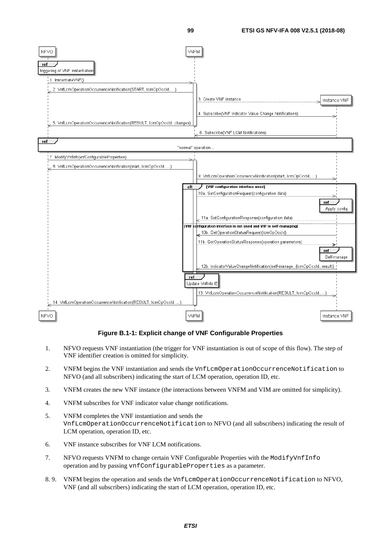

#### **Figure B.1-1: Explicit change of VNF Configurable Properties**

- 1. NFVO requests VNF instantiation (the trigger for VNF instantiation is out of scope of this flow). The step of VNF identifier creation is omitted for simplicity.
- 2. VNFM begins the VNF instantiation and sends the VnfLcmOperationOccurrenceNotification to NFVO (and all subscribers) indicating the start of LCM operation, operation ID, etc.
- 3. VNFM creates the new VNF instance (the interactions between VNFM and VIM are omitted for simplicity).
- 4. VNFM subscribes for VNF indicator value change notifications.
- 5. VNFM completes the VNF instantiation and sends the VnfLcmOperationOccurrenceNotification to NFVO (and all subscribers) indicating the result of LCM operation, operation ID, etc.
- 6. VNF instance subscribes for VNF LCM notifications.
- 7. NFVO requests VNFM to change certain VNF Configurable Properties with the ModifyVnfInfo operation and by passing vnfConfigurableProperties as a parameter.
- 8. 9. VNFM begins the operation and sends the VnfLcmOperationOccurrenceNotification to NFVO, VNF (and all subscribers) indicating the start of LCM operation, operation ID, etc.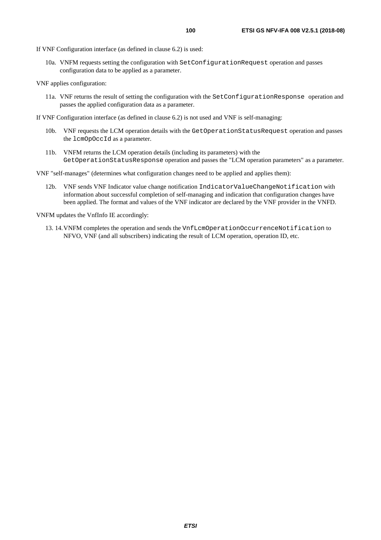If VNF Configuration interface (as defined in clause 6.2) is used:

- 10a. VNFM requests setting the configuration with SetConfigurationRequest operation and passes configuration data to be applied as a parameter.
- VNF applies configuration:
	- 11a. VNF returns the result of setting the configuration with the SetConfigurationResponse operation and passes the applied configuration data as a parameter.
- If VNF Configuration interface (as defined in clause 6.2) is not used and VNF is self-managing:
	- 10b. VNF requests the LCM operation details with the GetOperationStatusRequest operation and passes the lcmOpOccId as a parameter.
	- 11b. VNFM returns the LCM operation details (including its parameters) with the GetOperationStatusResponse operation and passes the "LCM operation parameters" as a parameter.

VNF "self-manages" (determines what configuration changes need to be applied and applies them):

12b. VNF sends VNF Indicator value change notification IndicatorValueChangeNotification with information about successful completion of self-managing and indication that configuration changes have been applied. The format and values of the VNF indicator are declared by the VNF provider in the VNFD.

VNFM updates the VnfInfo IE accordingly:

13. 14. VNFM completes the operation and sends the VnfLcmOperationOccurrenceNotification to NFVO, VNF (and all subscribers) indicating the result of LCM operation, operation ID, etc.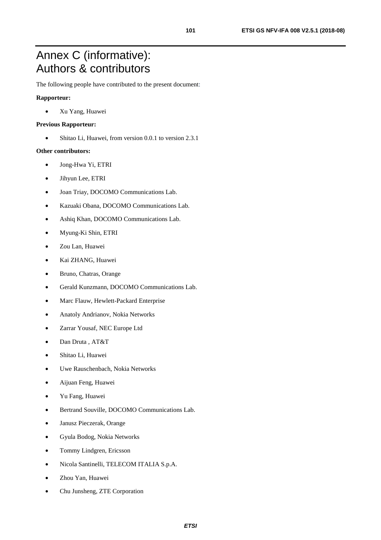# Annex C (informative): Authors & contributors

The following people have contributed to the present document:

#### **Rapporteur:**

• Xu Yang, Huawei

#### **Previous Rapporteur:**

• Shitao Li, Huawei, from version 0.0.1 to version 2.3.1

#### **Other contributors:**

- Jong-Hwa Yi, ETRI
- Jihyun Lee, ETRI
- Joan Triay, DOCOMO Communications Lab.
- Kazuaki Obana, DOCOMO Communications Lab.
- Ashiq Khan, DOCOMO Communications Lab.
- Myung-Ki Shin, ETRI
- Zou Lan, Huawei
- Kai ZHANG, Huawei
- Bruno, Chatras, Orange
- Gerald Kunzmann, DOCOMO Communications Lab.
- Marc Flauw, Hewlett-Packard Enterprise
- Anatoly Andrianov, Nokia Networks
- Zarrar Yousaf, NEC Europe Ltd
- Dan Druta , AT&T
- Shitao Li, Huawei
- Uwe Rauschenbach, Nokia Networks
- Aijuan Feng, Huawei
- Yu Fang, Huawei
- Bertrand Souville, DOCOMO Communications Lab.
- Janusz Pieczerak, Orange
- Gyula Bodog, Nokia Networks
- Tommy Lindgren, Ericsson
- Nicola Santinelli, TELECOM ITALIA S.p.A.
- Zhou Yan, Huawei
- Chu Junsheng, ZTE Corporation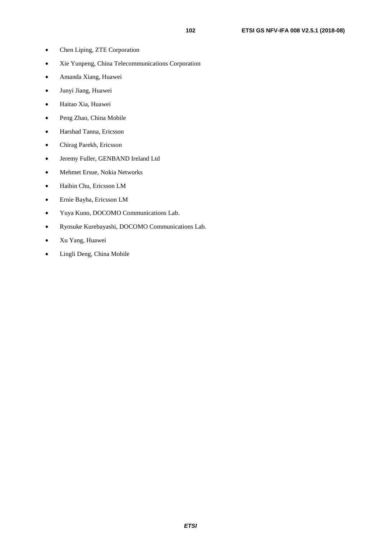- Chen Liping, ZTE Corporation
- Xie Yunpeng, China Telecommunications Corporation
- Amanda Xiang, Huawei
- Junyi Jiang, Huawei
- Haitao Xia, Huawei
- Peng Zhao, China Mobile
- Harshad Tanna, Ericsson
- Chirag Parekh, Ericsson
- Jeremy Fuller, GENBAND Ireland Ltd
- Mehmet Ersue, Nokia Networks
- Haibin Chu, Ericsson LM
- Ernie Bayha, Ericsson LM
- Yuya Kuno, DOCOMO Communications Lab.
- Ryosuke Kurebayashi, DOCOMO Communications Lab.
- Xu Yang, Huawei
- Lingli Deng, China Mobile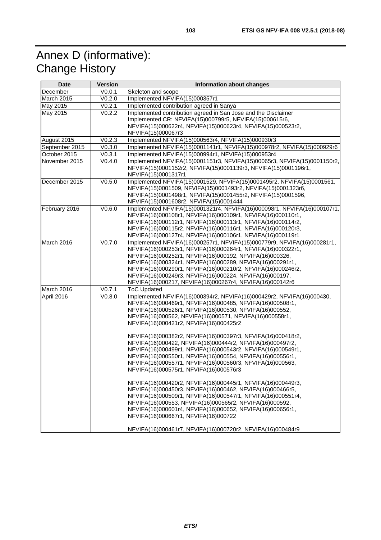# Annex D (informative): Change History

| <b>Date</b>    | <b>Version</b> | Information about changes                                                                                                                                                                                                                                                                                                                                                                                                                                                                                                                                                                                                                                                                                                                                                                                                                                                                                                                                                                                                                                                                  |
|----------------|----------------|--------------------------------------------------------------------------------------------------------------------------------------------------------------------------------------------------------------------------------------------------------------------------------------------------------------------------------------------------------------------------------------------------------------------------------------------------------------------------------------------------------------------------------------------------------------------------------------------------------------------------------------------------------------------------------------------------------------------------------------------------------------------------------------------------------------------------------------------------------------------------------------------------------------------------------------------------------------------------------------------------------------------------------------------------------------------------------------------|
| December       | V0.0.1         | Skeleton and scope                                                                                                                                                                                                                                                                                                                                                                                                                                                                                                                                                                                                                                                                                                                                                                                                                                                                                                                                                                                                                                                                         |
| March 2015     | V0.2.0         | Implemented NFVIFA(15)000357r1                                                                                                                                                                                                                                                                                                                                                                                                                                                                                                                                                                                                                                                                                                                                                                                                                                                                                                                                                                                                                                                             |
| May 2015       | V0.2.1         | Implemented contribution agreed in Sanya                                                                                                                                                                                                                                                                                                                                                                                                                                                                                                                                                                                                                                                                                                                                                                                                                                                                                                                                                                                                                                                   |
| May 2015       | V0.2.2         | Implemented contribution agreed in San Jose and the Disclaimer<br>Implemented CR: NFVIFA(15)000799r5, NFVIFA(15)000615r6,<br>NFVIFA(15)000622r4, NFVIFA(15)000623r4, NFVIFA(15)000523r2,<br>NFVIFA(15)000067r3                                                                                                                                                                                                                                                                                                                                                                                                                                                                                                                                                                                                                                                                                                                                                                                                                                                                             |
| August 2015    | V0.2.3         | Implemented NFVIFA(15)000563r4, NFVIFA(15)000930r3                                                                                                                                                                                                                                                                                                                                                                                                                                                                                                                                                                                                                                                                                                                                                                                                                                                                                                                                                                                                                                         |
| September 2015 | V0.3.0         | Implemented NFVIFA(15)0001141r1, NFVIFA(15)000978r2, NFVIFA(15)000929r6                                                                                                                                                                                                                                                                                                                                                                                                                                                                                                                                                                                                                                                                                                                                                                                                                                                                                                                                                                                                                    |
| October 2015   | V0.3.1         | Implemented NFVIFA(15)000994r1, NFVIFA(15)000953r4                                                                                                                                                                                                                                                                                                                                                                                                                                                                                                                                                                                                                                                                                                                                                                                                                                                                                                                                                                                                                                         |
| November 2015  | V0.4.0         | Implemented NFVIFA(15)0001151r3, NFVIFA(15)00065r3, NFVIFA(15)0001150r2,<br>NFVIFA(15)0001152r2, NFVIFA(15)0001139r3, NFVIFA(15)0001196r1,<br>NFVIFA(15)0001317r1                                                                                                                                                                                                                                                                                                                                                                                                                                                                                                                                                                                                                                                                                                                                                                                                                                                                                                                          |
| December 2015  | V0.5.0         | Implemented NFVIFA(15)0001529, NFVIFA(15)0001495r2, NFVIFA(15)0001561,<br>NFVIFA(15)0001509, NFVIFA(15)0001493r2, NFVIFA(15)0001323r6,<br>NFVIFA(15)0001498r1, NFVIFA(15)0001455r2, NFVIFA(15)0001596,<br>NFVIFA(15)0001608r2, NFVIFA(15)0001444                                                                                                                                                                                                                                                                                                                                                                                                                                                                                                                                                                                                                                                                                                                                                                                                                                           |
| February 2016  | V0.6.0         | Implemented NFVIFA(15)0001321r4, NFVIFA(16)000098r1, NFVIFA(16)000107r1,<br>NFVIFA(16)000108r1, NFVIFA(16)000109r1, NFVIFA(16)000110r1,<br>NFVIFA(16)000112r1, NFVIFA(16)000113r1, NFVIFA(16)000114r2,<br>NFVIFA(16)000115r2, NFVIFA(16)000116r1, NFVIFA(16)000120r3,<br>NFVIFA(16)000127r4, NFVIFA(16)000106r1, NFVIFA(16)000119r1                                                                                                                                                                                                                                                                                                                                                                                                                                                                                                                                                                                                                                                                                                                                                        |
| March 2016     | V0.7.0         | Implemented NFVIFA(16)000257r1, NFVIFA(15)000779r9, NFVIFA(16)000281r1,<br>NFVIFA(16)000253r1, NFVIFA(16)000264r1, NFVIFA(16)000322r1,<br>NFVIFA(16)000252r1, NFVIFA(16)000192, NFVIFA(16)000326,<br>NFVIFA(16)000324r1, NFVIFA(16)000289, NFVIFA(16)000291r1,<br>NFVIFA(16)000290r1, NFVIFA(16)000210r2, NFVIFA(16)000246r2,<br>NFVIFA(16)000249r3, NFVIFA(16)000224, NFVIFA(16)000197,<br>NFVIFA(16)000217, NFVIFA(16)000267r4, NFVIFA(16)000142r6                                                                                                                                                                                                                                                                                                                                                                                                                                                                                                                                                                                                                                       |
| March 2016     | V0.7.1         | <b>ToC Updated</b>                                                                                                                                                                                                                                                                                                                                                                                                                                                                                                                                                                                                                                                                                                                                                                                                                                                                                                                                                                                                                                                                         |
| April 2016     | V0.8.0         | Implemented NFVIFA(16)000394r2, NFVIFA(16)000429r2, NFVIFA(16)000430,<br>NFVIFA(16)000469r1, NFVIFA(16)000485, NFVIFA(16)000508r1,<br>NFVIFA(16)000526r1, NFVIFA(16)000530, NFVIFA(16)000552,<br>NFVIFA(16)000562, NFVIFA(16)000571, NFVIFA(16)000558r1,<br>NFVIFA(16)000421r2, NFVIFA(16)000425r2<br>NFVIFA(16)000382r2, NFVIFA(16)000397r3, NFVIFA(16)000418r2,<br>NFVIFA(16)000422, NFVIFA(16)000444r2, NFVIFA(16)000497r2,<br>NFVIFA(16)000499r1, NFVIFA(16)000543r2, NFVIFA(16)000549r1,<br>NFVIFA(16)000550r1, NFVIFA(16)000554, NFVIFA(16)000556r1,<br>NFVIFA(16)000557r1, NFVIFA(16)000560r3, NFVIFA(16)000563,<br>NFVIFA(16)000575r1, NFVIFA(16)000576r3<br>NFVIFA(16)000420r2, NFVIFA(16)000445r1, NFVIFA(16)000449r3,<br>NFVIFA(16)000450r3, NFVIFA(16)000462, NFVIFA(16)000466r5,<br>NFVIFA(16)000509r1, NFVIFA(16)000547r1, NFVIFA(16)000551r4,<br>NFVIFA(16)000553, NFVIFA(16)000565r2, NFVIFA(16)000592,<br>NFVIFA(16)000601r4, NFVIFA(16)000652, NFVIFA(16)000656r1,<br>NFVIFA(16)000667r1, NFVIFA(16)000722<br>NFVIFA(16)000461r7, NFVIFA(16)000720r2, NFVIFA(16)000484r9 |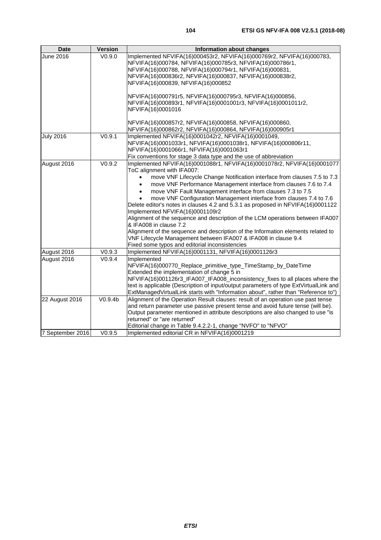| <b>Date</b>      | <b>Version</b>     | Information about changes                                                                                |
|------------------|--------------------|----------------------------------------------------------------------------------------------------------|
| June 2016        | V <sub>0.9.0</sub> | Implemented NFVIFA(16)000453r2, NFVIFA(16)000769r2, NFVIFA(16)000783,                                    |
|                  |                    | NFVIFA(16)000784, NFVIFA(16)000785r3, NFVIFA(16)000786r1,                                                |
|                  |                    | NFVIFA(16)000788, NFVIFA(16)000794r1, NFVIFA(16)000831,                                                  |
|                  |                    | NFVIFA(16)000836r2, NFVIFA(16)000837, NFVIFA(16)000838r2,                                                |
|                  |                    | NFVIFA(16)000839, NFVIFA(16)000852                                                                       |
|                  |                    | NFVIFA(16)000791r5, NFVIFA(16)000795r3, NFVIFA(16)000856,                                                |
|                  |                    | NFVIFA(16)000893r1, NFVIFA(16)0001001r3, NFVIFA(16)0001011r2,                                            |
|                  |                    | NFVIFA(16)0001016                                                                                        |
|                  |                    | NFVIFA(16)000857r2, NFVIFA(16)000858, NFVIFA(16)000860,                                                  |
|                  |                    | NFVIFA(16)000862r2, NFVIFA(16)000864, NFVIFA(16)000905r1                                                 |
| <b>July 2016</b> | V0.9.1             | Implemented NFVIFA(16)0001042r2, NFVIFA(16)0001049,                                                      |
|                  |                    | NFVIFA(16)0001033r1, NFVIFA(16)0001038r1, NFVIFA(16)000806r11,                                           |
|                  |                    | NFVIFA(16)0001066r1, NFVIFA(16)0001063r1                                                                 |
|                  |                    | Fix conventions for stage 3 data type and the use of abbreviation                                        |
| August 2016      | V0.9.2             | Implemented NFVIFA(16)0001088r1, NFVIFA(16)0001078r2, NFVIFA(16)0001077                                  |
|                  |                    | ToC alignment with IFA007:                                                                               |
|                  |                    | move VNF Lifecycle Change Notification interface from clauses 7.5 to 7.3                                 |
|                  |                    | move VNF Performance Management interface from clauses 7.6 to 7.4<br>$\bullet$                           |
|                  |                    | move VNF Fault Management interface from clauses 7.3 to 7.5<br>$\bullet$                                 |
|                  |                    | move VNF Configuration Management interface from clauses 7.4 to 7.6                                      |
|                  |                    | Delete editor's notes in clauses 4.2 and 5.3.1 as proposed in NFVIFA(16)0001122                          |
|                  |                    | Implemented NFVIFA(16)0001109r2                                                                          |
|                  |                    | Alignment of the sequence and description of the LCM operations between IFA007<br>& IFA008 in clause 7.2 |
|                  |                    | Alignment of the sequence and description of the Information elements related to                         |
|                  |                    | VNF Lifecycle Management between IFA007 & IFA008 in clause 9.4                                           |
|                  |                    | Fixed some typos and editorial inconsistencies                                                           |
| August 2016      | V0.9.3             | Implemented NFVIFA(16)0001131, NFVIFA(16)0001126r3                                                       |
| August 2016      | V0.9.4             | Implemented                                                                                              |
|                  |                    | NFVIFA(16)000770_Replace_primitive_type_TimeStamp_by_DateTime                                            |
|                  |                    | Extended the implementation of change 5 in                                                               |
|                  |                    | NFVIFA(16)001126r3_IFA007_IFA008_inconsistency_fixes to all places where the                             |
|                  |                    | text is applicable (Description of input/output parameters of type ExtVirtualLink and                    |
|                  |                    | ExtManagedVirtualLink starts with "Information about", rather than "Reference to")                       |
| 22 August 2016   | V0.9.4b            | Alignment of the Operation Result clauses: result of an operation use past tense                         |
|                  |                    | and return parameter use passive present tense and avoid future tense (will be).                         |
|                  |                    | Output parameter mentioned in attribute descriptions are also changed to use "is                         |
|                  |                    | returned" or "are returned"                                                                              |
|                  |                    | Editorial change in Table 9.4.2.2-1, change "NVFO" to "NFVO"                                             |
| 7 September 2016 | V0.9.5             | Implemented editorial CR in NFVIFA(16)0001219                                                            |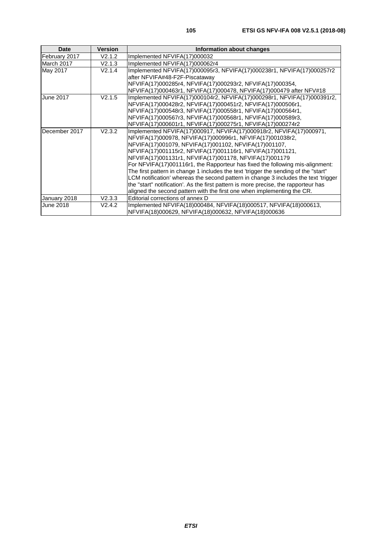| <b>Date</b>      | <b>Version</b> | Information about changes                                                           |
|------------------|----------------|-------------------------------------------------------------------------------------|
| February 2017    | V2.1.2         | Implemented NFVIFA(17)000032                                                        |
| March 2017       | V2.1.3         | Implemented NFVIFA(17)000062r4                                                      |
| May 2017         | V2.1.4         | Implemented NFVIFA(17)000095r3, NFVIFA(17)000238r1, NFVIFA(17)000257r2              |
|                  |                | after NFVIFA#48-F2F-Piscataway                                                      |
|                  |                | NFVIFA(17)000285r4, NFVIFA(17)000293r2, NFVIFA(17)000354,                           |
|                  |                | NFVIFA(17)000463r1, NFVIFA(17)000478, NFVIFA(17)000479 after NFV#18                 |
| <b>June 2017</b> | V2.1.5         | Implemented NFVIFA(17)000104r2, NFVIFA(17)000298r1, NFVIFA(17)000391r2,             |
|                  |                | NFVIFA(17)000428r2, NFVIFA(17)000451r2, NFVIFA(17)000506r1,                         |
|                  |                | NFVIFA(17)000548r3, NFVIFA(17)000558r1, NFVIFA(17)000564r1,                         |
|                  |                | NFVIFA(17)000567r3, NFVIFA(17)000568r1, NFVIFA(17)000589r3,                         |
|                  |                | NFVIFA(17)000601r1, NFVIFA(17)000275r1, NFVIFA(17)000274r2                          |
| December 2017    | V2.3.2         | Implemented NFVIFA(17)000917, NFVIFA(17)000918r2, NFVIFA(17)000971,                 |
|                  |                | NFVIFA(17)000978, NFVIFA(17)000996r1, NFVIFA(17)001038r2,                           |
|                  |                | NFVIFA(17)001079, NFVIFA(17)001102, NFVIFA(17)001107,                               |
|                  |                | NFVIFA(17)001115r2, NFVIFA(17)001116r1, NFVIFA(17)001121,                           |
|                  |                | NFVIFA(17)001131r1, NFVIFA(17)001178, NFVIFA(17)001179                              |
|                  |                | For NFVIFA(17)001116r1, the Rapporteur has fixed the following mis-alignment:       |
|                  |                | The first pattern in change 1 includes the text 'trigger the sending of the "start" |
|                  |                | LCM notification' whereas the second pattern in change 3 includes the text 'trigger |
|                  |                | the "start" notification'. As the first pattern is more precise, the rapporteur has |
|                  |                | aligned the second pattern with the first one when implementing the CR.             |
| January 2018     | V2.3.3         | Editorial corrections of annex D                                                    |
| June 2018        | V2.4.2         | Implemented NFVIFA(18)000484, NFVIFA(18)000517, NFVIFA(18)000613,                   |
|                  |                | NFVIFA(18)000629, NFVIFA(18)000632, NFVIFA(18)000636                                |